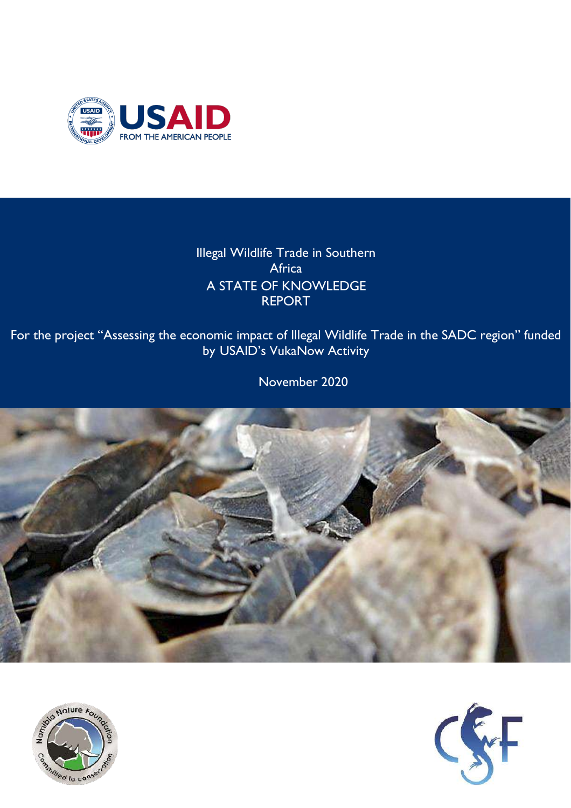

Illegal Wildlife Trade in Southern Africa A STATE OF KNOWLEDGE REPORT

For the project "Assessing the economic impact of Illegal Wildlife Trade in the SADC region" funded by USAID's VukaNow Activity

November 2020





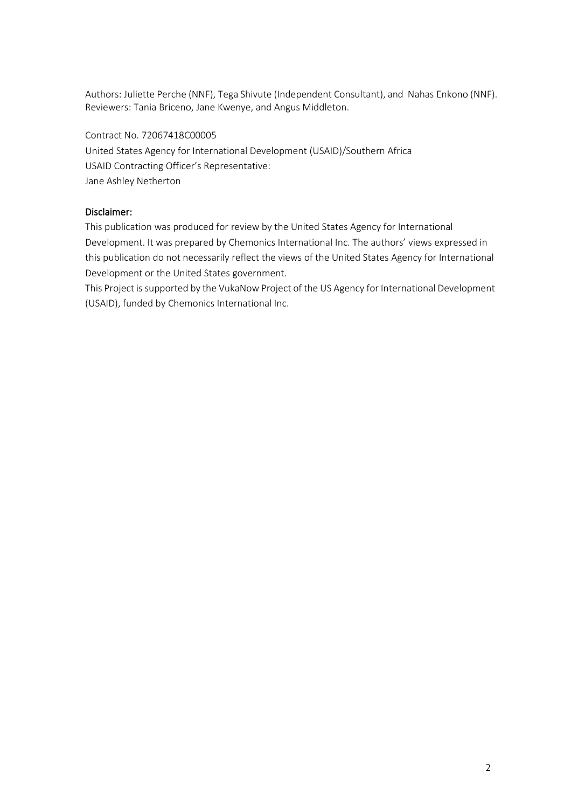Authors: Juliette Perche (NNF), Tega Shivute (Independent Consultant), and Nahas Enkono (NNF). Reviewers: Tania Briceno, Jane Kwenye, and Angus Middleton.

Contract No. 72067418C00005 United States Agency for International Development (USAID)/Southern Africa USAID Contracting Officer's Representative: Jane Ashley Netherton

#### Disclaimer:

This publication was produced for review by the United States Agency for International Development. It was prepared by Chemonics International Inc. The authors' views expressed in this publication do not necessarily reflect the views of the United States Agency for International Development or the United States government.

This Project is supported by the VukaNow Project of the US Agency for International Development (USAID), funded by Chemonics International Inc.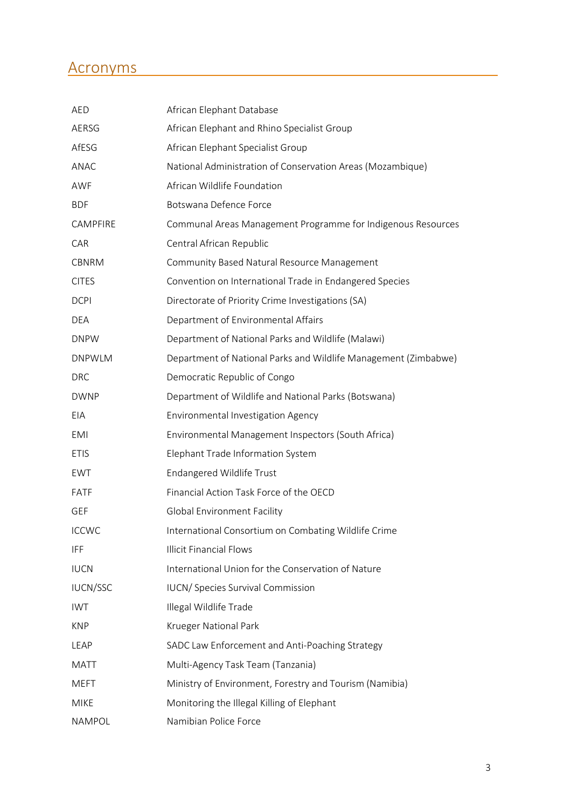## Acronyms

| <b>AED</b>      | African Elephant Database                                       |
|-----------------|-----------------------------------------------------------------|
| AERSG           | African Elephant and Rhino Specialist Group                     |
| AfESG           | African Elephant Specialist Group                               |
| <b>ANAC</b>     | National Administration of Conservation Areas (Mozambique)      |
| AWF             | African Wildlife Foundation                                     |
| <b>BDF</b>      | Botswana Defence Force                                          |
| CAMPFIRE        | Communal Areas Management Programme for Indigenous Resources    |
| CAR             | Central African Republic                                        |
| CBNRM           | Community Based Natural Resource Management                     |
| <b>CITES</b>    | Convention on International Trade in Endangered Species         |
| <b>DCPI</b>     | Directorate of Priority Crime Investigations (SA)               |
| <b>DEA</b>      | Department of Environmental Affairs                             |
| <b>DNPW</b>     | Department of National Parks and Wildlife (Malawi)              |
| <b>DNPWLM</b>   | Department of National Parks and Wildlife Management (Zimbabwe) |
| <b>DRC</b>      | Democratic Republic of Congo                                    |
| <b>DWNP</b>     | Department of Wildlife and National Parks (Botswana)            |
| EIA             | Environmental Investigation Agency                              |
| <b>EMI</b>      | Environmental Management Inspectors (South Africa)              |
| <b>ETIS</b>     | Elephant Trade Information System                               |
| EWT             | <b>Endangered Wildlife Trust</b>                                |
| FATF            | Financial Action Task Force of the OECD                         |
| <b>GEF</b>      | <b>Global Environment Facility</b>                              |
| <b>ICCWC</b>    | International Consortium on Combating Wildlife Crime            |
| <b>IFF</b>      | <b>Illicit Financial Flows</b>                                  |
| <b>IUCN</b>     | International Union for the Conservation of Nature              |
| <b>IUCN/SSC</b> | <b>IUCN/Species Survival Commission</b>                         |
| <b>IWT</b>      | Illegal Wildlife Trade                                          |
| <b>KNP</b>      | <b>Krueger National Park</b>                                    |
| LEAP            | SADC Law Enforcement and Anti-Poaching Strategy                 |
| <b>MATT</b>     | Multi-Agency Task Team (Tanzania)                               |
| <b>MEFT</b>     | Ministry of Environment, Forestry and Tourism (Namibia)         |
| <b>MIKE</b>     | Monitoring the Illegal Killing of Elephant                      |
| NAMPOL          | Namibian Police Force                                           |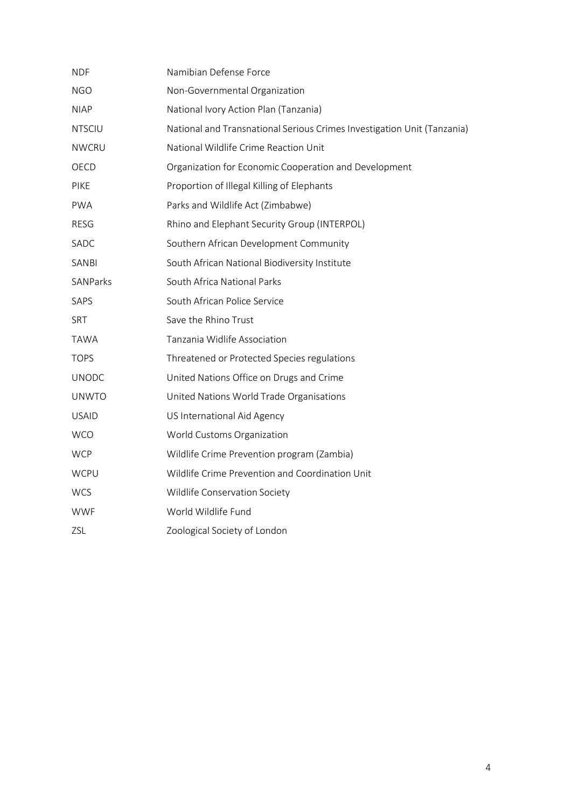| <b>NDF</b>    | Namibian Defense Force                                                  |
|---------------|-------------------------------------------------------------------------|
| <b>NGO</b>    | Non-Governmental Organization                                           |
| <b>NIAP</b>   | National Ivory Action Plan (Tanzania)                                   |
| <b>NTSCIU</b> | National and Transnational Serious Crimes Investigation Unit (Tanzania) |
| <b>NWCRU</b>  | National Wildlife Crime Reaction Unit                                   |
| OECD          | Organization for Economic Cooperation and Development                   |
| <b>PIKE</b>   | Proportion of Illegal Killing of Elephants                              |
| <b>PWA</b>    | Parks and Wildlife Act (Zimbabwe)                                       |
| <b>RESG</b>   | Rhino and Elephant Security Group (INTERPOL)                            |
| SADC          | Southern African Development Community                                  |
| SANBI         | South African National Biodiversity Institute                           |
| SANParks      | South Africa National Parks                                             |
| SAPS          | South African Police Service                                            |
| <b>SRT</b>    | Save the Rhino Trust                                                    |
| <b>TAWA</b>   | Tanzania Widlife Association                                            |
| <b>TOPS</b>   | Threatened or Protected Species regulations                             |
| <b>UNODC</b>  | United Nations Office on Drugs and Crime                                |
| <b>UNWTO</b>  | United Nations World Trade Organisations                                |
| <b>USAID</b>  | US International Aid Agency                                             |
| <b>WCO</b>    | World Customs Organization                                              |
| <b>WCP</b>    | Wildlife Crime Prevention program (Zambia)                              |
| <b>WCPU</b>   | Wildlife Crime Prevention and Coordination Unit                         |
| <b>WCS</b>    | Wildlife Conservation Society                                           |
| <b>WWF</b>    | World Wildlife Fund                                                     |
| ZSL           | Zoological Society of London                                            |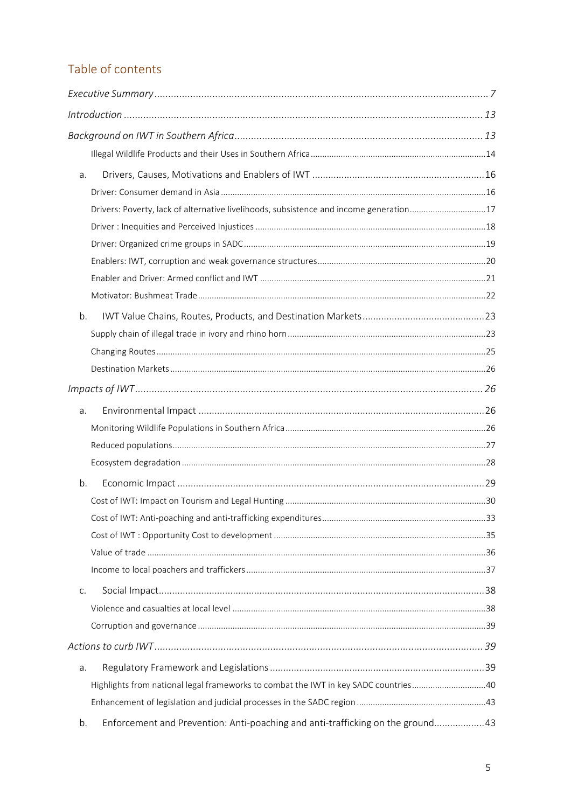## Table of contents

| a. |                                                                                        |  |
|----|----------------------------------------------------------------------------------------|--|
|    |                                                                                        |  |
|    | Drivers: Poverty, lack of alternative livelihoods, subsistence and income generation17 |  |
|    |                                                                                        |  |
|    |                                                                                        |  |
|    |                                                                                        |  |
|    |                                                                                        |  |
|    |                                                                                        |  |
| b. |                                                                                        |  |
|    |                                                                                        |  |
|    |                                                                                        |  |
|    |                                                                                        |  |
|    |                                                                                        |  |
| a. |                                                                                        |  |
|    |                                                                                        |  |
|    |                                                                                        |  |
|    |                                                                                        |  |
| b. |                                                                                        |  |
|    |                                                                                        |  |
|    |                                                                                        |  |
|    |                                                                                        |  |
|    |                                                                                        |  |
|    |                                                                                        |  |
| C. |                                                                                        |  |
|    |                                                                                        |  |
|    |                                                                                        |  |
|    |                                                                                        |  |
| a. |                                                                                        |  |
|    | Highlights from national legal frameworks to combat the IWT in key SADC countries40    |  |
|    |                                                                                        |  |
| b. | Enforcement and Prevention: Anti-poaching and anti-trafficking on the ground43         |  |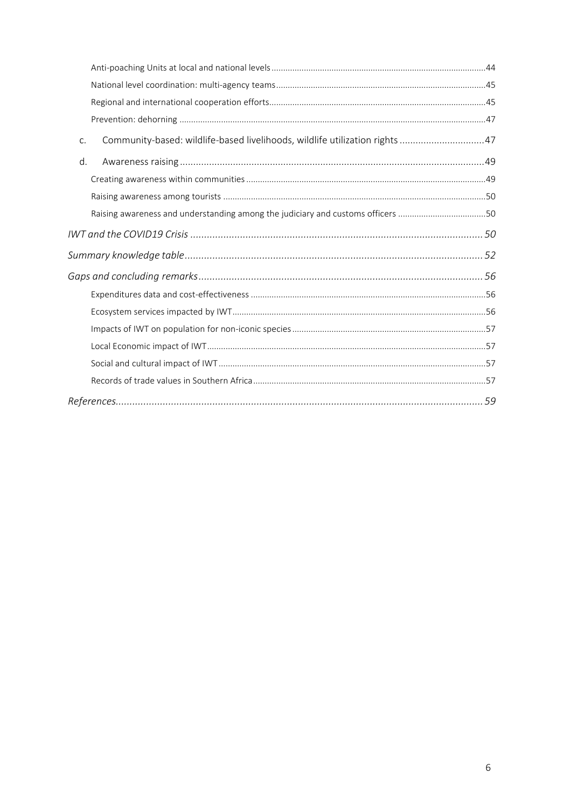| C. | Community-based: wildlife-based livelihoods, wildlife utilization rights 47     |  |
|----|---------------------------------------------------------------------------------|--|
| d. |                                                                                 |  |
|    |                                                                                 |  |
|    |                                                                                 |  |
|    | Raising awareness and understanding among the judiciary and customs officers 50 |  |
|    |                                                                                 |  |
|    |                                                                                 |  |
|    |                                                                                 |  |
|    |                                                                                 |  |
|    |                                                                                 |  |
|    |                                                                                 |  |
|    |                                                                                 |  |
|    |                                                                                 |  |
|    |                                                                                 |  |
|    |                                                                                 |  |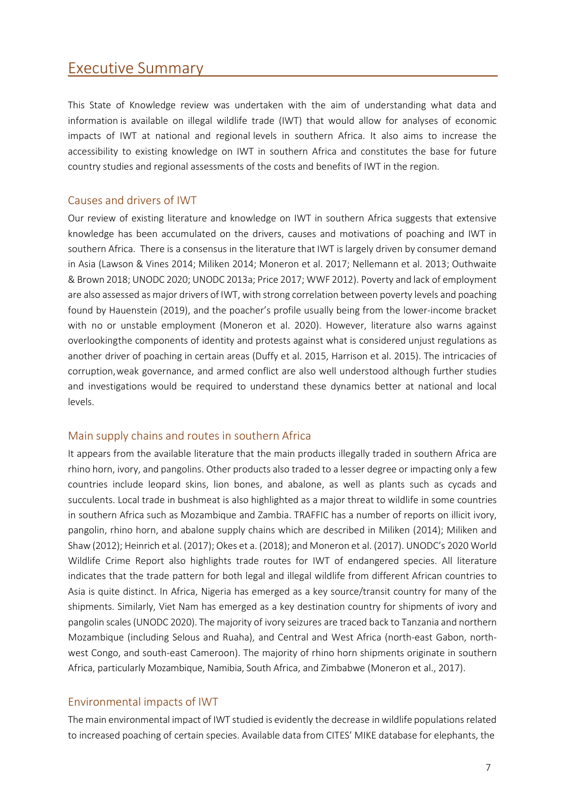## <span id="page-6-0"></span>Executive Summary

This State of Knowledge review was undertaken with the aim of understanding what data and information is available on illegal wildlife trade (IWT) that would allow for analyses of economic impacts of IWT at national and regional levels in southern Africa. It also aims to increase the accessibility to existing knowledge on IWT in southern Africa and constitutes the base for future country studies and regional assessments of the costs and benefits of IWT in the region.

#### Causes and drivers of IWT

Our review of existing literature and knowledge on IWT in southern Africa suggests that extensive knowledge has been accumulated on the drivers, causes and motivations of poaching and IWT in southern Africa. There is a consensus in the literature that IWT is largely driven by consumer demand in Asia (Lawson & Vines 2014; Miliken 2014; Moneron et al. 2017; Nellemann et al. 2013; Outhwaite & Brown 2018; UNODC 2020; UNODC 2013a; Price 2017; WWF 2012). Poverty and lack of employment are also assessed as major drivers of IWT, with strong correlation between poverty levels and poaching found by Hauenstein (2019), and the poacher's profile usually being from the lower-income bracket with no or unstable employment (Moneron et al. 2020). However, literature also warns against overlookingthe components of identity and protests against what is considered unjust regulations as another driver of poaching in certain areas (Duffy et al. 2015, Harrison et al. 2015). The intricacies of corruption,weak governance, and armed conflict are also well understood although further studies and investigations would be required to understand these dynamics better at national and local levels.

## Main supply chains and routes in southern Africa

It appears from the available literature that the main products illegally traded in southern Africa are rhino horn, ivory, and pangolins. Other products also traded to a lesser degree or impacting only a few countries include leopard skins, lion bones, and abalone, as well as plants such as cycads and succulents. Local trade in bushmeat is also highlighted as a major threat to wildlife in some countries in southern Africa such as Mozambique and Zambia. TRAFFIC has a number of reports on illicit ivory, pangolin, rhino horn, and abalone supply chains which are described in Miliken (2014); Miliken and Shaw(2012); Heinrich et al. (2017); Okes et a. (2018); and Moneron et al. (2017). UNODC's 2020 World Wildlife Crime Report also highlights trade routes for IWT of endangered species. All literature indicates that the trade pattern for both legal and illegal wildlife from different African countries to Asia is quite distinct. In Africa, Nigeria has emerged as a key source/transit country for many of the shipments. Similarly, Viet Nam has emerged as a key destination country for shipments of ivory and pangolin scales(UNODC 2020). The majority of ivory seizures are traced back to Tanzania and northern Mozambique (including Selous and Ruaha), and Central and West Africa (north-east Gabon, northwest Congo, and south-east Cameroon). The majority of rhino horn shipments originate in southern Africa, particularly Mozambique, Namibia, South Africa, and Zimbabwe (Moneron et al., 2017).

## Environmental impacts of IWT

The main environmental impact of IWT studied is evidently the decrease in wildlife populations related to increased poaching of certain species. Available data from CITES' MIKE database for elephants, the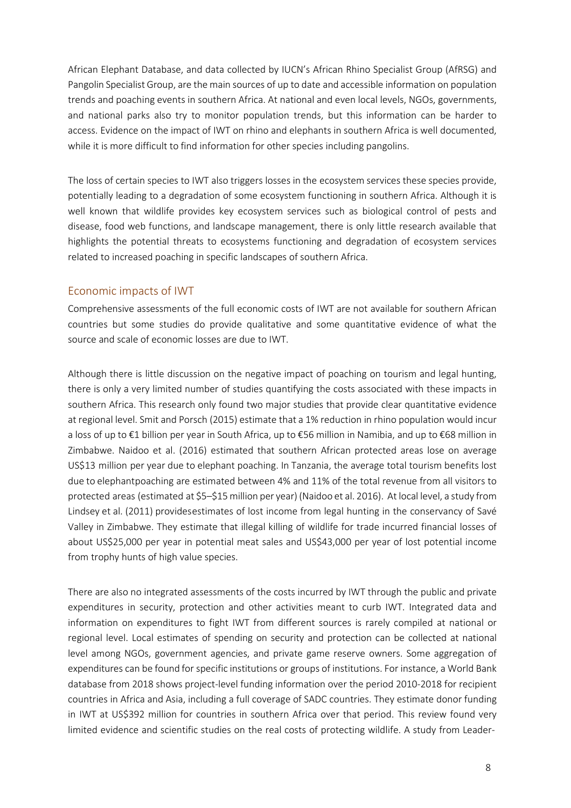African Elephant Database, and data collected by IUCN's African Rhino Specialist Group (AfRSG) and Pangolin Specialist Group, are the main sources of up to date and accessible information on population trends and poaching events in southern Africa. At national and even local levels, NGOs, governments, and national parks also try to monitor population trends, but this information can be harder to access. Evidence on the impact of IWT on rhino and elephants in southern Africa is well documented, while it is more difficult to find information for other species including pangolins.

The loss of certain species to IWT also triggers losses in the ecosystem services these species provide, potentially leading to a degradation of some ecosystem functioning in southern Africa. Although it is well known that wildlife provides key ecosystem services such as biological control of pests and disease, food web functions, and landscape management, there is only little research available that highlights the potential threats to ecosystems functioning and degradation of ecosystem services related to increased poaching in specific landscapes of southern Africa.

#### Economic impacts of IWT

Comprehensive assessments of the full economic costs of IWT are not available for southern African countries but some studies do provide qualitative and some quantitative evidence of what the source and scale of economic losses are due to IWT.

Although there is little discussion on the negative impact of poaching on tourism and legal hunting, there is only a very limited number of studies quantifying the costs associated with these impacts in southern Africa. This research only found two major studies that provide clear quantitative evidence at regional level. Smit and Porsch (2015) estimate that a 1% reduction in rhino population would incur a loss of up to €1 billion per year in South Africa, up to €56 million in Namibia, and up to €68 million in Zimbabwe. Naidoo et al. (2016) estimated that southern African protected areas lose on average US\$13 million per year due to elephant poaching. In Tanzania, the average total tourism benefits lost due to elephantpoaching are estimated between 4% and 11% of the total revenue from all visitors to protected areas (estimated at \$5–\$15 million per year) (Naidoo et al. 2016). At local level, a study from Lindsey et al. (2011) providesestimates of lost income from legal hunting in the conservancy of Savé Valley in Zimbabwe. They estimate that illegal killing of wildlife for trade incurred financial losses of about US\$25,000 per year in potential meat sales and US\$43,000 per year of lost potential income from trophy hunts of high value species.

There are also no integrated assessments of the costs incurred by IWT through the public and private expenditures in security, protection and other activities meant to curb IWT. Integrated data and information on expenditures to fight IWT from different sources is rarely compiled at national or regional level. Local estimates of spending on security and protection can be collected at national level among NGOs, government agencies, and private game reserve owners. Some aggregation of expenditures can be found for specific institutions or groups of institutions. For instance, a World Bank database from 2018 shows project-level funding information over the period 2010-2018 for recipient countries in Africa and Asia, including a full coverage of SADC countries. They estimate donor funding in IWT at US\$392 million for countries in southern Africa over that period. This review found very limited evidence and scientific studies on the real costs of protecting wildlife. A study from Leader-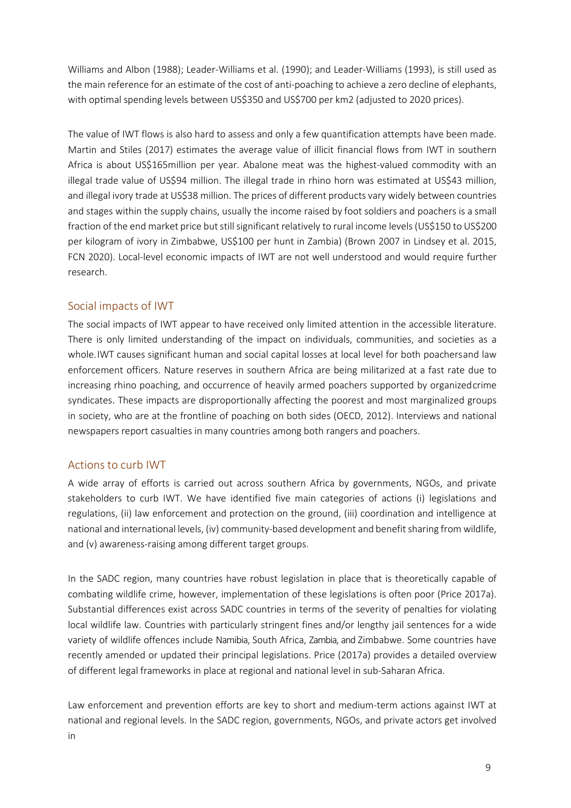Williams and Albon (1988); Leader-Williams et al. (1990); and Leader-Williams (1993), is still used as the main reference for an estimate of the cost of anti-poaching to achieve a zero decline of elephants, with optimal spending levels between US\$350 and US\$700 per km2 (adjusted to 2020 prices).

The value of IWT flows is also hard to assess and only a few quantification attempts have been made. Martin and Stiles (2017) estimates the average value of illicit financial flows from IWT in southern Africa is about US\$165million per year. Abalone meat was the highest-valued commodity with an illegal trade value of US\$94 million. The illegal trade in rhino horn was estimated at US\$43 million, and illegal ivory trade at US\$38 million. The prices of different products vary widely between countries and stages within the supply chains, usually the income raised by foot soldiers and poachers is a small fraction of the end market price but still significant relatively to rural income levels (US\$150 to US\$200 per kilogram of ivory in Zimbabwe, US\$100 per hunt in Zambia) (Brown 2007 in Lindsey et al. 2015, FCN 2020). Local-level economic impacts of IWT are not well understood and would require further research.

## Social impacts of IWT

The social impacts of IWT appear to have received only limited attention in the accessible literature. There is only limited understanding of the impact on individuals, communities, and societies as a whole.IWT causes significant human and social capital losses at local level for both poachersand law enforcement officers. Nature reserves in southern Africa are being militarized at a fast rate due to increasing rhino poaching, and occurrence of heavily armed poachers supported by organizedcrime syndicates. These impacts are disproportionally affecting the poorest and most marginalized groups in society, who are at the frontline of poaching on both sides (OECD, 2012). Interviews and national newspapers report casualties in many countries among both rangers and poachers.

#### Actions to curb IWT

A wide array of efforts is carried out across southern Africa by governments, NGOs, and private stakeholders to curb IWT. We have identified five main categories of actions (i) legislations and regulations, (ii) law enforcement and protection on the ground, (iii) coordination and intelligence at national and international levels, (iv) community-based development and benefit sharing from wildlife, and (v) awareness-raising among different target groups.

In the SADC region, many countries have robust legislation in place that is theoretically capable of combating wildlife crime, however, implementation of these legislations is often poor (Price 2017a). Substantial differences exist across SADC countries in terms of the severity of penalties for violating local wildlife law. Countries with particularly stringent fines and/or lengthy jail sentences for a wide variety of wildlife offences include Namibia, South Africa, Zambia, and Zimbabwe. Some countries have recently amended or updated their principal legislations. Price (2017a) provides a detailed overview of different legal frameworks in place at regional and national level in sub-Saharan Africa.

Law enforcement and prevention efforts are key to short and medium-term actions against IWT at national and regional levels. In the SADC region, governments, NGOs, and private actors get involved in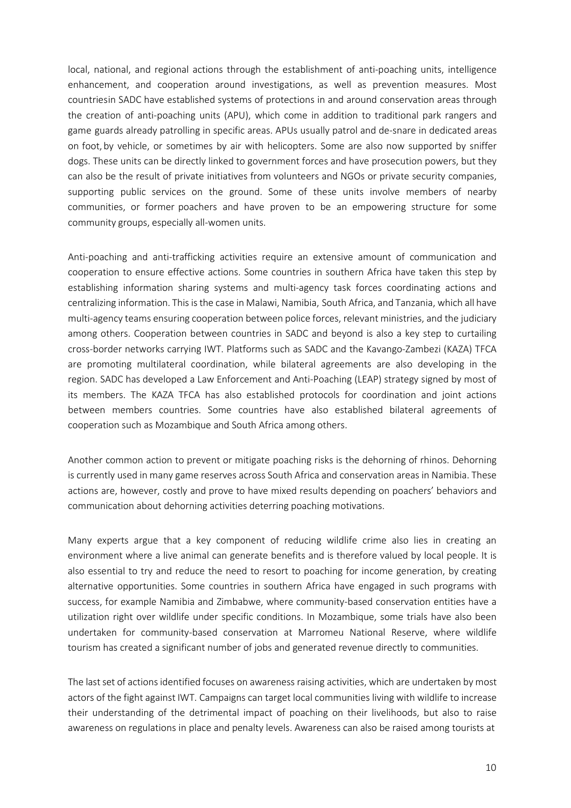local, national, and regional actions through the establishment of anti-poaching units, intelligence enhancement, and cooperation around investigations, as well as prevention measures. Most countriesin SADC have established systems of protections in and around conservation areas through the creation of anti-poaching units (APU), which come in addition to traditional park rangers and game guards already patrolling in specific areas. APUs usually patrol and de-snare in dedicated areas on foot, by vehicle, or sometimes by air with helicopters. Some are also now supported by sniffer dogs. These units can be directly linked to government forces and have prosecution powers, but they can also be the result of private initiatives from volunteers and NGOs or private security companies, supporting public services on the ground. Some of these units involve members of nearby communities, or former poachers and have proven to be an empowering structure for some community groups, especially all-women units.

Anti-poaching and anti-trafficking activities require an extensive amount of communication and cooperation to ensure effective actions. Some countries in southern Africa have taken this step by establishing information sharing systems and multi-agency task forces coordinating actions and centralizing information. This isthe case in Malawi, Namibia, South Africa, and Tanzania, which all have multi-agency teams ensuring cooperation between police forces, relevant ministries, and the judiciary among others. Cooperation between countries in SADC and beyond is also a key step to curtailing cross-border networks carrying IWT. Platforms such as SADC and the Kavango-Zambezi (KAZA) TFCA are promoting multilateral coordination, while bilateral agreements are also developing in the region. SADC has developed a Law Enforcement and Anti-Poaching (LEAP) strategy signed by most of its members. The KAZA TFCA has also established protocols for coordination and joint actions between members countries. Some countries have also established bilateral agreements of cooperation such as Mozambique and South Africa among others.

Another common action to prevent or mitigate poaching risks is the dehorning of rhinos. Dehorning is currently used in many game reserves across South Africa and conservation areas in Namibia. These actions are, however, costly and prove to have mixed results depending on poachers' behaviors and communication about dehorning activities deterring poaching motivations.

Many experts argue that a key component of reducing wildlife crime also lies in creating an environment where a live animal can generate benefits and is therefore valued by local people. It is also essential to try and reduce the need to resort to poaching for income generation, by creating alternative opportunities. Some countries in southern Africa have engaged in such programs with success, for example Namibia and Zimbabwe, where community-based conservation entities have a utilization right over wildlife under specific conditions. In Mozambique, some trials have also been undertaken for community-based conservation at Marromeu National Reserve, where wildlife tourism has created a significant number of jobs and generated revenue directly to communities.

The last set of actions identified focuses on awareness raising activities, which are undertaken by most actors of the fight against IWT. Campaigns can target local communities living with wildlife to increase their understanding of the detrimental impact of poaching on their livelihoods, but also to raise awareness on regulations in place and penalty levels. Awareness can also be raised among tourists at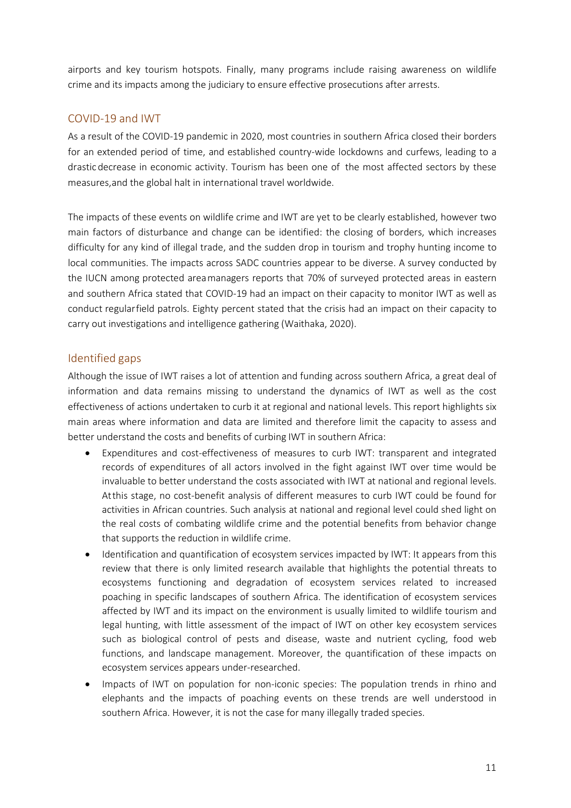airports and key tourism hotspots. Finally, many programs include raising awareness on wildlife crime and its impacts among the judiciary to ensure effective prosecutions after arrests.

## COVID-19 and IWT

As a result of the COVID-19 pandemic in 2020, most countries in southern Africa closed their borders for an extended period of time, and established country-wide lockdowns and curfews, leading to a drasticdecrease in economic activity. Tourism has been one of the most affected sectors by these measures,and the global halt in international travel worldwide.

The impacts of these events on wildlife crime and IWT are yet to be clearly established, however two main factors of disturbance and change can be identified: the closing of borders, which increases difficulty for any kind of illegal trade, and the sudden drop in tourism and trophy hunting income to local communities. The impacts across SADC countries appear to be diverse. A survey conducted by the IUCN among protected areamanagers reports that 70% of surveyed protected areas in eastern and southern Africa stated that COVID-19 had an impact on their capacity to monitor IWT as well as conduct regularfield patrols. Eighty percent stated that the crisis had an impact on their capacity to carry out investigations and intelligence gathering (Waithaka, 2020).

## Identified gaps

Although the issue of IWT raises a lot of attention and funding across southern Africa, a great deal of information and data remains missing to understand the dynamics of IWT as well as the cost effectiveness of actions undertaken to curb it at regional and national levels. This report highlights six main areas where information and data are limited and therefore limit the capacity to assess and better understand the costs and benefits of curbing IWT in southern Africa:

- Expenditures and cost-effectiveness of measures to curb IWT: transparent and integrated records of expenditures of all actors involved in the fight against IWT over time would be invaluable to better understand the costs associated with IWT at national and regional levels. Atthis stage, no cost-benefit analysis of different measures to curb IWT could be found for activities in African countries. Such analysis at national and regional level could shed light on the real costs of combating wildlife crime and the potential benefits from behavior change that supports the reduction in wildlife crime.
- Identification and quantification of ecosystem services impacted by IWT: It appears from this review that there is only limited research available that highlights the potential threats to ecosystems functioning and degradation of ecosystem services related to increased poaching in specific landscapes of southern Africa. The identification of ecosystem services affected by IWT and its impact on the environment is usually limited to wildlife tourism and legal hunting, with little assessment of the impact of IWT on other key ecosystem services such as biological control of pests and disease, waste and nutrient cycling, food web functions, and landscape management. Moreover, the quantification of these impacts on ecosystem services appears under-researched.
- Impacts of IWT on population for non-iconic species: The population trends in rhino and elephants and the impacts of poaching events on these trends are well understood in southern Africa. However, it is not the case for many illegally traded species.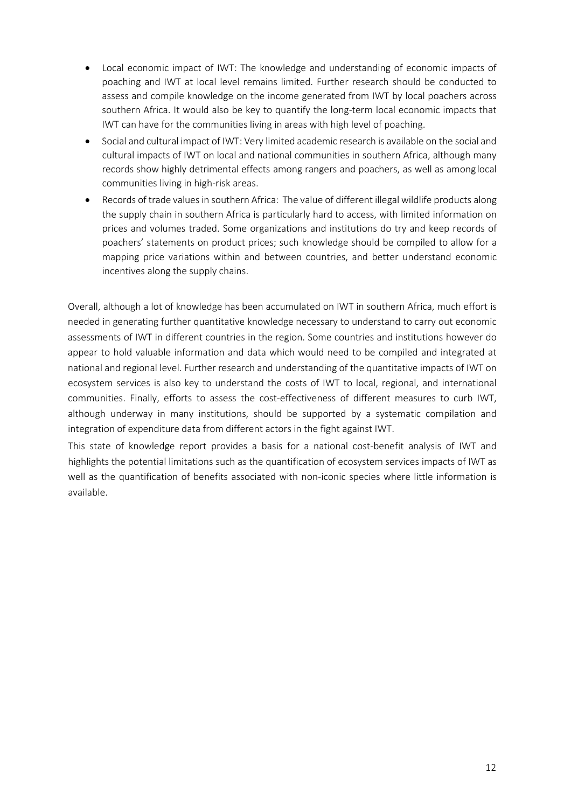- Local economic impact of IWT: The knowledge and understanding of economic impacts of poaching and IWT at local level remains limited. Further research should be conducted to assess and compile knowledge on the income generated from IWT by local poachers across southern Africa. It would also be key to quantify the long-term local economic impacts that IWT can have for the communities living in areas with high level of poaching.
- Social and cultural impact of IWT: Very limited academic research is available on the social and cultural impacts of IWT on local and national communities in southern Africa, although many records show highly detrimental effects among rangers and poachers, as well as amonglocal communities living in high-risk areas.
- Records of trade values in southern Africa: The value of different illegal wildlife products along the supply chain in southern Africa is particularly hard to access, with limited information on prices and volumes traded. Some organizations and institutions do try and keep records of poachers' statements on product prices; such knowledge should be compiled to allow for a mapping price variations within and between countries, and better understand economic incentives along the supply chains.

Overall, although a lot of knowledge has been accumulated on IWT in southern Africa, much effort is needed in generating further quantitative knowledge necessary to understand to carry out economic assessments of IWT in different countries in the region. Some countries and institutions however do appear to hold valuable information and data which would need to be compiled and integrated at national and regional level. Further research and understanding of the quantitative impacts of IWT on ecosystem services is also key to understand the costs of IWT to local, regional, and international communities. Finally, efforts to assess the cost-effectiveness of different measures to curb IWT, although underway in many institutions, should be supported by a systematic compilation and integration of expenditure data from different actors in the fight against IWT.

This state of knowledge report provides a basis for a national cost-benefit analysis of IWT and highlights the potential limitations such as the quantification of ecosystem services impacts of IWT as well as the quantification of benefits associated with non-iconic species where little information is available.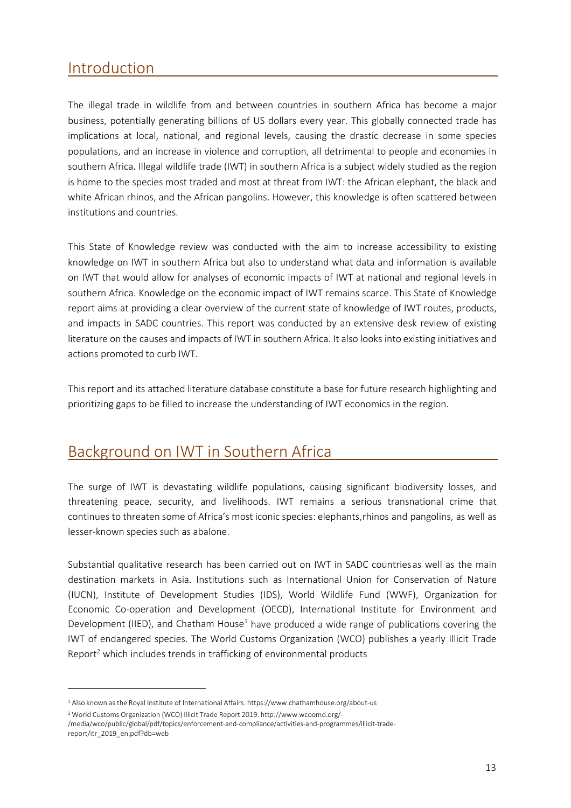# <span id="page-12-0"></span>Introduction

The illegal trade in wildlife from and between countries in southern Africa has become a major business, potentially generating billions of US dollars every year. This globally connected trade has implications at local, national, and regional levels, causing the drastic decrease in some species populations, and an increase in violence and corruption, all detrimental to people and economies in southern Africa. Illegal wildlife trade (IWT) in southern Africa is a subject widely studied as the region is home to the species most traded and most at threat from IWT: the African elephant, the black and white African rhinos, and the African pangolins. However, this knowledge is often scattered between institutions and countries.

This State of Knowledge review was conducted with the aim to increase accessibility to existing knowledge on IWT in southern Africa but also to understand what data and information is available on IWT that would allow for analyses of economic impacts of IWT at national and regional levels in southern Africa. Knowledge on the economic impact of IWT remains scarce. This State of Knowledge report aims at providing a clear overview of the current state of knowledge of IWT routes, products, and impacts in SADC countries. This report was conducted by an extensive desk review of existing literature on the causes and impacts of IWT in southern Africa. It also looks into existing initiatives and actions promoted to curb IWT.

This report and its attached literature database constitute a base for future research highlighting and prioritizing gaps to be filled to increase the understanding of IWT economics in the region.

# <span id="page-12-1"></span>Background on IWT in Southern Africa

The surge of IWT is devastating wildlife populations, causing significant biodiversity losses, and threatening peace, security, and livelihoods. IWT remains a serious transnational crime that continues to threaten some of Africa's most iconic species: elephants,rhinos and pangolins, as well as lesser-known species such as abalone.

Substantial qualitative research has been carried out on IWT in SADC countriesas well as the main destination markets in Asia. Institutions such as International Union for Conservation of Nature (IUCN), Institute of Development Studies (IDS), World Wildlife Fund (WWF), Organization for Economic Co-operation and Development (OECD), International Institute for Environment and Development (IIED), and Chatham House<sup>1</sup> have produced a wide range of publications covering the IWT of endangered species. The World Customs Organization (WCO) publishes a yearly Illicit Trade Report<sup>2</sup> which includes trends in trafficking of environmental products

<span id="page-12-2"></span><sup>1</sup> Also known as the Royal Institute of International Affairs. https:/[/www.chathamhouse.org/about-us](http://www.chathamhouse.org/about-us)

<span id="page-12-3"></span><sup>2</sup> World Customs Organization (WCO) Illicit Trade Report 2019. <http://www.wcoomd.org/->

<sup>/</sup>media/wco/public/global/pdf/topics/enforcement-and-compliance/activities-and-programmes/illicit-tradereport/itr\_2019\_en.pdf?db=web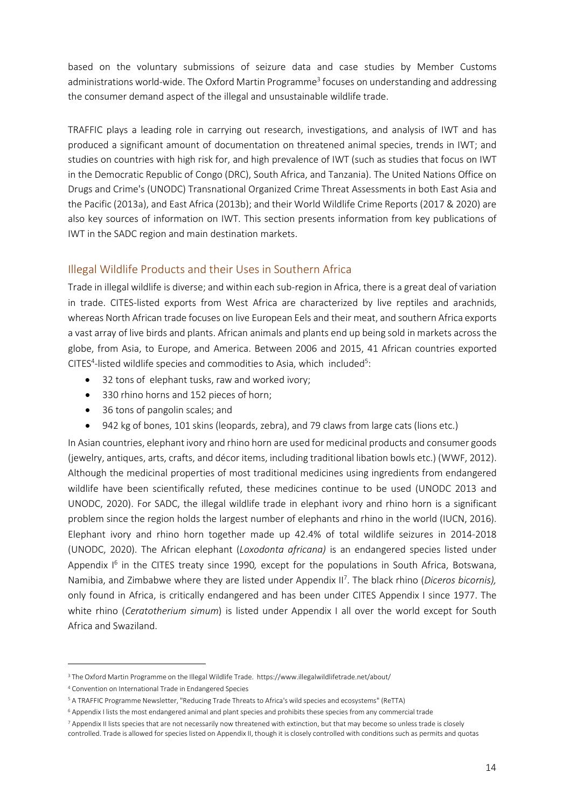based on the voluntary submissions of seizure data and case studies by Member Customs administrations world-wide. The Oxford Martin Programme<sup>3</sup> focuses on understanding and addressing the consumer demand aspect of the illegal and unsustainable wildlife trade.

TRAFFIC plays a leading role in carrying out research, investigations, and analysis of IWT and has produced a significant amount of documentation on threatened animal species, trends in IWT; and studies on countries with high risk for, and high prevalence of IWT (such as studies that focus on IWT in the Democratic Republic of Congo (DRC), South Africa, and Tanzania). The United Nations Office on Drugs and Crime's (UNODC) Transnational Organized Crime Threat Assessments in both East Asia and the Pacific (2013a), and East Africa (2013b); and their World Wildlife Crime Reports (2017 & 2020) are also key sources of information on IWT. This section presents information from key publications of IWT in the SADC region and main destination markets.

#### <span id="page-13-0"></span>Illegal Wildlife Products and their Uses in Southern Africa

Trade in illegal wildlife is diverse; and within each sub-region in Africa, there is a great deal of variation in trade. CITES-listed exports from West Africa are characterized by live reptiles and arachnids, whereas North African trade focuses on live European Eels and their meat, and southern Africa exports a vast array of live birds and plants. African animals and plants end up being sold in markets across the globe, from Asia, to Europe, and America. Between 2006 and 2015, 41 African countries exported CITES<sup>4</sup>-listed wildlife species and commodities to Asia, which included<sup>5</sup>:

- 32 tons of elephant tusks, raw and worked ivory;
- 330 rhino horns and 152 pieces of horn;
- 36 tons of pangolin scales; and
- 942 kg of bones, 101 skins (leopards, zebra), and 79 claws from large cats (lions etc.)

In Asian countries, elephant ivory and rhino horn are used for medicinal products and consumer goods (jewelry, antiques, arts, crafts, and décor items, including traditional libation bowls etc.) (WWF, 2012). Although the medicinal properties of most traditional medicines using ingredients from endangered wildlife have been scientifically refuted, these medicines continue to be used (UNODC 2013 and UNODC, 2020). For SADC, the illegal wildlife trade in elephant ivory and rhino horn is a significant problem since the region holds the largest number of elephants and rhino in the world (IUCN, 2016). Elephant ivory and rhino horn together made up 42.4% of total wildlife seizures in 2014-2018 (UNODC, 2020). The African elephant (*Loxodonta africana)* is an endangered species listed under Appendix I<sup>6</sup> in the CITES treaty since 1990, except for the populations in South Africa, Botswana, Namibia, and Zimbabwe where they are listed under Appendix I[I7](#page-13-5) . The black rhino (*Diceros bicornis),* only found in Africa, is critically endangered and has been under CITES Appendix I since 1977. The white rhino (*Ceratotherium simum*) is listed under Appendix I all over the world except for South Africa and Swaziland.

<span id="page-13-1"></span><sup>3</sup> The Oxford Martin Programme on the Illegal Wildlife Trade. https:/[/www.illegalwildlifetrade.net/about/](http://www.illegalwildlifetrade.net/about/)

<span id="page-13-2"></span><sup>4</sup> Convention on International Trade in Endangered Species

<span id="page-13-3"></span><sup>5</sup> A TRAFFIC Programme Newsletter,"Reducing Trade Threats to Africa's wild species and ecosystems" (ReTTA)

<span id="page-13-4"></span><sup>6</sup> Appendix I lists the most endangered animal and plant species and prohibits these species from any commercial trade

<span id="page-13-5"></span><sup>&</sup>lt;sup>7</sup> Appendix II lists species that are not necessarily now threatened with extinction, but that may become so unless trade is closely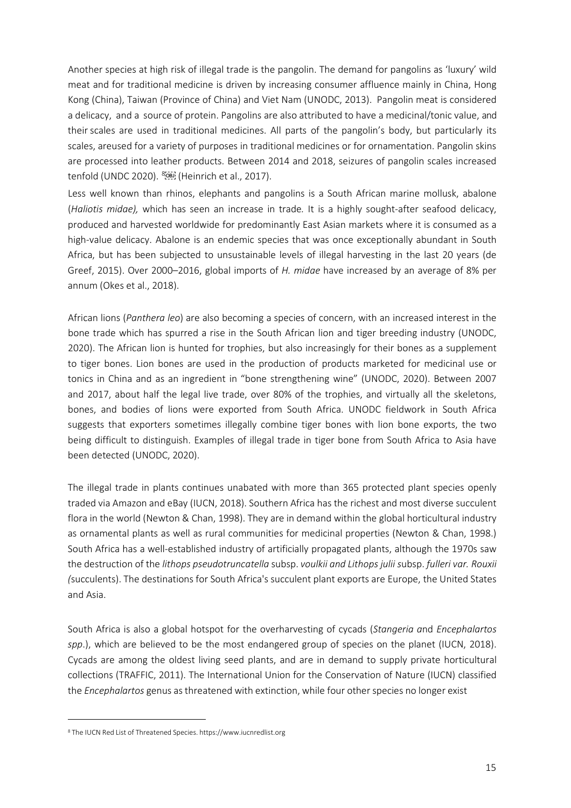Another species at high risk of illegal trade is the pangolin. The demand for pangolins as 'luxury' wild meat and for traditional medicine is driven by increasing consumer affluence mainly in China, Hong Kong (China), Taiwan (Province of China) and Viet Nam (UNODC, 2013). Pangolin meat is considered a delicacy, and a source of protein. Pangolins are also attributed to have a medicinal/tonic value, and theirscales are used in traditional medicines. All parts of the pangolin's body, but particularly its scales, areused for a variety of purposes in traditional medicines or for ornamentation. Pangolin skins are processed into leather products. Between 2014 and 2018, seizures of pangolin scales increased tenfold (UNDC 2020). [8](#page-14-0) (Heinrich et al., 2017).

Less well known than rhinos, elephants and pangolins is a South African marine mollusk, abalone (*Haliotis midae),* which has seen an increase in trade*.* It is a highly sought-after seafood delicacy, produced and harvested worldwide for predominantly East Asian markets where it is consumed as a high-value delicacy. Abalone is an endemic species that was once exceptionally abundant in South Africa, but has been subjected to unsustainable levels of illegal harvesting in the last 20 years (de Greef, 2015). Over 2000–2016, global imports of *H. midae* have increased by an average of 8% per annum (Okes et al., 2018).

African lions (*Panthera leo*) are also becoming a species of concern, with an increased interest in the bone trade which has spurred a rise in the South African lion and tiger breeding industry (UNODC, 2020). The African lion is hunted for trophies, but also increasingly for their bones as a supplement to tiger bones. Lion bones are used in the production of products marketed for medicinal use or tonics in China and as an ingredient in "bone strengthening wine" (UNODC, 2020). Between 2007 and 2017, about half the legal live trade, over 80% of the trophies, and virtually all the skeletons, bones, and bodies of lions were exported from South Africa. UNODC fieldwork in South Africa suggests that exporters sometimes illegally combine tiger bones with lion bone exports, the two being difficult to distinguish. Examples of illegal trade in tiger bone from South Africa to Asia have been detected (UNODC, 2020).

The illegal trade in plants continues unabated with more than 365 protected plant species openly traded via Amazon and eBay (IUCN, 2018). Southern Africa has the richest and most diverse succulent flora in the world (Newton & Chan, 1998). They are in demand within the global horticultural industry as ornamental plants as well as rural communities for medicinal properties (Newton & Chan, 1998.) South Africa has a well-established industry of artificially propagated plants, although the 1970s saw the destruction of the *lithops pseudotruncatella* subsp. *voulkii and Lithops julii s*ubsp. *fulleri var. Rouxii (*succulents). The destinations for South Africa's succulent plant exports are Europe, the United States and Asia.

South Africa is also a global hotspot for the overharvesting of cycads (*Stangeria a*nd *Encephalartos spp*.), which are believed to be the most endangered group of species on the planet (IUCN, 2018). Cycads are among the oldest living seed plants, and are in demand to supply private horticultural collections (TRAFFIC, 2011). The International Union for the Conservation of Nature (IUCN) classified the *Encephalartos* genus as threatened with extinction, while four other species no longer exist

<span id="page-14-0"></span><sup>8</sup> The IUCN Red List of Threatened Species. https:/[/www.iucnredlist.org](http://www.iucnredlist.org/)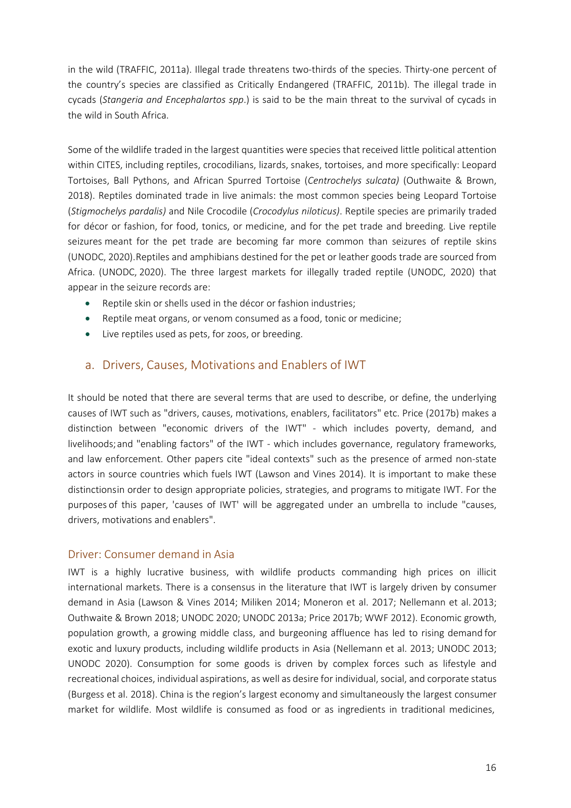in the wild (TRAFFIC, 2011a). Illegal trade threatens two-thirds of the species. Thirty-one percent of the country's species are classified as Critically Endangered (TRAFFIC, 2011b). The illegal trade in cycads (*Stangeria and Encephalartos spp*.) is said to be the main threat to the survival of cycads in the wild in South Africa.

Some of the wildlife traded in the largest quantities were species that received little political attention within CITES, including reptiles, crocodilians, lizards, snakes, tortoises, and more specifically: Leopard Tortoises, Ball Pythons, and African Spurred Tortoise (*Centrochelys sulcata)* (Outhwaite & Brown, 2018). Reptiles dominated trade in live animals: the most common species being Leopard Tortoise (*Stigmochelys pardalis)* and Nile Crocodile (*Crocodylus niloticus)*. Reptile species are primarily traded for décor or fashion, for food, tonics, or medicine, and for the pet trade and breeding. Live reptile seizures meant for the pet trade are becoming far more common than seizures of reptile skins (UNODC, 2020).Reptiles and amphibians destined for the pet or leather goods trade are sourced from Africa. (UNODC, 2020). The three largest markets for illegally traded reptile (UNODC, 2020) that appear in the seizure records are:

- Reptile skin or shells used in the décor or fashion industries;
- Reptile meat organs, or venom consumed as a food, tonic or medicine;
- Live reptiles used as pets, for zoos, or breeding.

## a. Drivers, Causes, Motivations and Enablers of IWT

<span id="page-15-0"></span>It should be noted that there are several terms that are used to describe, or define, the underlying causes of IWT such as "drivers, causes, motivations, enablers, facilitators" etc. Price (2017b) makes a distinction between "economic drivers of the IWT" - which includes poverty, demand, and livelihoods;and "enabling factors" of the IWT - which includes governance, regulatory frameworks, and law enforcement. Other papers cite "ideal contexts" such as the presence of armed non-state actors in source countries which fuels IWT (Lawson and Vines 2014). It is important to make these distinctionsin order to design appropriate policies, strategies, and programs to mitigate IWT. For the purposes of this paper, 'causes of IWT' will be aggregated under an umbrella to include "causes, drivers, motivations and enablers".

#### <span id="page-15-1"></span>Driver: Consumer demand in Asia

IWT is a highly lucrative business, with wildlife products commanding high prices on illicit international markets. There is a consensus in the literature that IWT is largely driven by consumer demand in Asia (Lawson & Vines 2014; Miliken 2014; Moneron et al. 2017; Nellemann et al. 2013; Outhwaite & Brown 2018; UNODC 2020; UNODC 2013a; Price 2017b; WWF 2012). Economic growth, population growth, a growing middle class, and burgeoning affluence has led to rising demand for exotic and luxury products, including wildlife products in Asia (Nellemann et al. 2013; UNODC 2013; UNODC 2020). Consumption for some goods is driven by complex forces such as lifestyle and recreational choices, individual aspirations, as well as desire for individual, social, and corporate status (Burgess et al. 2018). China is the region's largest economy and simultaneously the largest consumer market for wildlife. Most wildlife is consumed as food or as ingredients in traditional medicines,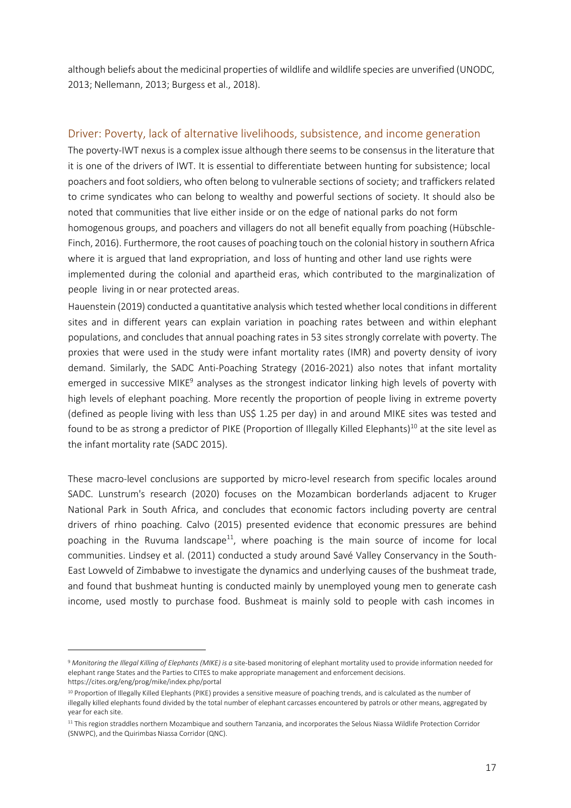although beliefs about the medicinal properties of wildlife and wildlife species are unverified (UNODC, 2013; Nellemann, 2013; Burgess et al., 2018).

#### <span id="page-16-0"></span>Driver: Poverty, lack of alternative livelihoods, subsistence, and income generation

The poverty-IWT nexus is a complex issue although there seems to be consensus in the literature that it is one of the drivers of IWT. It is essential to differentiate between hunting for subsistence; local poachers and footsoldiers, who often belong to vulnerable sections of society; and traffickers related to crime syndicates who can belong to wealthy and powerful sections of society. It should also be noted that communities that live either inside or on the edge of national parks do not form homogenous groups, and poachers and villagers do not all benefit equally from poaching (Hübschle-Finch, 2016). Furthermore, the root causes of poaching touch on the colonial history in southern Africa where it is argued that land expropriation, and loss of hunting and other land use rights were implemented during the colonial and apartheid eras, which contributed to the marginalization of people living in or near protected areas.

Hauenstein (2019) conducted a quantitative analysis which tested whether local conditions in different sites and in different years can explain variation in poaching rates between and within elephant populations, and concludes that annual poaching rates in 53 sites strongly correlate with poverty. The proxies that were used in the study were infant mortality rates (IMR) and poverty density of ivory demand. Similarly, the SADC Anti-Poaching Strategy (2016-2021) also notes that infant mortality emerged in successive MIKE<sup>9</sup> analyses as the strongest indicator linking high levels of poverty with high levels of elephant poaching. More recently the proportion of people living in extreme poverty (defined as people living with less than US\$ 1.25 per day) in and around MIKE sites was tested and found to be as strong a predictor of PIKE (Proportion of Illegally Killed Elephants)<sup>10</sup> at the site level as the infant mortality rate (SADC 2015).

These macro-level conclusions are supported by micro-level research from specific locales around SADC. Lunstrum's research (2020) focuses on the Mozambican borderlands adjacent to Kruger National Park in South Africa, and concludes that economic factors including poverty are central drivers of rhino poaching. Calvo (2015) presented evidence that economic pressures are behind poaching in the Ruvuma landscape<sup>11</sup>, where poaching is the main source of income for local communities. Lindsey et al. (2011) conducted a study around Savé Valley Conservancy in the South-East Lowveld of Zimbabwe to investigate the dynamics and underlying causes of the bushmeat trade, and found that bushmeat hunting is conducted mainly by unemployed young men to generate cash income, used mostly to purchase food. Bushmeat is mainly sold to people with cash incomes in

<span id="page-16-1"></span><sup>9</sup> *Monitoring the Illegal Killing of Elephants (MIKE) is a* site-based monitoring of elephant mortality used to provide information needed for elephant range States and the Parties to CITES to make appropriate management and enforcement decisions. https://cites.org/eng/prog/mike/index.php/portal

<span id="page-16-2"></span><sup>10</sup> Proportion of Illegally Killed Elephants (PIKE) provides a sensitive measure of poaching trends, and is calculated as the number of illegally killed elephants found divided by the total number of elephant carcasses encountered by patrols or other means, aggregated by year for each site.

<span id="page-16-3"></span><sup>&</sup>lt;sup>11</sup> This region straddles northern Mozambique and southern Tanzania, and incorporates the Selous Niassa Wildlife Protection Corridor (SNWPC), and the Quirimbas Niassa Corridor (QNC).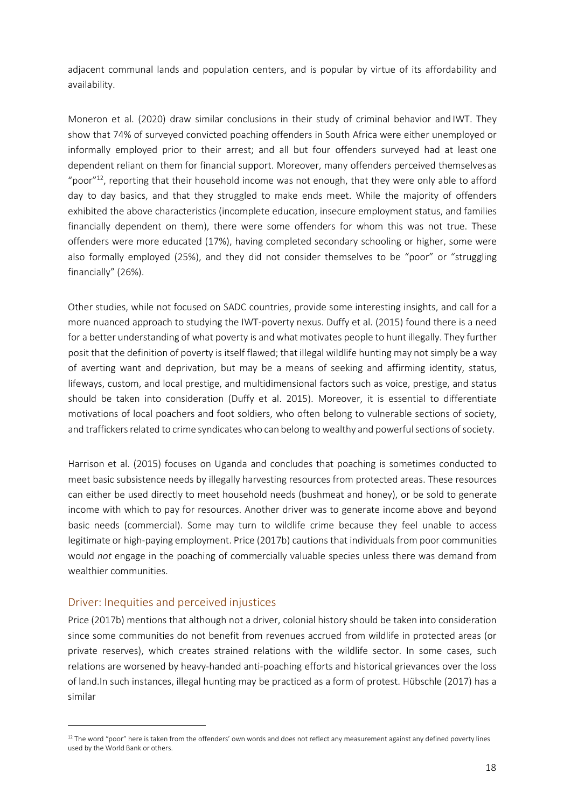adjacent communal lands and population centers, and is popular by virtue of its affordability and availability.

Moneron et al. (2020) draw similar conclusions in their study of criminal behavior and IWT. They show that 74% of surveyed convicted poaching offenders in South Africa were either unemployed or informally employed prior to their arrest; and all but four offenders surveyed had at least one dependent reliant on them for financial support. Moreover, many offenders perceived themselvesas "poor" $^{12}$ , reporting that their household income was not enough, that they were only able to afford day to day basics, and that they struggled to make ends meet. While the majority of offenders exhibited the above characteristics (incomplete education, insecure employment status, and families financially dependent on them), there were some offenders for whom this was not true. These offenders were more educated (17%), having completed secondary schooling or higher, some were also formally employed (25%), and they did not consider themselves to be "poor" or "struggling financially" (26%).

Other studies, while not focused on SADC countries, provide some interesting insights, and call for a more nuanced approach to studying the IWT-poverty nexus. Duffy et al. (2015) found there is a need for a better understanding of what poverty is and what motivates people to hunt illegally. They further posit that the definition of poverty is itself flawed; that illegal wildlife hunting may not simply be a way of averting want and deprivation, but may be a means of seeking and affirming identity, status, lifeways, custom, and local prestige, and multidimensional factors such as voice, prestige, and status should be taken into consideration (Duffy et al. 2015). Moreover, it is essential to differentiate motivations of local poachers and foot soldiers, who often belong to vulnerable sections of society, and traffickers related to crime syndicates who can belong to wealthy and powerful sections of society.

Harrison et al. (2015) focuses on Uganda and concludes that poaching is sometimes conducted to meet basic subsistence needs by illegally harvesting resources from protected areas. These resources can either be used directly to meet household needs (bushmeat and honey), or be sold to generate income with which to pay for resources. Another driver was to generate income above and beyond basic needs (commercial). Some may turn to wildlife crime because they feel unable to access legitimate or high-paying employment. Price (2017b) cautions that individuals from poor communities would *not* engage in the poaching of commercially valuable species unless there was demand from wealthier communities.

#### <span id="page-17-0"></span>Driver: Inequities and perceived injustices

Price (2017b) mentions that although not a driver, colonial history should be taken into consideration since some communities do not benefit from revenues accrued from wildlife in protected areas (or private reserves), which creates strained relations with the wildlife sector. In some cases, such relations are worsened by heavy-handed anti-poaching efforts and historical grievances over the loss of land.In such instances, illegal hunting may be practiced as a form of protest. Hübschle (2017) has a similar

<span id="page-17-1"></span> $12$  The word "poor" here is taken from the offenders' own words and does not reflect any measurement against any defined poverty lines used by the World Bank or others.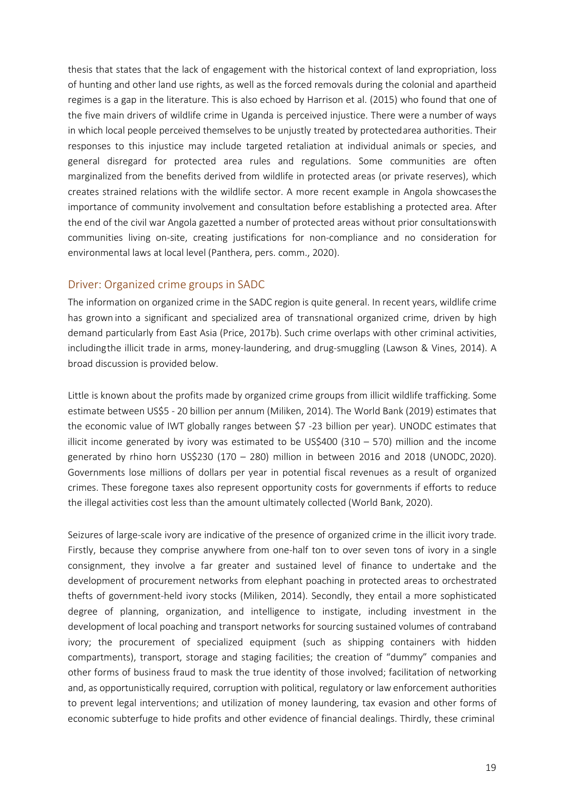thesis that states that the lack of engagement with the historical context of land expropriation, loss of hunting and other land use rights, as well as the forced removals during the colonial and apartheid regimes is a gap in the literature. This is also echoed by Harrison et al. (2015) who found that one of the five main drivers of wildlife crime in Uganda is perceived injustice. There were a number of ways in which local people perceived themselves to be unjustly treated by protectedarea authorities. Their responses to this injustice may include targeted retaliation at individual animals or species, and general disregard for protected area rules and regulations. Some communities are often marginalized from the benefits derived from wildlife in protected areas (or private reserves), which creates strained relations with the wildlife sector. A more recent example in Angola showcasesthe importance of community involvement and consultation before establishing a protected area. After the end of the civil war Angola gazetted a number of protected areas without prior consultationswith communities living on-site, creating justifications for non-compliance and no consideration for environmental laws at local level (Panthera, pers. comm., 2020).

#### <span id="page-18-0"></span>Driver: Organized crime groups in SADC

The information on organized crime in the SADC region is quite general. In recent years, wildlife crime has grown into a significant and specialized area of transnational organized crime, driven by high demand particularly from East Asia (Price, 2017b). Such crime overlaps with other criminal activities, includingthe illicit trade in arms, money-laundering, and drug-smuggling (Lawson & Vines, 2014). A broad discussion is provided below.

Little is known about the profits made by organized crime groups from illicit wildlife trafficking. Some estimate between US\$5 - 20 billion per annum (Miliken, 2014). The World Bank (2019) estimates that the economic value of IWT globally ranges between \$7 -23 billion per year). UNODC estimates that illicit income generated by ivory was estimated to be  $US\frac{5}{400}$  (310 – 570) million and the income generated by rhino horn US\$230 (170 – 280) million in between 2016 and 2018 (UNODC, 2020). Governments lose millions of dollars per year in potential fiscal revenues as a result of organized crimes. These foregone taxes also represent opportunity costs for governments if efforts to reduce the illegal activities cost less than the amount ultimately collected (World Bank, 2020).

Seizures of large-scale ivory are indicative of the presence of organized crime in the illicit ivory trade. Firstly, because they comprise anywhere from one-half ton to over seven tons of ivory in a single consignment, they involve a far greater and sustained level of finance to undertake and the development of procurement networks from elephant poaching in protected areas to orchestrated thefts of government-held ivory stocks (Miliken, 2014). Secondly, they entail a more sophisticated degree of planning, organization, and intelligence to instigate, including investment in the development of local poaching and transport networks for sourcing sustained volumes of contraband ivory; the procurement of specialized equipment (such as shipping containers with hidden compartments), transport, storage and staging facilities; the creation of "dummy" companies and other forms of business fraud to mask the true identity of those involved; facilitation of networking and, as opportunistically required, corruption with political, regulatory or law enforcement authorities to prevent legal interventions; and utilization of money laundering, tax evasion and other forms of economic subterfuge to hide profits and other evidence of financial dealings. Thirdly, these criminal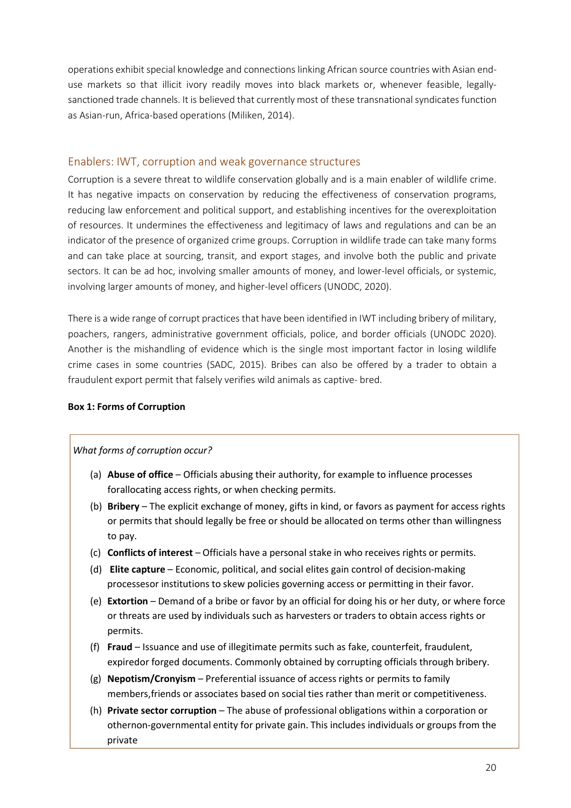operations exhibit special knowledge and connections linking African source countries with Asian enduse markets so that illicit ivory readily moves into black markets or, whenever feasible, legallysanctioned trade channels. It is believed that currently most of these transnational syndicates function as Asian-run, Africa-based operations (Miliken, 2014).

#### <span id="page-19-0"></span>Enablers: IWT, corruption and weak governance structures

Corruption is a severe threat to wildlife conservation globally and is a main enabler of wildlife crime. It has negative impacts on conservation by reducing the effectiveness of conservation programs, reducing law enforcement and political support, and establishing incentives for the overexploitation of resources. It undermines the effectiveness and legitimacy of laws and regulations and can be an indicator of the presence of organized crime groups. Corruption in wildlife trade can take many forms and can take place at sourcing, transit, and export stages, and involve both the public and private sectors. It can be ad hoc, involving smaller amounts of money, and lower-level officials, or systemic, involving larger amounts of money, and higher-level officers (UNODC, 2020).

There is a wide range of corrupt practices that have been identified in IWT including bribery of military, poachers, rangers, administrative government officials, police, and border officials (UNODC 2020). Another is the mishandling of evidence which is the single most important factor in losing wildlife crime cases in some countries (SADC, 2015). Bribes can also be offered by a trader to obtain a fraudulent export permit that falsely verifies wild animals as captive- bred.

#### **Box 1: Forms of Corruption**

#### *What forms of corruption occur?*

- (a) **Abuse of office**  Officials abusing their authority, for example to influence processes forallocating access rights, or when checking permits.
- (b) **Bribery**  The explicit exchange of money, gifts in kind, or favors as payment for access rights or permits that should legally be free or should be allocated on terms other than willingness to pay.
- (c) **Conflicts of interest** Officials have a personal stake in who receives rights or permits.
- (d) **Elite capture**  Economic, political, and social elites gain control of decision-making processesor institutions to skew policies governing access or permitting in their favor.
- (e) **Extortion**  Demand of a bribe or favor by an official for doing his or her duty, or where force or threats are used by individuals such as harvesters or traders to obtain access rights or permits.
- (f) **Fraud** Issuance and use of illegitimate permits such as fake, counterfeit, fraudulent, expiredor forged documents. Commonly obtained by corrupting officials through bribery.
- (g) **Nepotism/Cronyism**  Preferential issuance of access rights or permits to family members,friends or associates based on social ties rather than merit or competitiveness.
- (h) **Private sector corruption**  The abuse of professional obligations within a corporation or othernon-governmental entity for private gain. This includes individuals or groups from the private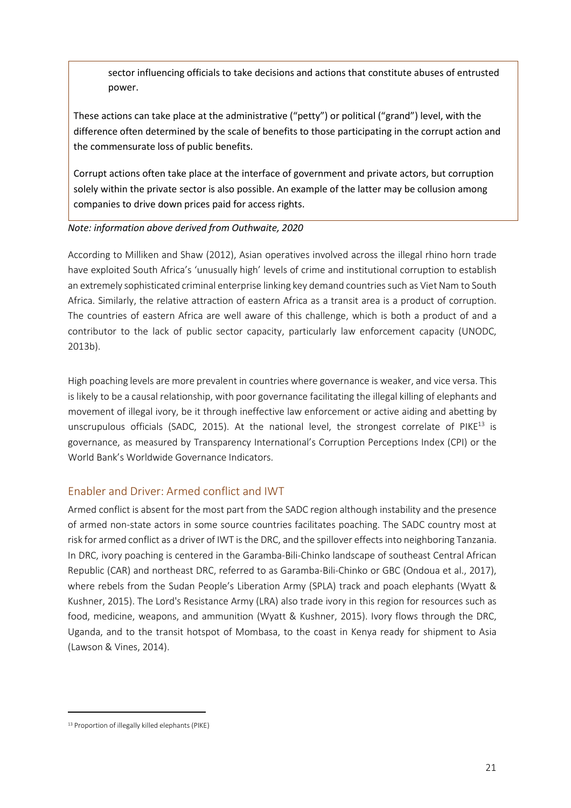sector influencing officials to take decisions and actions that constitute abuses of entrusted power.

These actions can take place at the administrative ("petty") or political ("grand") level, with the difference often determined by the scale of benefits to those participating in the corrupt action and the commensurate loss of public benefits.

Corrupt actions often take place at the interface of government and private actors, but corruption solely within the private sector is also possible. An example of the latter may be collusion among companies to drive down prices paid for access rights.

#### *Note: information above derived from Outhwaite, 2020*

According to Milliken and Shaw (2012), Asian operatives involved across the illegal rhino horn trade have exploited South Africa's 'unusually high' levels of crime and institutional corruption to establish an extremely sophisticated criminal enterprise linking key demand countriessuch as Viet Nam to South Africa. Similarly, the relative attraction of eastern Africa as a transit area is a product of corruption. The countries of eastern Africa are well aware of this challenge, which is both a product of and a contributor to the lack of public sector capacity, particularly law enforcement capacity (UNODC, 2013b).

High poaching levels are more prevalent in countries where governance is weaker, and vice versa. This is likely to be a causal relationship, with poor governance facilitating the illegal killing of elephants and movement of illegal ivory, be it through ineffective law enforcement or active aiding and abetting by unscrupulous officials (SADC, 2015). At the national level, the strongest correlate of  $PIKE^{13}$  is governance, as measured by Transparency International's Corruption Perceptions Index (CPI) or the World Bank's Worldwide Governance Indicators.

## <span id="page-20-0"></span>Enabler and Driver: Armed conflict and IWT

Armed conflict is absent for the most part from the SADC region although instability and the presence of armed non-state actors in some source countries facilitates poaching. The SADC country most at risk for armed conflict as a driver of IWT is the DRC, and the spillover effects into neighboring Tanzania. In DRC, ivory poaching is centered in the Garamba-Bili-Chinko landscape of southeast Central African Republic (CAR) and northeast DRC, referred to as Garamba-Bili-Chinko or GBC (Ondoua et al., 2017), where rebels from the Sudan People's Liberation Army (SPLA) track and poach elephants (Wyatt & Kushner, 2015). The Lord's Resistance Army (LRA) also trade ivory in this region for resources such as food, medicine, weapons, and ammunition (Wyatt & Kushner, 2015). Ivory flows through the DRC, Uganda, and to the transit hotspot of Mombasa, to the coast in Kenya ready for shipment to Asia (Lawson & Vines, 2014).

<span id="page-20-1"></span><sup>13</sup> Proportion of illegally killed elephants (PIKE)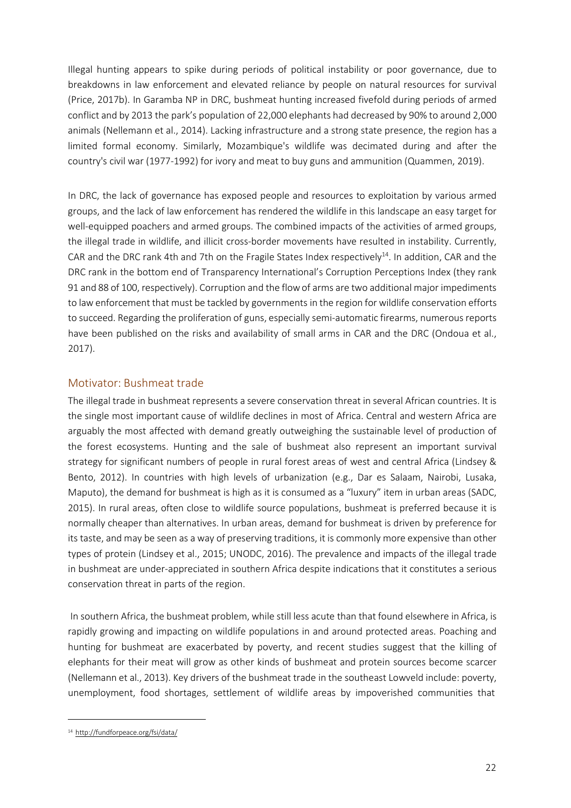Illegal hunting appears to spike during periods of political instability or poor governance, due to breakdowns in law enforcement and elevated reliance by people on natural resources for survival (Price, 2017b). In Garamba NP in DRC, bushmeat hunting increased fivefold during periods of armed conflict and by 2013 the park's population of 22,000 elephants had decreased by 90% to around 2,000 animals (Nellemann et al., 2014). Lacking infrastructure and a strong state presence, the region has a limited formal economy. Similarly, Mozambique's wildlife was decimated during and after the country's civil war (1977-1992) for ivory and meat to buy guns and ammunition (Quammen, 2019).

In DRC, the lack of governance has exposed people and resources to exploitation by various armed groups, and the lack of law enforcement has rendered the wildlife in this landscape an easy target for well-equipped poachers and armed groups. The combined impacts of the activities of armed groups, the illegal trade in wildlife, and illicit cross-border movements have resulted in instability. Currently, CAR and the DRC rank 4th and 7th on the Fragile States Index respectively<sup>14</sup>. In addition, CAR and the DRC rank in the bottom end of Transparency International's Corruption Perceptions Index (they rank 91 and 88 of 100, respectively). Corruption and the flow of arms are two additional major impediments to law enforcement that must be tackled by governments in the region for wildlife conservation efforts to succeed. Regarding the proliferation of guns, especially semi-automatic firearms, numerous reports have been published on the risks and availability of small arms in CAR and the DRC (Ondoua et al., 2017).

## <span id="page-21-0"></span>Motivator: Bushmeat trade

The illegal trade in bushmeat represents a severe conservation threat in several African countries. It is the single most important cause of wildlife declines in most of Africa. Central and western Africa are arguably the most affected with demand greatly outweighing the sustainable level of production of the forest ecosystems. Hunting and the sale of bushmeat also represent an important survival strategy for significant numbers of people in rural forest areas of west and central Africa (Lindsey & Bento, 2012). In countries with high levels of urbanization (e.g., Dar es Salaam, Nairobi, Lusaka, Maputo), the demand for bushmeat is high as it is consumed as a "luxury" item in urban areas (SADC, 2015). In rural areas, often close to wildlife source populations, bushmeat is preferred because it is normally cheaper than alternatives. In urban areas, demand for bushmeat is driven by preference for its taste, and may be seen as a way of preserving traditions, it is commonly more expensive than other types of protein (Lindsey et al., 2015; UNODC, 2016). The prevalence and impacts of the illegal trade in bushmeat are under-appreciated in southern Africa despite indications that it constitutes a serious conservation threat in parts of the region.

In southern Africa, the bushmeat problem, while still less acute than that found elsewhere in Africa, is rapidly growing and impacting on wildlife populations in and around protected areas. Poaching and hunting for bushmeat are exacerbated by poverty, and recent studies suggest that the killing of elephants for their meat will grow as other kinds of bushmeat and protein sources become scarcer (Nellemann et al., 2013). Key drivers of the bushmeat trade in the southeast Lowveld include: poverty, unemployment, food shortages, settlement of wildlife areas by impoverished communities that

<span id="page-21-1"></span><sup>14</sup> <http://fundforpeace.org/fsi/data/>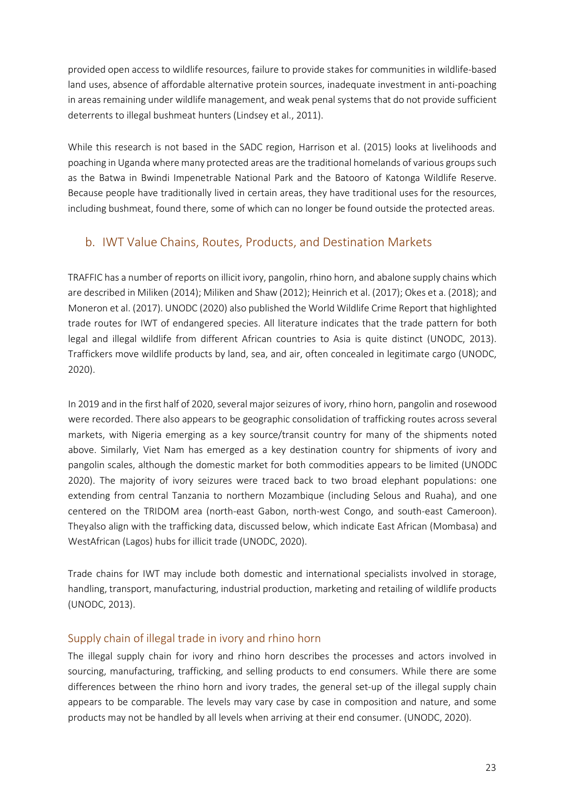provided open access to wildlife resources, failure to provide stakes for communities in wildlife-based land uses, absence of affordable alternative protein sources, inadequate investment in anti-poaching in areas remaining under wildlife management, and weak penal systems that do not provide sufficient deterrents to illegal bushmeat hunters (Lindsey et al., 2011).

While this research is not based in the SADC region, Harrison et al. (2015) looks at livelihoods and poaching in Uganda where many protected areas are the traditional homelands of various groups such as the Batwa in Bwindi Impenetrable National Park and the Batooro of Katonga Wildlife Reserve. Because people have traditionally lived in certain areas, they have traditional uses for the resources, including bushmeat, found there, some of which can no longer be found outside the protected areas.

## b. IWT Value Chains, Routes, Products, and Destination Markets

<span id="page-22-0"></span>TRAFFIC has a number of reports on illicit ivory, pangolin, rhino horn, and abalone supply chains which are described in Miliken (2014); Miliken and Shaw (2012); Heinrich et al. (2017); Okes et a. (2018); and Moneron et al. (2017). UNODC (2020) also published the World Wildlife Crime Report that highlighted trade routes for IWT of endangered species. All literature indicates that the trade pattern for both legal and illegal wildlife from different African countries to Asia is quite distinct (UNODC, 2013). Traffickers move wildlife products by land, sea, and air, often concealed in legitimate cargo (UNODC, 2020).

In 2019 and in the first half of 2020, several major seizures of ivory, rhino horn, pangolin and rosewood were recorded. There also appears to be geographic consolidation of trafficking routes across several markets, with Nigeria emerging as a key source/transit country for many of the shipments noted above. Similarly, Viet Nam has emerged as a key destination country for shipments of ivory and pangolin scales, although the domestic market for both commodities appears to be limited (UNODC 2020). The majority of ivory seizures were traced back to two broad elephant populations: one extending from central Tanzania to northern Mozambique (including Selous and Ruaha), and one centered on the TRIDOM area (north-east Gabon, north-west Congo, and south-east Cameroon). Theyalso align with the trafficking data, discussed below, which indicate East African (Mombasa) and WestAfrican (Lagos) hubs for illicit trade (UNODC, 2020).

Trade chains for IWT may include both domestic and international specialists involved in storage, handling, transport, manufacturing, industrial production, marketing and retailing of wildlife products (UNODC, 2013).

## <span id="page-22-1"></span>Supply chain of illegal trade in ivory and rhino horn

The illegal supply chain for ivory and rhino horn describes the processes and actors involved in sourcing, manufacturing, trafficking, and selling products to end consumers. While there are some differences between the rhino horn and ivory trades, the general set-up of the illegal supply chain appears to be comparable. The levels may vary case by case in composition and nature, and some products may not be handled by all levels when arriving at their end consumer. (UNODC, 2020).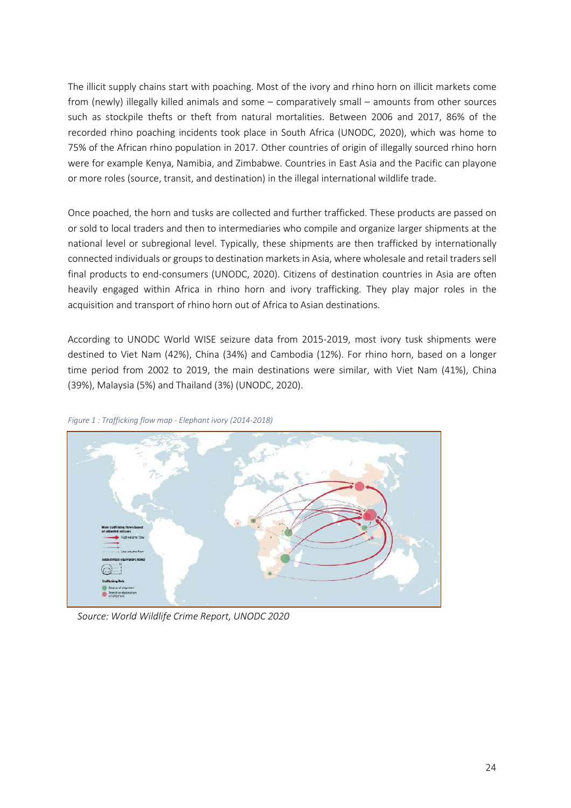The illicit supply chains start with poaching. Most of the ivory and rhino horn on illicit markets come from (newly) illegally killed animals and some – comparatively small – amounts from other sources such as stockpile thefts or theft from natural mortalities. Between 2006 and 2017, 86% of the recorded rhino poaching incidents took place in South Africa (UNODC, 2020), which was home to 75% of the African rhino population in 2017. Other countries of origin of illegally sourced rhino horn were for example Kenya, Namibia, and Zimbabwe. Countries in East Asia and the Pacific can playone or more roles (source, transit, and destination) in the illegal international wildlife trade.

Once poached, the horn and tusks are collected and further trafficked. These products are passed on or sold to local traders and then to intermediaries who compile and organize larger shipments at the national level or subregional level. Typically, these shipments are then trafficked by internationally connected individuals or groups to destination markets in Asia, where wholesale and retail traders sell final products to end-consumers (UNODC, 2020). Citizens of destination countries in Asia are often heavily engaged within Africa in rhino horn and ivory trafficking. They play major roles in the acquisition and transport of rhino horn out of Africa to Asian destinations.

According to UNODC World WISE seizure data from 2015-2019, most ivory tusk shipments were destined to Viet Nam (42%), China (34%) and Cambodia (12%). For rhino horn, based on a longer time period from 2002 to 2019, the main destinations were similar, with Viet Nam (41%), China (39%), Malaysia (5%) and Thailand (3%) (UNODC, 2020).



*Figure 1 : Trafficking flow map - Elephant ivory (2014-2018)*

*Source: World Wildlife Crime Report, UNODC 2020*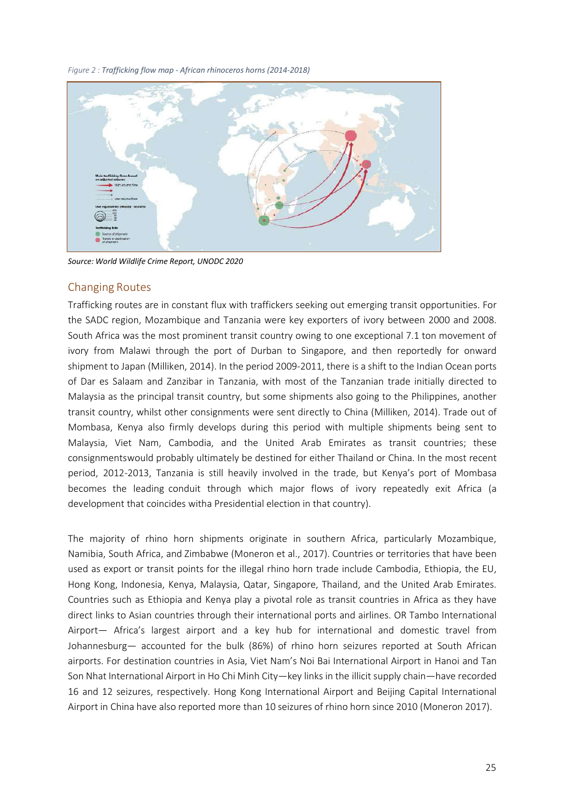*Figure 2 : Trafficking flow map - African rhinoceros horns (2014-2018)*



*Source: World Wildlife Crime Report, UNODC 2020*

## <span id="page-24-0"></span>Changing Routes

Trafficking routes are in constant flux with traffickers seeking out emerging transit opportunities. For the SADC region, Mozambique and Tanzania were key exporters of ivory between 2000 and 2008. South Africa was the most prominent transit country owing to one exceptional 7.1 ton movement of ivory from Malawi through the port of Durban to Singapore, and then reportedly for onward shipment to Japan (Milliken, 2014). In the period 2009-2011, there is a shift to the Indian Ocean ports of Dar es Salaam and Zanzibar in Tanzania, with most of the Tanzanian trade initially directed to Malaysia as the principal transit country, but some shipments also going to the Philippines, another transit country, whilst other consignments were sent directly to China (Milliken, 2014). Trade out of Mombasa, Kenya also firmly develops during this period with multiple shipments being sent to Malaysia, Viet Nam, Cambodia, and the United Arab Emirates as transit countries; these consignmentswould probably ultimately be destined for either Thailand or China. In the most recent period, 2012-2013, Tanzania is still heavily involved in the trade, but Kenya's port of Mombasa becomes the leading conduit through which major flows of ivory repeatedly exit Africa (a development that coincides witha Presidential election in that country).

The majority of rhino horn shipments originate in southern Africa, particularly Mozambique, Namibia, South Africa, and Zimbabwe (Moneron et al., 2017). Countries or territories that have been used as export or transit points for the illegal rhino horn trade include Cambodia, Ethiopia, the EU, Hong Kong, Indonesia, Kenya, Malaysia, Qatar, Singapore, Thailand, and the United Arab Emirates. Countries such as Ethiopia and Kenya play a pivotal role as transit countries in Africa as they have direct links to Asian countries through their international ports and airlines. OR Tambo International Airport— Africa's largest airport and a key hub for international and domestic travel from Johannesburg— accounted for the bulk (86%) of rhino horn seizures reported at South African airports. For destination countries in Asia, Viet Nam's Noi Bai International Airport in Hanoi and Tan Son Nhat International Airport in Ho Chi Minh City—key links in the illicit supply chain—have recorded 16 and 12 seizures, respectively. Hong Kong International Airport and Beijing Capital International Airport in China have also reported more than 10 seizures of rhino horn since 2010 (Moneron 2017).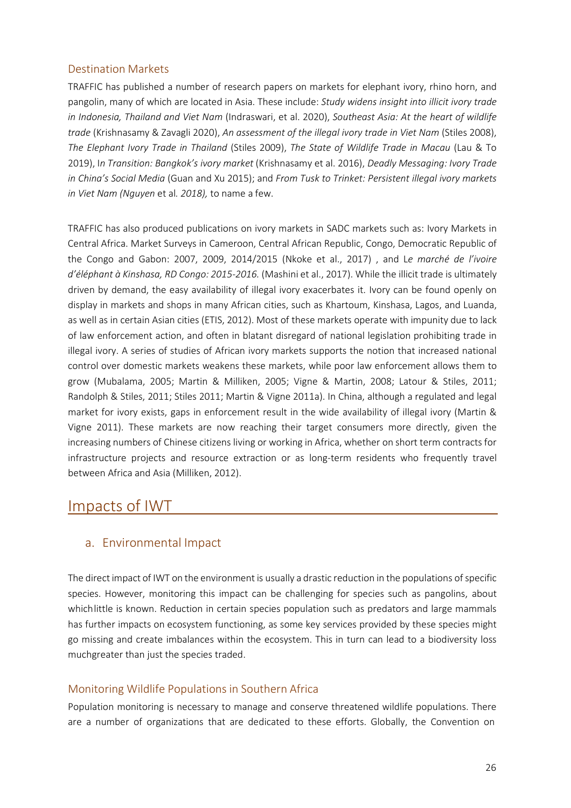## <span id="page-25-0"></span>Destination Markets

TRAFFIC has published a number of research papers on markets for elephant ivory, rhino horn, and pangolin, many of which are located in Asia. These include: *Study widens insight into illicit ivory trade in Indonesia, Thailand and Viet Nam* (Indraswari, et al. 2020), *Southeast Asia: At the heart of wildlife trade* (Krishnasamy & Zavagli 2020), *An assessment of the illegal ivory trade in Viet Nam* (Stiles 2008), *The Elephant Ivory Trade in Thailand* (Stiles 2009), *The State of Wildlife Trade in Macau* (Lau & To 2019), I*n Transition: Bangkok's ivory market* (Krishnasamy et al. 2016), *Deadly Messaging: Ivory Trade in China's Social Media* (Guan and Xu 2015); and *From Tusk to Trinket: Persistent illegal ivory markets in Viet Nam (Nguyen* et al*. 2018),* to name a few.

TRAFFIC has also produced publications on ivory markets in SADC markets such as: Ivory Markets in Central Africa. Market Surveys in Cameroon, Central African Republic, Congo, Democratic Republic of the Congo and Gabon: 2007, 2009, 2014/2015 (Nkoke et al., 2017) , and L*e marché de l'ivoire d'éléphant à Kinshasa, RD Congo: 2015-2016.* (Mashini et al., 2017). While the illicit trade is ultimately driven by demand, the easy availability of illegal ivory exacerbates it. Ivory can be found openly on display in markets and shops in many African cities, such as Khartoum, Kinshasa, Lagos, and Luanda, as well as in certain Asian cities (ETIS, 2012). Most of these markets operate with impunity due to lack of law enforcement action, and often in blatant disregard of national legislation prohibiting trade in illegal ivory. A series of studies of African ivory markets supports the notion that increased national control over domestic markets weakens these markets, while poor law enforcement allows them to grow (Mubalama, 2005; Martin & Milliken, 2005; Vigne & Martin, 2008; Latour & Stiles, 2011; Randolph & Stiles, 2011; Stiles 2011; Martin & Vigne 2011a). In China, although a regulated and legal market for ivory exists, gaps in enforcement result in the wide availability of illegal ivory (Martin & Vigne 2011). These markets are now reaching their target consumers more directly, given the increasing numbers of Chinese citizens living or working in Africa, whether on short term contracts for infrastructure projects and resource extraction or as long-term residents who frequently travel between Africa and Asia (Milliken, 2012).

# <span id="page-25-2"></span><span id="page-25-1"></span>Impacts of IWT

## a. Environmental Impact

The direct impact of IWT on the environment is usually a drastic reduction in the populations of specific species. However, monitoring this impact can be challenging for species such as pangolins, about whichlittle is known. Reduction in certain species population such as predators and large mammals has further impacts on ecosystem functioning, as some key services provided by these species might go missing and create imbalances within the ecosystem. This in turn can lead to a biodiversity loss muchgreater than just the species traded.

## <span id="page-25-3"></span>Monitoring Wildlife Populations in Southern Africa

Population monitoring is necessary to manage and conserve threatened wildlife populations. There are a number of organizations that are dedicated to these efforts. Globally, the Convention on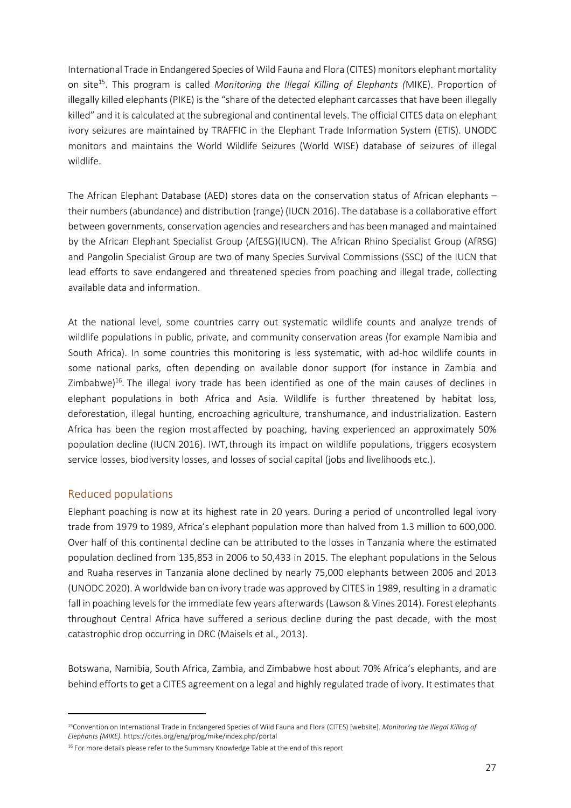International Trade in Endangered Species of Wild Fauna and Flora (CITES) monitors elephant mortality on sit[e15.](#page-26-1) This program is called *Monitoring the Illegal Killing of Elephants (*MIKE). Proportion of illegally killed elephants (PIKE) is the "share of the detected elephant carcasses that have been illegally killed" and it is calculated at the subregional and continental levels. The official CITES data on elephant ivory seizures are maintained by TRAFFIC in the Elephant Trade Information System (ETIS). UNODC monitors and maintains the World Wildlife Seizures (World WISE) database of seizures of illegal wildlife.

The [African Elephant Database \(AED\) s](http://www.elephantdatabase.org/)tores data on the conservation status of African elephants – their numbers(abundance) and distribution (range) (IUCN 2016). The database is a collaborative effort between governments, conservation agencies and researchers and has been managed and maintained by the African Elephant Specialist Group (AfESG)(IUCN). The African Rhino Specialist Group (AfRSG) and Pangolin Specialist Group are two of many Species Survival Commissions (SSC) of the IUCN that lead efforts to save endangered and threatened species from poaching and illegal trade, collecting available data and information.

At the national level, some countries carry out systematic wildlife counts and analyze trends of wildlife populations in public, private, and community conservation areas (for example Namibia and South Africa). In some countries this monitoring is less systematic, with ad-hoc wildlife counts in some national parks, often depending on available donor support (for instance in Zambia and Zimbabwe)<sup>16</sup>. The illegal ivory trade has been identified as one of the main causes of declines in elephant populations in both Africa and Asia. Wildlife is further threatened by habitat loss, deforestation, illegal hunting, encroaching agriculture, transhumance, and industrialization. Eastern Africa has been the region most affected by poaching, having experienced an approximately 50% population decline (IUCN 2016). IWT,through its impact on wildlife populations, triggers ecosystem service losses, biodiversity losses, and losses of social capital (jobs and livelihoods etc.).

## <span id="page-26-0"></span>Reduced populations

Elephant poaching is now at its highest rate in 20 years. During a period of uncontrolled legal ivory trade from 1979 to 1989, Africa's elephant population more than halved from 1.3 million to 600,000. Over half of this continental decline can be attributed to the losses in Tanzania where the estimated population declined from 135,853 in 2006 to 50,433 in 2015. The elephant populations in the Selous and Ruaha reserves in Tanzania alone declined by nearly 75,000 elephants between 2006 and 2013 (UNODC 2020). A worldwide ban on ivory trade was approved by CITES in 1989, resulting in a dramatic fall in poaching levels for the immediate few years afterwards (Lawson & Vines 2014). Forest elephants throughout Central Africa have suffered a serious decline during the past decade, with the most catastrophic drop occurring in DRC [\(Maisels](http://www.plosone.org/article/info%3Adoi%2F10.1371%2Fjournal.pone.0059469) et al., 2013).

Botswana, Namibia, South Africa, Zambia, and Zimbabwe [host](https://www.worldwildlife.org/magazine/issues/winter-2018/articles/the-status-of-african-elephants) about 70% Africa's elephants, and are behind efforts to get a CITES agreement on a legal and highly regulated trade of ivory. It estimates that

<span id="page-26-1"></span><sup>15</sup>Convention on International Trade in Endangered Species of Wild Fauna and Flora (CITES) [website]. *Monitoring the Illegal Killing of Elephants (MIKE).* https://cites.org/eng/prog/mike/index.php/portal

<span id="page-26-2"></span><sup>&</sup>lt;sup>16</sup> For more details please refer to the Summary Knowledge Table at the end of this report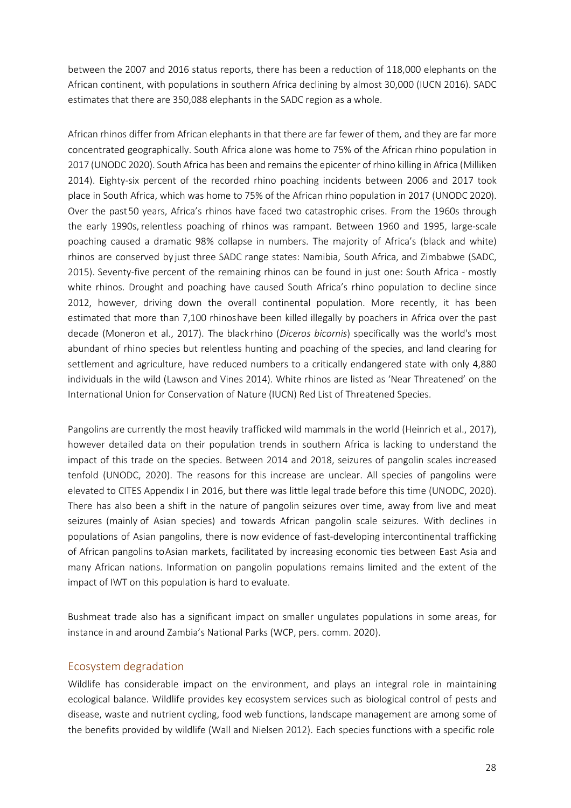between the 2007 and 2016 status reports, there has been a reduction of 118,000 elephants on the African continent, with populations in southern Africa declining by almost 30,000 (IUCN 2016). SADC estimates that there are 350,088 elephants in the SADC region as a whole.

African rhinos differ from African elephants in that there are far fewer of them, and they are far more concentrated geographically. South Africa alone was home to 75% of the African rhino population in 2017 (UNODC 2020). South Africa has been and remains the epicenter of rhino killing in Africa (Milliken 2014). Eighty-six percent of the recorded rhino poaching incidents between 2006 and 2017 took place in South Africa, which was home to 75% of the African rhino population in 2017 (UNODC 2020). Over the past50 years, Africa's rhinos have faced two catastrophic crises. From the 1960s through the early 1990s, relentless poaching of rhinos was rampant. Between 1960 and 1995, large-scale poaching caused a dramatic 98% collapse in numbers. The majority of Africa's (black and white) rhinos are conserved by just three SADC range states: Namibia, South Africa, and Zimbabwe (SADC, 2015). Seventy-five percent of the remaining rhinos can be found in just one: South Africa - mostly white rhinos. Drought and poaching have caused South Africa's rhino population to decline since 2012, however, driving down the overall continental population. More recently, it has been estimated that more than 7,100 rhinoshave been killed illegally by poachers in Africa over the past decade (Moneron et al., 2017). The black rhino (*Diceros bicornis*) specifically was the world's most abundant of rhino species but relentless hunting and poaching of the species, and land clearing for settlement and agriculture, have reduced numbers to a critically endangered state with only 4,880 individuals in the wild (Lawson and Vines 2014). White rhinos are listed as 'Near Threatened' on the International Union for Conservation of Nature (IUCN) Red List of Threatened Species.

Pangolins are currently the most heavily trafficked wild mammals in the world (Heinrich et al., 2017), however detailed data on their population trends in southern Africa is lacking to understand the impact of this trade on the species. Between 2014 and 2018, seizures of pangolin scales increased tenfold (UNODC, 2020). The reasons for this increase are unclear. All species of pangolins were elevated to CITES Appendix I in 2016, but there was little legal trade before this time (UNODC, 2020). There has also been a shift in the nature of pangolin seizures over time, away from live and meat seizures (mainly of Asian species) and towards African pangolin scale seizures. With declines in populations of Asian pangolins, there is now evidence of fast-developing intercontinental trafficking of African pangolins toAsian markets, facilitated by increasing economic ties between East Asia and many African nations. Information on pangolin populations remains limited and the extent of the impact of IWT on this population is hard to evaluate.

Bushmeat trade also has a significant impact on smaller ungulates populations in some areas, for instance in and around Zambia's National Parks (WCP, pers. comm. 2020).

## <span id="page-27-0"></span>Ecosystem degradation

Wildlife has considerable impact on the environment, and plays an integral role in maintaining ecological balance. Wildlife provides key ecosystem services such as biological control of pests and disease, waste and nutrient cycling, food web functions, landscape management are among some of the benefits provided by wildlife (Wall and Nielsen 2012). Each species functions with a specific role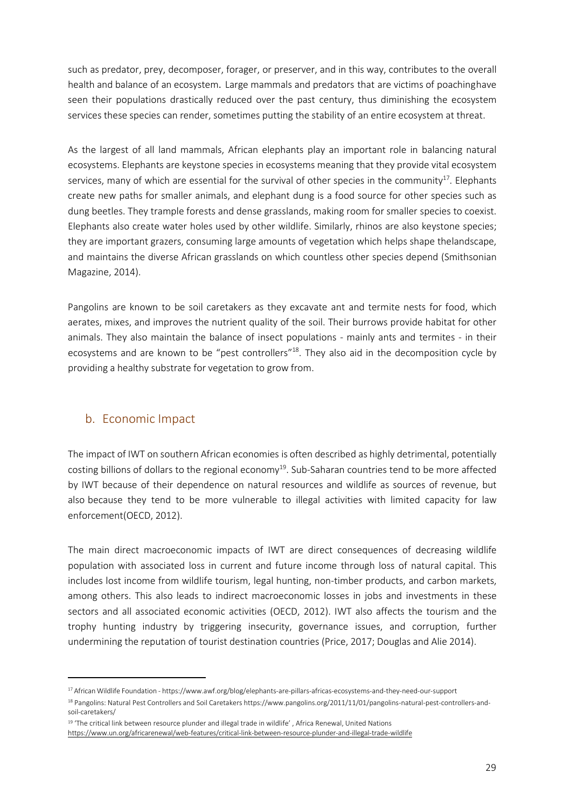such as predator, prey, decomposer, forager, or preserver, and in this way, contributes to the overall health and balance of an ecosystem. Large mammals and predators that are victims of poachinghave seen their populations drastically reduced over the past century, thus diminishing the ecosystem services these species can render, sometimes putting the stability of an entire ecosystem at threat.

As the largest of all land mammals, African elephants play an important role in balancing natural ecosystems. Elephants are keystone species in ecosystems meaning that they provide vital ecosystem services, many of which are essential for the survival of other species in the community<sup>17</sup>. Elephants create new paths for smaller animals, and elephant dung is a food source for other species such as dung beetles. They trample forests and dense grasslands, making room for smaller species to coexist. Elephants also create water holes used by other wildlife. Similarly, rhinos are also keystone species; they are important grazers, consuming large amounts of vegetation which helps shape thelandscape, and maintains the diverse African grasslands on which countless other species depend (Smithsonian Magazine, 2014).

Pangolins are known to be soil caretakers as they excavate ant and termite nests for food, which aerates, mixes, and improves the nutrient quality of the soil. Their burrows provide habitat for other animals. They also maintain the balance of insect populations - mainly ants and termites - in their ecosystems and are known to be "pest controllers["18.](#page-28-2) They also aid in the decomposition cycle by providing a healthy substrate for vegetation to grow from.

## b. Economic Impact

<span id="page-28-0"></span>The impact of IWT on southern African economies is often described as highly detrimental, potentially costing billions of dollars to the regional economy<sup>19</sup>. Sub-Saharan countries tend to be more affected by IWT because of their dependence on natural resources and wildlife as sources of revenue, but also because they tend to be more vulnerable to illegal activities with limited capacity for law enforcement(OECD, 2012).

The main direct macroeconomic impacts of IWT are direct consequences of decreasing wildlife population with associated loss in current and future income through loss of natural capital. This includes lost income from wildlife tourism, legal hunting, non-timber products, and carbon markets, among others. This also leads to indirect macroeconomic losses in jobs and investments in these sectors and all associated economic activities (OECD, 2012). IWT also affects the tourism and the trophy hunting industry by triggering insecurity, governance issues, and corruption, further undermining the reputation of tourist destination countries (Price, 2017; Douglas and Alie 2014).

<span id="page-28-1"></span><sup>17</sup> African Wildlife Foundation - https:/[/www.awf.org/blog/elephants-are-pillars-africas-ecosystems-and-they-need-our-support](http://www.awf.org/blog/elephants-are-pillars-africas-ecosystems-and-they-need-our-support)

<span id="page-28-2"></span><sup>18</sup> Pangolins: Natural Pest Controllers and Soil Caretakers https:[//www.pangolins.org/2011/11/01/pangolins-natural-pest-controllers-and](http://www.pangolins.org/2011/11/01/pangolins-natural-pest-controllers-and-)soil-caretakers/

<span id="page-28-3"></span><sup>&</sup>lt;sup>19</sup> 'The critical link between resource plunder and illegal trade in wildlife', Africa Renewal, United Nations <https://www.un.org/africarenewal/web-features/critical-link-between-resource-plunder-and-illegal-trade-wildlife>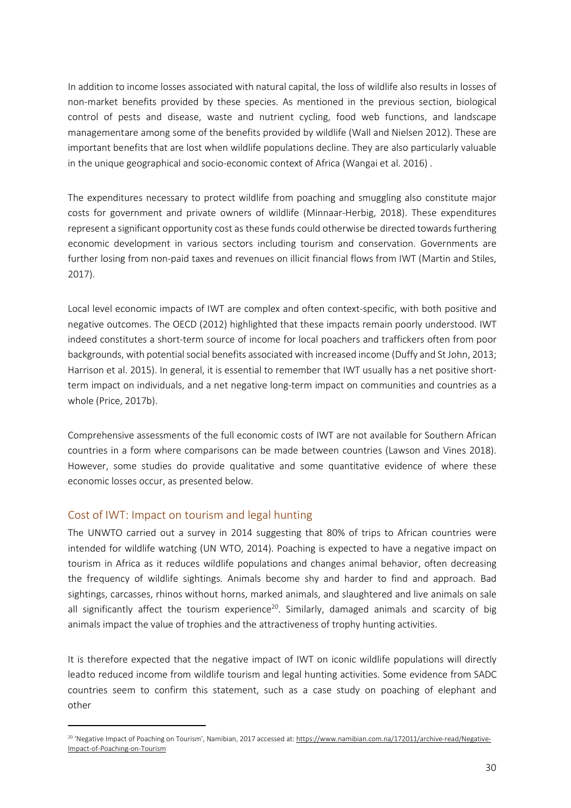In addition to income losses associated with natural capital, the loss of wildlife also results in losses of non-market benefits provided by these species. As mentioned in the previous section, biological control of pests and disease, waste and nutrient cycling, food web functions, and landscape managementare among some of the benefits provided by wildlife (Wall and Nielsen 2012). These are important benefits that are lost when wildlife populations decline. They are also particularly valuable in the unique geographical and socio-economic context of Africa (Wangai et al. 2016) .

The expenditures necessary to protect wildlife from poaching and smuggling also constitute major costs for government and private owners of wildlife (Minnaar-Herbig, 2018). These expenditures represent a significant opportunity cost as these funds could otherwise be directed towards furthering economic development in various sectors including tourism and conservation. Governments are further losing from non-paid taxes and revenues on illicit financial flows from IWT (Martin and Stiles, 2017).

Local level economic impacts of IWT are complex and often context-specific, with both positive and negative outcomes. The OECD (2012) highlighted that these impacts remain poorly understood. IWT indeed constitutes a short-term source of income for local poachers and traffickers often from poor backgrounds, with potential social benefits associated with increased income (Duffy and St John, 2013; Harrison et al. 2015). In general, it is essential to remember that IWT usually has a net positive shortterm impact on individuals, and a net negative long-term impact on communities and countries as a whole (Price, 2017b).

Comprehensive assessments of the full economic costs of IWT are not available for Southern African countries in a form where comparisons can be made between countries (Lawson and Vines 2018). However, some studies do provide qualitative and some quantitative evidence of where these economic losses occur, as presented below.

#### <span id="page-29-0"></span>Cost of IWT: Impact on tourism and legal hunting

The UNWTO carried out a survey in 2014 suggesting that 80% of trips to African countries were intended for wildlife watching (UN WTO, 2014). Poaching is expected to have a negative impact on tourism in Africa as it reduces wildlife populations and changes animal behavior, often decreasing the frequency of wildlife sightings. Animals become shy and harder to find and approach. Bad sightings, carcasses, rhinos without horns, marked animals, and slaughtered and live animals on sale all significantly affect the tourism experience<sup>20</sup>. Similarly, damaged animals and scarcity of big animals impact the value of trophies and the attractiveness of trophy hunting activities.

It is therefore expected that the negative impact of IWT on iconic wildlife populations will directly leadto reduced income from wildlife tourism and legal hunting activities. Some evidence from SADC countries seem to confirm this statement, such as a case study on poaching of elephant and other

<span id="page-29-1"></span><sup>20</sup> 'Negative Impact of Poaching on Tourism', Namibian, 2017 accessed at[: https://www.namibian.com.na/172011/archive-read/Negative-](https://www.namibian.com.na/172011/archive-read/Negative-Impact-of-Poaching-on-Tourism)[Impact-of-Poaching-on-Tourism](https://www.namibian.com.na/172011/archive-read/Negative-Impact-of-Poaching-on-Tourism)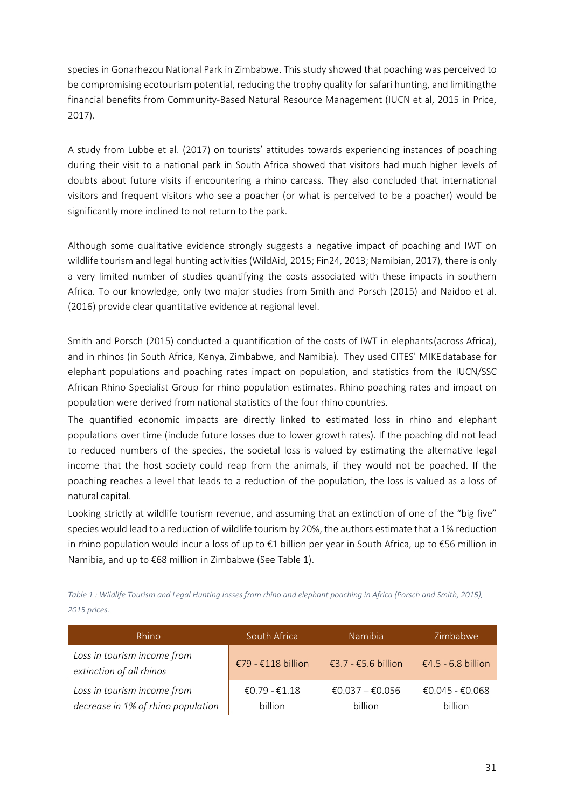species in Gonarhezou National Park in Zimbabwe. This study showed that poaching was perceived to be compromising ecotourism potential, reducing the trophy quality for safari hunting, and limitingthe financial benefits from Community-Based Natural Resource Management (IUCN et al, 2015 in Price, 2017).

A study from Lubbe et al. (2017) on tourists' attitudes towards experiencing instances of poaching during their visit to a national park in South Africa showed that visitors had much higher levels of doubts about future visits if encountering a rhino carcass. They also concluded that international visitors and frequent visitors who see a poacher (or what is perceived to be a poacher) would be significantly more inclined to not return to the park.

Although some qualitative evidence strongly suggests a negative impact of poaching and IWT on wildlife tourism and legal hunting activities(WildAid, 2015; Fin24, 2013; Namibian, 2017), there is only a very limited number of studies quantifying the costs associated with these impacts in southern Africa. To our knowledge, only two major studies from Smith and Porsch (2015) and Naidoo et al. (2016) provide clear quantitative evidence at regional level.

Smith and Porsch (2015) conducted a quantification of the costs of IWT in elephants(across Africa), and in rhinos (in South Africa, Kenya, Zimbabwe, and Namibia). They used CITES' MIKEdatabase for elephant populations and poaching rates impact on population, and statistics from the IUCN/SSC African Rhino Specialist Group for rhino population estimates. Rhino poaching rates and impact on population were derived from national statistics of the four rhino countries.

The quantified economic impacts are directly linked to estimated loss in rhino and elephant populations over time (include future losses due to lower growth rates). If the poaching did not lead to reduced numbers of the species, the societal loss is valued by estimating the alternative legal income that the host society could reap from the animals, if they would not be poached. If the poaching reaches a level that leads to a reduction of the population, the loss is valued as a loss of natural capital.

Looking strictly at wildlife tourism revenue, and assuming that an extinction of one of the "big five" species would lead to a reduction of wildlife tourism by 20%, the authors estimate that a 1% reduction in rhino population would incur a loss of up to €1 billion per year in South Africa, up to €56 million in Namibia, and up to €68 million in Zimbabwe (See Table 1).

*Table 1 : Wildlife Tourism and Legal Hunting losses from rhino and elephant poaching in Africa (Porsch and Smith, 2015), 2015 prices.*

| Rhino                                                             | South Africa                    | Namibia                    | Zimbabwe                   |
|-------------------------------------------------------------------|---------------------------------|----------------------------|----------------------------|
| Loss in tourism income from<br>extinction of all rhinos           | €79 - €118 billion              | €3.7 - €5.6 billion        | €4.5 - 6.8 billion         |
| Loss in tourism income from<br>decrease in 1% of rhino population | €0.79 - €1.18<br><b>billion</b> | €0.037 – €0.056<br>billion | €0.045 - €0.068<br>billion |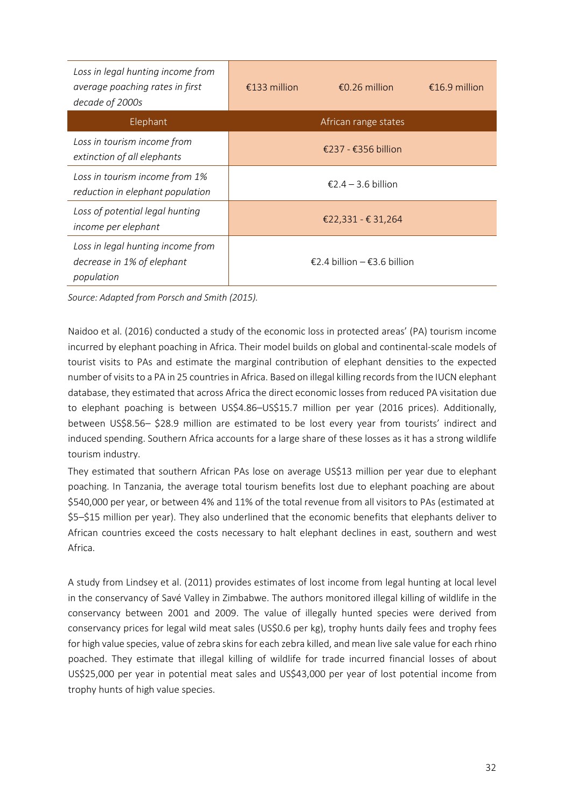| Loss in legal hunting income from<br>average poaching rates in first<br>decade of 2000s | €133 million | €0.26 million               | €16.9 million |
|-----------------------------------------------------------------------------------------|--------------|-----------------------------|---------------|
| Elephant                                                                                |              | African range states        |               |
| Loss in tourism income from<br>extinction of all elephants                              |              | €237 - €356 billion         |               |
| Loss in tourism income from 1%<br>reduction in elephant population                      |              | €2.4 – 3.6 billion          |               |
| Loss of potential legal hunting<br>income per elephant                                  |              | €22,331 - € 31,264          |               |
| Loss in legal hunting income from<br>decrease in 1% of elephant<br>population           |              | €2.4 billion – €3.6 billion |               |

*Source: Adapted from Porsch and Smith (2015).*

Naidoo et al. (2016) conducted a study of the economic loss in protected areas' (PA) tourism income incurred by elephant poaching in Africa. Their model builds on global and continental-scale models of tourist visits to PAs and estimate the marginal contribution of elephant densities to the expected number of visits to a PA in 25 countries in Africa. Based on illegal killing records from the IUCN elephant database, they estimated that across Africa the direct economic losses from reduced PA visitation due to elephant poaching is between US\$4.86–US\$15.7 million per year (2016 prices). Additionally, between US\$8.56– \$28.9 million are estimated to be lost every year from tourists' indirect and induced spending. Southern Africa accounts for a large share of these losses as it has a strong wildlife tourism industry.

They estimated that southern African PAs lose on average US\$13 million per year due to elephant poaching. In Tanzania, the average total tourism benefits lost due to elephant poaching are about \$540,000 per year, or between 4% and 11% of the total revenue from all visitors to PAs (estimated at \$5–\$15 million per year). They also underlined that the economic benefits that elephants deliver to African countries exceed the costs necessary to halt elephant declines in east, southern and west Africa.

A study from Lindsey et al. (2011) provides estimates of lost income from legal hunting at local level in the conservancy of Savé Valley in Zimbabwe. The authors monitored illegal killing of wildlife in the conservancy between 2001 and 2009. The value of illegally hunted species were derived from conservancy prices for legal wild meat sales (US\$0.6 per kg), trophy hunts daily fees and trophy fees for high value species, value of zebra skins for each zebra killed, and mean live sale value for each rhino poached. They estimate that illegal killing of wildlife for trade incurred financial losses of about US\$25,000 per year in potential meat sales and US\$43,000 per year of lost potential income from trophy hunts of high value species.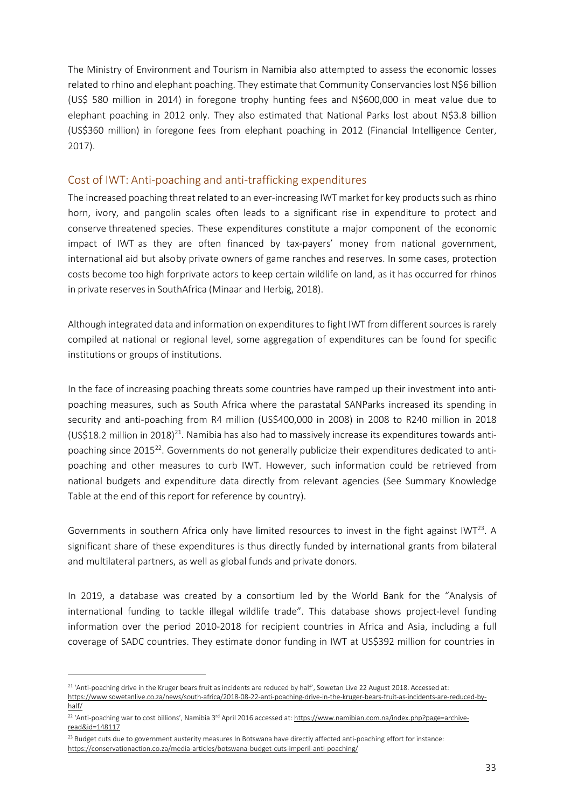The Ministry of Environment and Tourism in Namibia also attempted to assess the economic losses related to rhino and elephant poaching. They estimate that Community Conservancies lost N\$6 billion (US\$ 580 million in 2014) in foregone trophy hunting fees and N\$600,000 in meat value due to elephant poaching in 2012 only. They also estimated that National Parks lost about N\$3.8 billion (US\$360 million) in foregone fees from elephant poaching in 2012 (Financial Intelligence Center, 2017).

#### <span id="page-32-0"></span>Cost of IWT: Anti-poaching and anti-trafficking expenditures

The increased poaching threat related to an ever-increasing IWT market for key products such as rhino horn, ivory, and pangolin scales often leads to a significant rise in expenditure to protect and conserve threatened species. These expenditures constitute a major component of the economic impact of IWT as they are often financed by tax-payers' money from national government, international aid but alsoby private owners of game ranches and reserves. In some cases, protection costs become too high for private actors to keep certain wildlife on land, as it has occurred for rhinos in private reserves in SouthAfrica (Minaar and Herbig, 2018).

Although integrated data and information on expenditures to fight IWT from different sources is rarely compiled at national or regional level, some aggregation of expenditures can be found for specific institutions or groups of institutions.

In the face of increasing poaching threats some countries have ramped up their investment into antipoaching measures, such as South Africa where the parastatal SANParks increased its spending in security and anti-poaching from R4 million (US\$400,000 in 2008) in 2008 to R240 million in 2018 (US\$18.2 million in 2018)<sup>21</sup>. Namibia has also had to massively increase its expenditures towards antipoaching since 2015<sup>22</sup>. Governments do not generally publicize their expenditures dedicated to antipoaching and other measures to curb IWT. However, such information could be retrieved from national budgets and expenditure data directly from relevant agencies (See Summary Knowledge Table at the end of this report for reference by country).

Governments in southern Africa only have limited resources to invest in the fight against IWT<sup>23</sup>. A significant share of these expenditures is thus directly funded by international grants from bilateral and multilateral partners, as well as global funds and private donors.

In 2019, a database was created by a consortium led by the World Bank for the "Analysis of international funding to tackle illegal wildlife trade". This database shows project-level funding information over the period 2010-2018 for recipient countries in Africa and Asia, including a full coverage of SADC countries. They estimate donor funding in IWT at US\$392 million for countries in

<span id="page-32-1"></span> $21$  'Anti-poaching drive in the Kruger bears fruit as incidents are reduced by half', Sowetan Live 22 August 2018. Accessed at: [https://www.sowetanlive.co.za/news/south-africa/2018-08-22-anti-poaching-drive-in-the-kruger-bears-fruit-as-incidents-are-reduced-by](https://www.sowetanlive.co.za/news/south-africa/2018-08-22-anti-poaching-drive-in-the-kruger-bears-fruit-as-incidents-are-reduced-by-half/)[half/](https://www.sowetanlive.co.za/news/south-africa/2018-08-22-anti-poaching-drive-in-the-kruger-bears-fruit-as-incidents-are-reduced-by-half/)

<span id="page-32-2"></span><sup>&</sup>lt;sup>22</sup> 'Anti-poaching war to cost billions', Namibia 3<sup>rd</sup> April 2016 accessed at[: https://www.namibian.com.na/index.php?page=archive](https://www.namibian.com.na/index.php?page=archive-read&id=148117)[read&id=148117](https://www.namibian.com.na/index.php?page=archive-read&id=148117)

<span id="page-32-3"></span><sup>&</sup>lt;sup>23</sup> Budget cuts due to government austerity measures In Botswana have directly affected anti-poaching effort for instance: <https://conservationaction.co.za/media-articles/botswana-budget-cuts-imperil-anti-poaching/>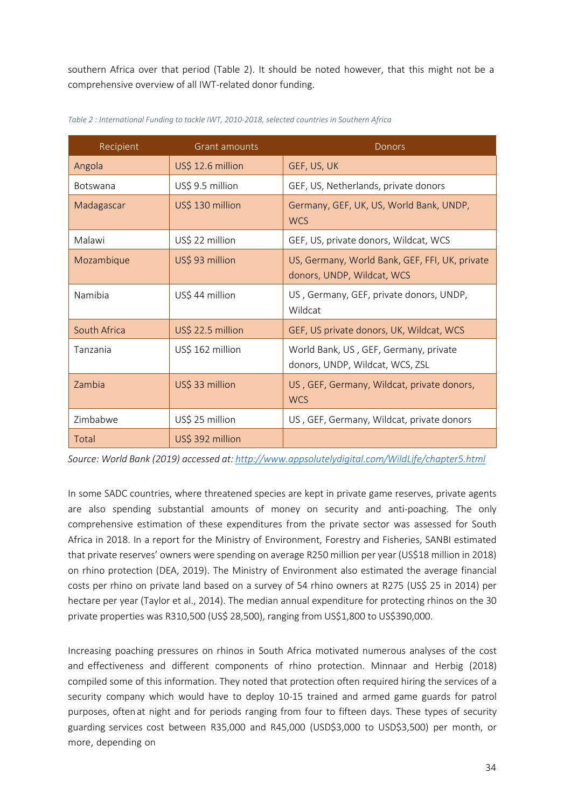southern Africa over that period (Table 2). It should be noted however, that this might not be a comprehensive overview of all IWT-related donor funding.

| Recipient       | <b>Grant amounts</b>                                                      | Donors                                                                       |  |  |  |
|-----------------|---------------------------------------------------------------------------|------------------------------------------------------------------------------|--|--|--|
| Angola          | US\$ 12.6 million                                                         | GEF, US, UK                                                                  |  |  |  |
| <b>Botswana</b> | US\$ 9.5 million                                                          | GEF, US, Netherlands, private donors                                         |  |  |  |
| Madagascar      | US\$ 130 million<br>Germany, GEF, UK, US, World Bank, UNDP,<br><b>WCS</b> |                                                                              |  |  |  |
| Malawi          | US\$ 22 million                                                           | GEF, US, private donors, Wildcat, WCS                                        |  |  |  |
| Mozambique      | US\$ 93 million                                                           | US, Germany, World Bank, GEF, FFI, UK, private<br>donors, UNDP, Wildcat, WCS |  |  |  |
| Namibia         | US\$ 44 million                                                           | US, Germany, GEF, private donors, UNDP,<br>Wildcat                           |  |  |  |
| South Africa    | US\$ 22.5 million                                                         | GEF, US private donors, UK, Wildcat, WCS                                     |  |  |  |
| Tanzania        | US\$ 162 million                                                          | World Bank, US, GEF, Germany, private<br>donors, UNDP, Wildcat, WCS, ZSL     |  |  |  |
| Zambia          | US\$ 33 million                                                           | US, GEF, Germany, Wildcat, private donors,<br><b>WCS</b>                     |  |  |  |
| Zimbabwe        | US\$ 25 million                                                           | US, GEF, Germany, Wildcat, private donors                                    |  |  |  |
| Total           | US\$ 392 million                                                          |                                                                              |  |  |  |

*Table 2 : International Funding to tackle IWT, 2010-2018, selected countries in Southern Africa*

*Source: World Bank (2019) accessed at: <http://www.appsolutelydigital.com/WildLife/chapter5.html>*

In some SADC countries, where threatened species are kept in private game reserves, private agents are also spending substantial amounts of money on security and anti-poaching. The only comprehensive estimation of these expenditures from the private sector was assessed for South Africa in 2018. In a report for the Ministry of Environment, Forestry and Fisheries, SANBI estimated that private reserves' owners were spending on average R250 million per year (US\$18 million in 2018) on rhino protection (DEA, 2019). The Ministry of Environment also estimated the average financial costs per rhino on private land based on a survey of 54 rhino owners at R275 (US\$ 25 in 2014) per hectare per year (Taylor et al., 2014). The median annual expenditure for protecting rhinos on the 30 private properties was R310,500 (US\$ 28,500), ranging from US\$1,800 to US\$390,000.

Increasing poaching pressures on rhinos in South Africa motivated numerous analyses of the cost and effectiveness and different components of rhino protection. Minnaar and Herbig (2018) compiled some of this information. They noted that protection often required hiring the services of a security company which would have to deploy 10-15 trained and armed game guards for patrol purposes, often at night and for periods ranging from four to fifteen days. These types of security guarding services cost between R35,000 and R45,000 (USD\$3,000 to USD\$3,500) per month, or more, depending on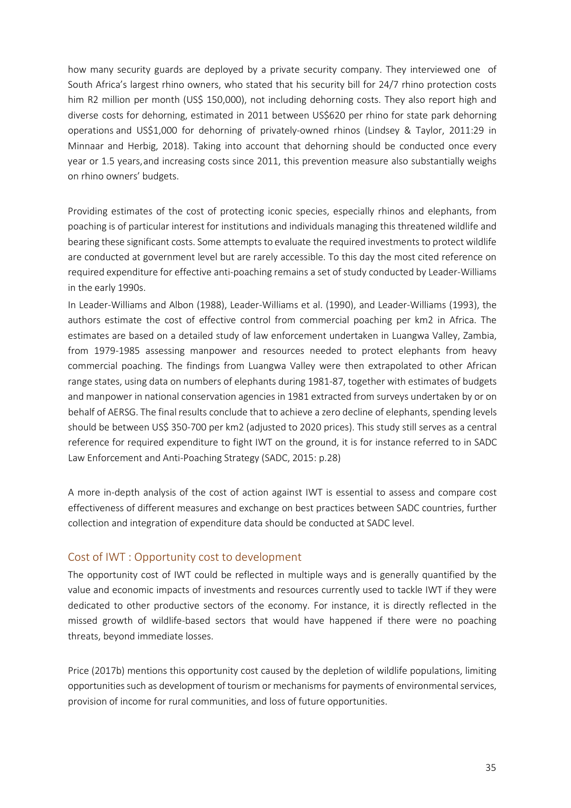how many security guards are deployed by a private security company. They interviewed one of South Africa's largest rhino owners, who stated that his security bill for 24/7 rhino protection costs him R2 million per month (US\$ 150,000), not including dehorning costs. They also report high and diverse costs for dehorning, estimated in 2011 between US\$620 per rhino for state park dehorning operations and US\$1,000 for dehorning of privately-owned rhinos (Lindsey & Taylor, 2011:29 in Minnaar and Herbig, 2018). Taking into account that dehorning should be conducted once every year or 1.5 years,and increasing costs since 2011, this prevention measure also substantially weighs on rhino owners' budgets.

Providing estimates of the cost of protecting iconic species, especially rhinos and elephants, from poaching is of particular interest for institutions and individuals managing this threatened wildlife and bearing these significant costs. Some attempts to evaluate the required investments to protect wildlife are conducted at government level but are rarely accessible. To this day the most cited reference on required expenditure for effective anti-poaching remains a set of study conducted by Leader-Williams in the early 1990s.

In Leader-Williams and Albon (1988), Leader-Williams et al. (1990), and Leader-Williams (1993), the authors estimate the cost of effective control from commercial poaching per km2 in Africa. The estimates are based on a detailed study of law enforcement undertaken in Luangwa Valley, Zambia, from 1979-1985 assessing manpower and resources needed to protect elephants from heavy commercial poaching. The findings from Luangwa Valley were then extrapolated to other African range states, using data on numbers of elephants during 1981-87, together with estimates of budgets and manpower in national conservation agencies in 1981 extracted from surveys undertaken by or on behalf of AERSG. The final results conclude that to achieve a zero decline of elephants, spending levels should be between US\$ 350-700 per km2 (adjusted to 2020 prices). This study still serves as a central reference for required expenditure to fight IWT on the ground, it is for instance referred to in SADC Law Enforcement and Anti-Poaching Strategy (SADC, 2015: p.28)

A more in-depth analysis of the cost of action against IWT is essential to assess and compare cost effectiveness of different measures and exchange on best practices between SADC countries, further collection and integration of expenditure data should be conducted at SADC level.

## <span id="page-34-0"></span>Cost of IWT : Opportunity cost to development

The opportunity cost of IWT could be reflected in multiple ways and is generally quantified by the value and economic impacts of investments and resources currently used to tackle IWT if they were dedicated to other productive sectors of the economy. For instance, it is directly reflected in the missed growth of wildlife-based sectors that would have happened if there were no poaching threats, beyond immediate losses.

Price (2017b) mentions this opportunity cost caused by the depletion of wildlife populations, limiting opportunities such as development of tourism or mechanisms for payments of environmental services, provision of income for rural communities, and loss of future opportunities.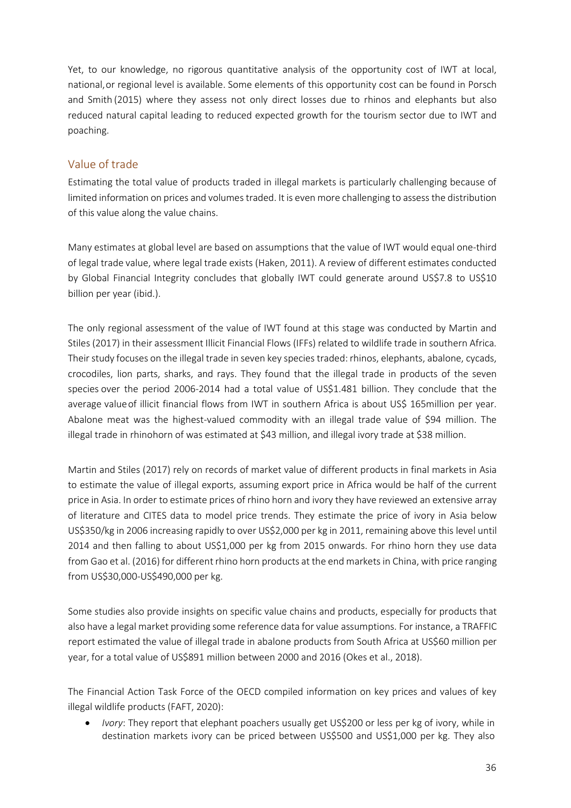Yet, to our knowledge, no rigorous quantitative analysis of the opportunity cost of IWT at local, national,or regional level is available. Some elements of this opportunity cost can be found in Porsch and Smith (2015) where they assess not only direct losses due to rhinos and elephants but also reduced natural capital leading to reduced expected growth for the tourism sector due to IWT and poaching.

## <span id="page-35-0"></span>Value of trade

Estimating the total value of products traded in illegal markets is particularly challenging because of limited information on prices and volumes traded. It is even more challenging to assess the distribution of this value along the value chains.

Many estimates at global level are based on assumptions that the value of IWT would equal one-third of legal trade value, where legal trade exists (Haken, 2011). A review of different estimates conducted by Global Financial Integrity concludes that globally IWT could generate around US\$7.8 to US\$10 billion per year (ibid.).

The only regional assessment of the value of IWT found at this stage was conducted by Martin and Stiles (2017) in their assessment Illicit Financial Flows (IFFs) related to wildlife trade in southern Africa. Their study focuses on the illegal trade in seven key species traded: rhinos, elephants, abalone, cycads, crocodiles, lion parts, sharks, and rays. They found that the illegal trade in products of the seven species over the period 2006-2014 had a total value of US\$1.481 billion. They conclude that the average valueof illicit financial flows from IWT in southern Africa is about US\$ 165million per year. Abalone meat was the highest-valued commodity with an illegal trade value of \$94 million. The illegal trade in rhinohorn of was estimated at \$43 million, and illegal ivory trade at \$38 million.

Martin and Stiles (2017) rely on records of market value of different products in final markets in Asia to estimate the value of illegal exports, assuming export price in Africa would be half of the current price in Asia. In order to estimate prices of rhino horn and ivory they have reviewed an extensive array of literature and CITES data to model price trends. They estimate the price of ivory in Asia below US\$350/kg in 2006 increasing rapidly to over US\$2,000 per kg in 2011, remaining above this level until 2014 and then falling to about US\$1,000 per kg from 2015 onwards. For rhino horn they use data from Gao et al. (2016) for different rhino horn products at the end markets in China, with price ranging from US\$30,000-US\$490,000 per kg.

Some studies also provide insights on specific value chains and products, especially for products that also have a legal market providing some reference data for value assumptions. For instance, a TRAFFIC report estimated the value of illegal trade in abalone products from South Africa at US\$60 million per year, for a total value of US\$891 million between 2000 and 2016 (Okes et al., 2018).

The Financial Action Task Force of the OECD compiled information on key prices and values of key illegal wildlife products (FAFT, 2020):

• *Ivory*: They report that elephant poachers usually get US\$200 or less per kg of ivory, while in destination markets ivory can be priced between US\$500 and US\$1,000 per kg. They also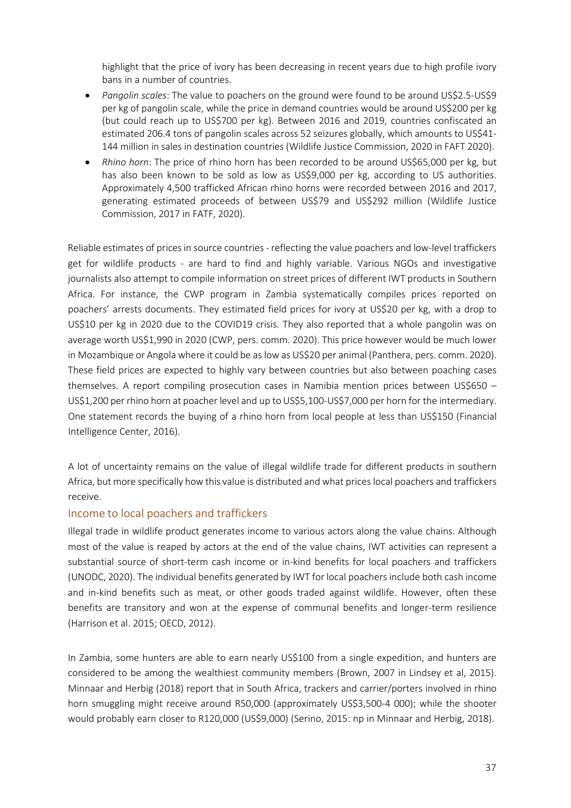highlight that the price of ivory has been decreasing in recent years due to high profile ivory bans in a number of countries.

- *Pangolin scales*: The value to poachers on the ground were found to be around US\$2.5-US\$9 per kg of pangolin scale, while the price in demand countries would be around US\$200 per kg (but could reach up to US\$700 per kg). Between 2016 and 2019, countries confiscated an estimated 206.4 tons of pangolin scales across 52 seizures globally, which amounts to US\$41- 144 million in sales in destination countries(Wildlife Justice Commission, 2020 in FAFT 2020).
- *Rhino horn*: The price of rhino horn has been recorded to be around US\$65,000 per kg, but has also been known to be sold as low as US\$9,000 per kg, according to US authorities. Approximately 4,500 trafficked African rhino horns were recorded between 2016 and 2017, generating estimated proceeds of between US\$79 and US\$292 million (Wildlife Justice Commission, 2017 in FATF, 2020).

Reliable estimates of prices in source countries - reflecting the value poachers and low-level traffickers get for wildlife products - are hard to find and highly variable. Various NGOs and investigative journalists also attempt to compile information on street prices of different IWT products in Southern Africa. For instance, the CWP program in Zambia systematically compiles prices reported on poachers' arrests documents. They estimated field prices for ivory at US\$20 per kg, with a drop to US\$10 per kg in 2020 due to the COVID19 crisis. They also reported that a whole pangolin was on average worth US\$1,990 in 2020 (CWP, pers. comm. 2020). This price however would be much lower in Mozambique or Angola where it could be as low as US\$20 per animal (Panthera, pers. comm. 2020). These field prices are expected to highly vary between countries but also between poaching cases themselves. A report compiling prosecution cases in Namibia mention prices between US\$650 – US\$1,200 per rhino horn at poacher level and up to US\$5,100-US\$7,000 per horn for the intermediary. One statement records the buying of a rhino horn from local people at less than US\$150 (Financial Intelligence Center, 2016).

A lot of uncertainty remains on the value of illegal wildlife trade for different products in southern Africa, but more specifically how this value is distributed and what prices local poachers and traffickers receive.

#### <span id="page-36-0"></span>Income to local poachers and traffickers

Illegal trade in wildlife product generates income to various actors along the value chains. Although most of the value is reaped by actors at the end of the value chains, IWT activities can represent a substantial source of short-term cash income or in-kind benefits for local poachers and traffickers (UNODC, 2020). The individual benefits generated by IWT for local poachers include both cash income and in-kind benefits such as meat, or other goods traded against wildlife. However, often these benefits are transitory and won at the expense of communal benefits and longer-term resilience (Harrison et al. 2015; OECD, 2012).

In Zambia, some hunters are able to earn nearly US\$100 from a single expedition, and hunters are considered to be among the wealthiest community members (Brown, 2007 in Lindsey et al, 2015). Minnaar and Herbig (2018) report that in South Africa, trackers and carrier/porters involved in rhino horn smuggling might receive around R50,000 (approximately US\$3,500-4 000); while the shooter would probably earn closer to R120,000 (US\$9,000) (Serino, 2015: np in Minnaar and Herbig, 2018).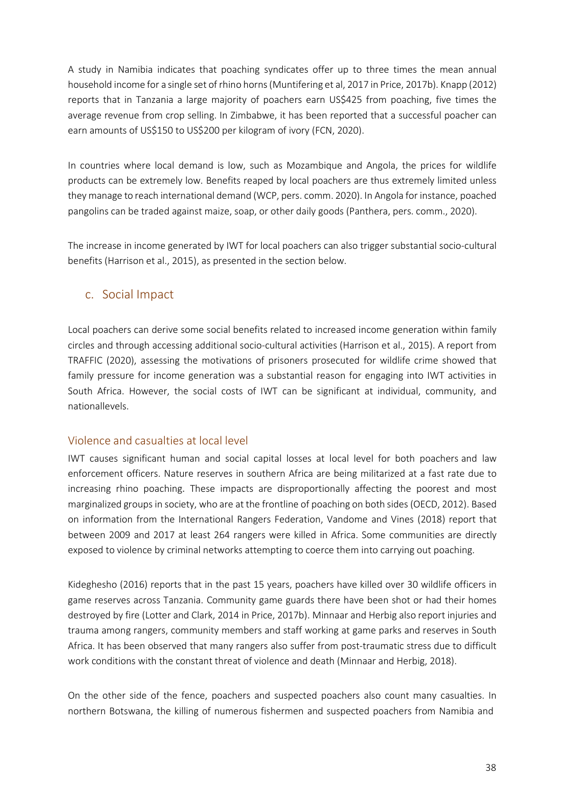A study in Namibia indicates that poaching syndicates offer up to three times the mean annual household income for a single set of rhino horns(Muntifering et al, 2017 in Price, 2017b). Knapp (2012) reports that in Tanzania a large majority of poachers earn US\$425 from poaching, five times the average revenue from crop selling. In Zimbabwe, it has been reported that a successful poacher can earn amounts of US\$150 to US\$200 per kilogram of ivory (FCN, 2020).

In countries where local demand is low, such as Mozambique and Angola, the prices for wildlife products can be extremely low. Benefits reaped by local poachers are thus extremely limited unless they manage to reach international demand (WCP, pers. comm. 2020). In Angola for instance, poached pangolins can be traded against maize, soap, or other daily goods (Panthera, pers. comm., 2020).

The increase in income generated by IWT for local poachers can also trigger substantial socio-cultural benefits (Harrison et al., 2015), as presented in the section below.

## c. Social Impact

<span id="page-37-0"></span>Local poachers can derive some social benefits related to increased income generation within family circles and through accessing additional socio-cultural activities (Harrison et al., 2015). A report from TRAFFIC (2020), assessing the motivations of prisoners prosecuted for wildlife crime showed that family pressure for income generation was a substantial reason for engaging into IWT activities in South Africa. However, the social costs of IWT can be significant at individual, community, and nationallevels.

## <span id="page-37-1"></span>Violence and casualties at local level

IWT causes significant human and social capital losses at local level for both poachers and law enforcement officers. Nature reserves in southern Africa are being militarized at a fast rate due to increasing rhino poaching. These impacts are disproportionally affecting the poorest and most marginalized groups in society, who are at the frontline of poaching on both sides (OECD, 2012). Based on information from the International Rangers Federation, Vandome and Vines (2018) report that between 2009 and 2017 at least 264 rangers were killed in Africa. Some communities are directly exposed to violence by criminal networks attempting to coerce them into carrying out poaching.

Kideghesho (2016) reports that in the past 15 years, poachers have killed over 30 wildlife officers in game reserves across Tanzania. Community game guards there have been shot or had their homes destroyed by fire (Lotter and Clark, 2014 in Price, 2017b). Minnaar and Herbig also report injuries and trauma among rangers, community members and staff working at game parks and reserves in South Africa. It has been observed that many rangers also suffer from post-traumatic stress due to difficult work conditions with the constant threat of violence and death (Minnaar and Herbig, 2018).

On the other side of the fence, poachers and suspected poachers also count many casualties. In northern Botswana, the killing of numerous fishermen and suspected poachers from Namibia and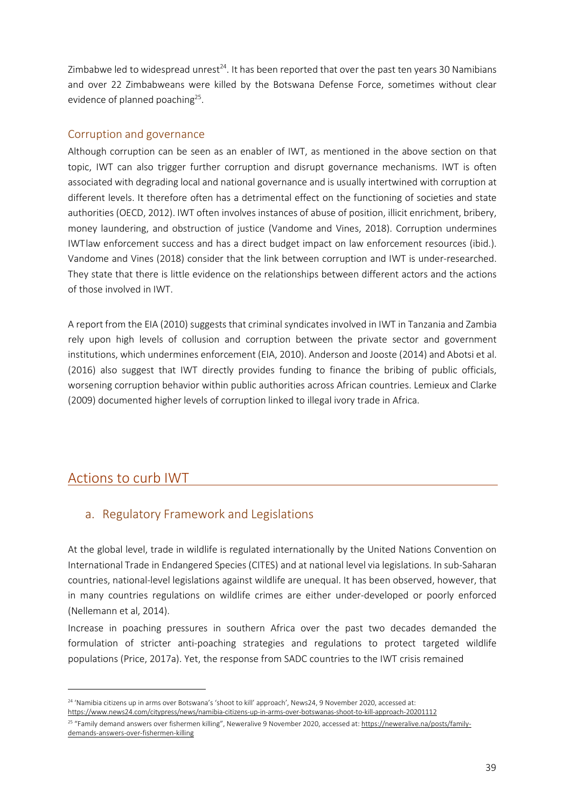Zimbabwe led to widespread unrest<sup>24</sup>. It has been reported that over the past ten years 30 Namibians and over 22 Zimbabweans were killed by the Botswana Defense Force, sometimes without clear evidence of planned poaching<sup>25</sup>.

#### <span id="page-38-0"></span>Corruption and governance

Although corruption can be seen as an enabler of IWT, as mentioned in the above section on that topic, IWT can also trigger further corruption and disrupt governance mechanisms. IWT is often associated with degrading local and national governance and is usually intertwined with corruption at different levels. It therefore often has a detrimental effect on the functioning of societies and state authorities (OECD, 2012). IWT often involves instances of abuse of position, illicit enrichment, bribery, money laundering, and obstruction of justice (Vandome and Vines, 2018). Corruption undermines IWTlaw enforcement success and has a direct budget impact on law enforcement resources (ibid.). Vandome and Vines (2018) consider that the link between corruption and IWT is under-researched. They state that there is little evidence on the relationships between different actors and the actions of those involved in IWT.

A report from the EIA (2010) suggests that criminal syndicates involved in IWT in Tanzania and Zambia rely upon high levels of collusion and corruption between the private sector and government institutions, which undermines enforcement (EIA, 2010). Anderson and Jooste (2014) and Abotsi et al. (2016) also suggest that IWT directly provides funding to finance the bribing of public officials, worsening corruption behavior within public authorities across African countries. Lemieux and Clarke (2009) documented higher levels of corruption linked to illegal ivory trade in Africa.

## <span id="page-38-2"></span><span id="page-38-1"></span>Actions to curb IWT

## a. Regulatory Framework and Legislations

At the global level, trade in wildlife is regulated internationally by the United Nations Convention on International Trade in Endangered Species (CITES) and at national level via legislations. In sub-Saharan countries, national-level legislations against wildlife are unequal. It has been observed, however, that in many countries regulations on wildlife crimes are either under-developed or poorly enforced (Nellemann et al, 2014).

Increase in poaching pressures in southern Africa over the past two decades demanded the formulation of stricter anti-poaching strategies and regulations to protect targeted wildlife populations (Price, 2017a). Yet, the response from SADC countries to the IWT crisis remained

<span id="page-38-3"></span><sup>&</sup>lt;sup>24</sup> 'Namibia citizens up in arms over Botswana's 'shoot to kill' approach', News24, 9 November 2020, accessed at: <https://www.news24.com/citypress/news/namibia-citizens-up-in-arms-over-botswanas-shoot-to-kill-approach-20201112>

<span id="page-38-4"></span><sup>&</sup>lt;sup>25</sup> "Family demand answers over fishermen killing", Neweralive 9 November 2020, accessed at[: https://neweralive.na/posts/family](https://neweralive.na/posts/family-demands-answers-over-fishermen-killing)[demands-answers-over-fishermen-killing](https://neweralive.na/posts/family-demands-answers-over-fishermen-killing)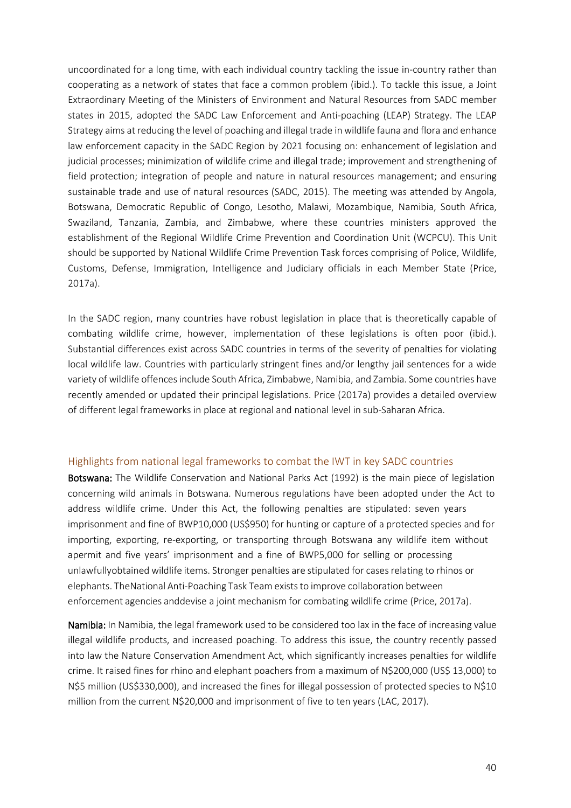uncoordinated for a long time, with each individual country tackling the issue in-country rather than cooperating as a network of states that face a common problem (ibid.). To tackle this issue, a Joint Extraordinary Meeting of the Ministers of Environment and Natural Resources from SADC member states in 2015, adopted the SADC Law Enforcement and Anti-poaching (LEAP) Strategy. The LEAP Strategy aims at reducing the level of poaching and illegal trade in wildlife fauna and flora and enhance law enforcement capacity in the SADC Region by 2021 focusing on: enhancement of legislation and judicial processes; minimization of wildlife crime and illegal trade; improvement and strengthening of field protection; integration of people and nature in natural resources management; and ensuring sustainable trade and use of natural resources (SADC, 2015). The meeting was attended by Angola, Botswana, Democratic Republic of Congo, Lesotho, Malawi, Mozambique, Namibia, South Africa, Swaziland, Tanzania, Zambia, and Zimbabwe, where these countries ministers approved the establishment of the Regional Wildlife Crime Prevention and Coordination Unit (WCPCU). This Unit should be supported by National Wildlife Crime Prevention Task forces comprising of Police, Wildlife, Customs, Defense, Immigration, Intelligence and Judiciary officials in each Member State (Price, 2017a).

In the SADC region, many countries have robust legislation in place that is theoretically capable of combating wildlife crime, however, implementation of these legislations is often poor (ibid.). Substantial differences exist across SADC countries in terms of the severity of penalties for violating local wildlife law. Countries with particularly stringent fines and/or lengthy jail sentences for a wide variety of wildlife offences include South Africa, Zimbabwe, Namibia, and Zambia. Some countries have recently amended or updated their principal legislations. Price (2017a) provides a detailed overview of different legal frameworks in place at regional and national level in sub-Saharan Africa.

#### <span id="page-39-0"></span>Highlights from national legal frameworks to combat the IWT in key SADC countries

Botswana: The Wildlife Conservation and National Parks Act (1992) is the main piece of legislation concerning wild animals in Botswana. Numerous regulations have been adopted under the Act to address wildlife crime. Under this Act, the following penalties are stipulated: seven years imprisonment and fine of BWP10,000 (US\$950) for hunting or capture of a protected species and for importing, exporting, re-exporting, or transporting through Botswana any wildlife item without apermit and five years' imprisonment and a fine of BWP5,000 for selling or processing unlawfullyobtained wildlife items. Stronger penalties are stipulated for casesrelating to rhinos or elephants. TheNational Anti-Poaching Task Team existsto improve collaboration between enforcement agencies anddevise a joint mechanism for combating wildlife crime (Price, 2017a).

Namibia: In Namibia, the legal framework used to be considered too lax in the face of increasing value illegal wildlife products, and increased poaching. To address this issue, the country recently passed into law the Nature Conservation Amendment Act, which significantly increases penalties for wildlife crime. It raised fines for rhino and elephant poachers from a maximum of N\$200,000 (US\$ 13,000) to N\$5 million (US\$330,000), and increased the fines for illegal possession of protected species to N\$10 million from the current N\$20,000 and imprisonment of five to ten years (LAC, 2017).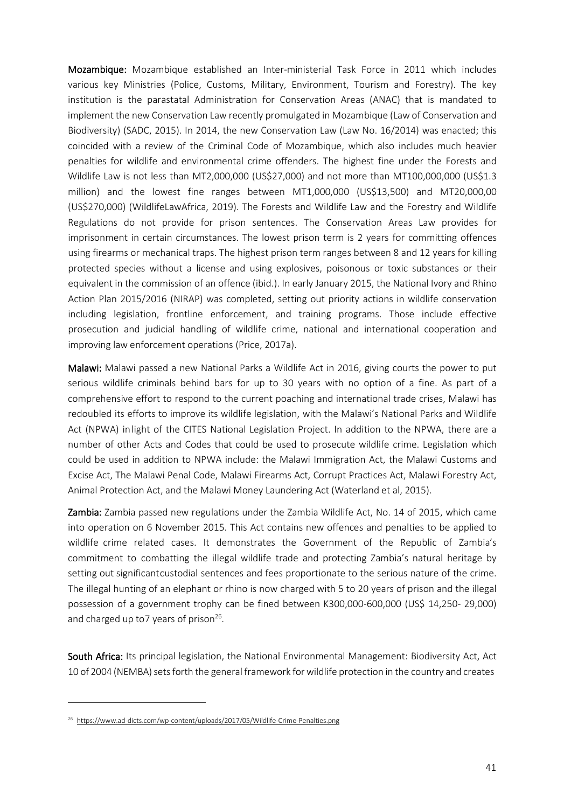Mozambique: Mozambique established an Inter-ministerial Task Force in 2011 which includes various key Ministries (Police, Customs, Military, Environment, Tourism and Forestry). The key institution is the parastatal Administration for Conservation Areas (ANAC) that is mandated to implement the new Conservation Law recently promulgated in Mozambique (Law of Conservation and Biodiversity) (SADC, 2015). In 2014, the new Conservation Law (Law No. 16/2014) was enacted; this coincided with a review of the Criminal Code of Mozambique, which also includes much heavier penalties for wildlife and environmental crime offenders. The highest fine under the Forests and Wildlife Law is not less than MT2,000,000 (US\$27,000) and not more than MT100,000,000 (US\$1.3 million) and the lowest fine ranges between MT1,000,000 (US\$13,500) and MT20,000,00 (US\$270,000) (WildlifeLawAfrica, 2019). The Forests and Wildlife Law and the Forestry and Wildlife Regulations do not provide for prison sentences. The Conservation Areas Law provides for imprisonment in certain circumstances. The lowest prison term is 2 years for committing offences using firearms or mechanical traps. The highest prison term ranges between 8 and 12 years for killing protected species without a license and using explosives, poisonous or toxic substances or their equivalent in the commission of an offence (ibid.). In early January 2015, the National Ivory and Rhino Action Plan 2015/2016 (NIRAP) was completed, setting out priority actions in wildlife conservation including legislation, frontline enforcement, and training programs. Those include effective prosecution and judicial handling of wildlife crime, national and international cooperation and improving law enforcement operations (Price, 2017a).

Malawi: Malawi passed a new National Parks a Wildlife Act in 2016, giving courts the power to put serious wildlife criminals behind bars for up to 30 years with no option of a fine. As part of a comprehensive effort to respond to the current poaching and international trade crises, Malawi has redoubled its efforts to improve its wildlife legislation, with the Malawi's National Parks and Wildlife Act (NPWA) inlight of the CITES National Legislation Project. In addition to the NPWA, there are a number of other Acts and Codes that could be used to prosecute wildlife crime. Legislation which could be used in addition to NPWA include: the Malawi Immigration Act, the Malawi Customs and Excise Act, The Malawi Penal Code, Malawi Firearms Act, Corrupt Practices Act, Malawi Forestry Act, Animal Protection Act, and the Malawi Money Laundering Act (Waterland et al, 2015).

Zambia: Zambia passed new regulations under the Zambia Wildlife Act, No. 14 of 2015, which came into operation on 6 November 2015. This Act contains new offences and penalties to be applied to wildlife crime related cases. It demonstrates the Government of the Republic of Zambia's commitment to combatting the illegal wildlife trade and protecting Zambia's natural heritage by setting out significantcustodial sentences and fees proportionate to the serious nature of the crime. The illegal hunting of an elephant or rhino is now charged with 5 to 20 years of prison and the illegal possession of a government trophy can be fined between K300,000-600,000 (US\$ 14,250- 29,000) and charged up to 7 years of prison<sup>26</sup>.

South Africa: Its principal legislation, the National Environmental Management: Biodiversity Act, Act 10 of 2004 (NEMBA) sets forth the general framework for wildlife protection in the country and creates

<span id="page-40-0"></span><sup>26</sup> <https://www.ad-dicts.com/wp-content/uploads/2017/05/Wildlife-Crime-Penalties.png>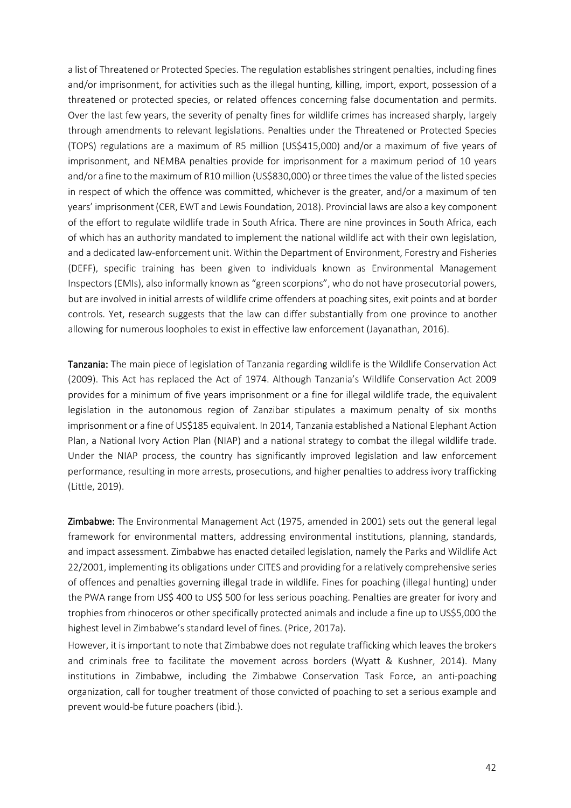a list of Threatened or Protected Species. The regulation establishes stringent penalties, including fines and/or imprisonment, for activities such as the illegal hunting, killing, import, export, possession of a threatened or protected species, or related offences concerning false documentation and permits. Over the last few years, the severity of penalty fines for wildlife crimes has increased sharply, largely through amendments to relevant legislations. Penalties under the Threatened or Protected Species (TOPS) regulations are a maximum of R5 million (US\$415,000) and/or a maximum of five years of imprisonment, and NEMBA penalties provide for imprisonment for a maximum period of 10 years and/or a fine to the maximum of R10 million (US\$830,000) or three times the value of the listed species in respect of which the offence was committed, whichever is the greater, and/or a maximum of ten years' imprisonment(CER, EWT and Lewis Foundation, 2018). Provincial laws are also a key component of the effort to regulate wildlife trade in South Africa. There are nine provinces in South Africa, each of which has an authority mandated to implement the national wildlife act with their own legislation, and a dedicated law-enforcement unit. Within the Department of Environment, Forestry and Fisheries (DEFF), specific training has been given to individuals known as Environmental Management Inspectors (EMIs), also informally known as "green scorpions", who do not have prosecutorial powers, but are involved in initial arrests of wildlife crime offenders at poaching sites, exit points and at border controls. Yet, research suggests that the law can differ substantially from one province to another allowing for numerous loopholes to exist in effective law enforcement (Jayanathan, 2016).

Tanzania: The main piece of legislation of Tanzania regarding wildlife is the Wildlife Conservation Act (2009). This Act has replaced the Act of 1974. Although Tanzania's Wildlife Conservation Act 2009 provides for a minimum of five years imprisonment or a fine for illegal wildlife trade, the equivalent legislation in the autonomous region of Zanzibar stipulates a maximum penalty of six months imprisonment or a fine of US\$185 equivalent. In 2014, Tanzania established a National Elephant Action Plan, a National Ivory Action Plan (NIAP) and a national strategy to combat the illegal wildlife trade. Under the NIAP process, the country has significantly improved legislation and law enforcement performance, resulting in more arrests, prosecutions, and higher penalties to address ivory trafficking (Little, 2019).

Zimbabwe: The Environmental Management Act (1975, amended in 2001) sets out the general legal framework for environmental matters, addressing environmental institutions, planning, standards, and impact assessment. Zimbabwe has enacted detailed legislation, namely the Parks and Wildlife Act 22/2001, implementing its obligations under CITES and providing for a relatively comprehensive series of offences and penalties governing illegal trade in wildlife. Fines for poaching (illegal hunting) under the PWA range from US\$ 400 to US\$ 500 for less serious poaching. Penalties are greater for ivory and trophiesfrom rhinoceros or other specifically protected animals and include a fine up to US\$5,000 the highest level in Zimbabwe's standard level of fines. (Price, 2017a).

However, it is important to note that Zimbabwe does not regulate trafficking which leaves the brokers and criminals free to facilitate the movement across borders (Wyatt & Kushner, 2014). Many institutions in Zimbabwe, including the Zimbabwe Conservation Task Force, an anti-poaching organization, call for tougher treatment of those convicted of poaching to set a serious example and prevent would-be future poachers (ibid.).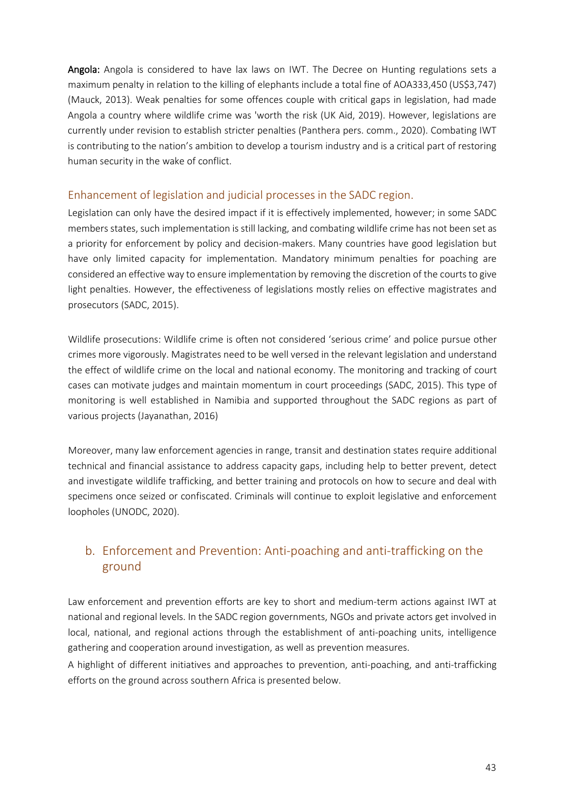Angola: Angola is considered to have lax laws on IWT. The Decree on Hunting regulations sets a maximum penalty in relation to the killing of elephants include a total fine of AOA333,450 (US\$3,747) (Mauck, 2013). Weak penalties for some offences couple with critical gaps in legislation, had made Angola a country where wildlife crime was 'worth the risk (UK Aid, 2019). However, legislations are currently under revision to establish stricter penalties (Panthera pers. comm., 2020). Combating IWT is contributing to the nation's ambition to develop a tourism industry and is a critical part of restoring human security in the wake of conflict.

## <span id="page-42-0"></span>Enhancement of legislation and judicial processes in the SADC region.

Legislation can only have the desired impact if it is effectively implemented, however; in some SADC members states, such implementation is still lacking, and combating wildlife crime has not been set as a priority for enforcement by policy and decision-makers. Many countries have good legislation but have only limited capacity for implementation. Mandatory minimum penalties for poaching are considered an effective way to ensure implementation by removing the discretion of the courts to give light penalties. However, the effectiveness of legislations mostly relies on effective magistrates and prosecutors (SADC, 2015).

Wildlife prosecutions: Wildlife crime is often not considered 'serious crime' and police pursue other crimes more vigorously. Magistrates need to be well versed in the relevant legislation and understand the effect of wildlife crime on the local and national economy. The monitoring and tracking of court cases can motivate judges and maintain momentum in court proceedings (SADC, 2015). This type of monitoring is well established in Namibia and supported throughout the SADC regions as part of various projects (Jayanathan, 2016)

Moreover, many law enforcement agencies in range, transit and destination states require additional technical and financial assistance to address capacity gaps, including help to better prevent, detect and investigate wildlife trafficking, and better training and protocols on how to secure and deal with specimens once seized or confiscated. Criminals will continue to exploit legislative and enforcement loopholes (UNODC, 2020).

## <span id="page-42-1"></span>b. Enforcement and Prevention: Anti-poaching and anti-trafficking on the ground

Law enforcement and prevention efforts are key to short and medium-term actions against IWT at national and regional levels. In the SADC region governments, NGOs and private actors get involved in local, national, and regional actions through the establishment of anti-poaching units, intelligence gathering and cooperation around investigation, as well as prevention measures.

A highlight of different initiatives and approaches to prevention, anti-poaching, and anti-trafficking efforts on the ground across southern Africa is presented below.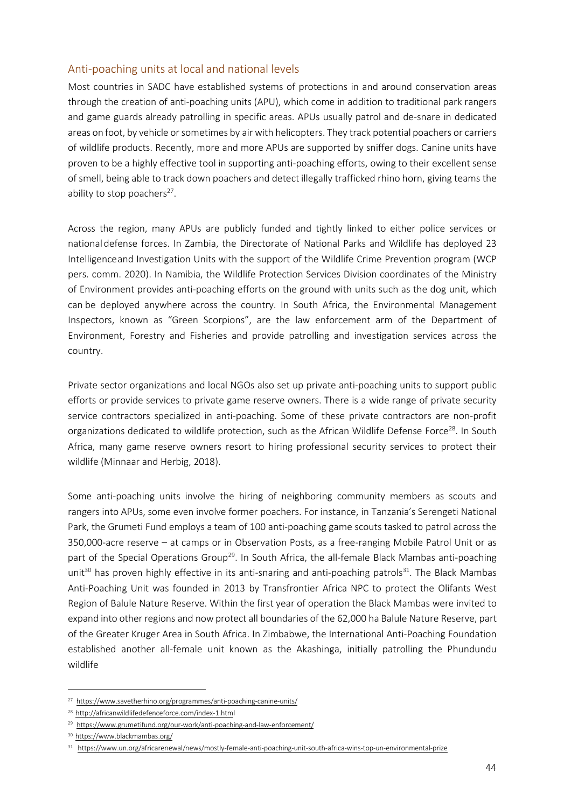#### <span id="page-43-0"></span>Anti-poaching units at local and national levels

Most countries in SADC have established systems of protections in and around conservation areas through the creation of anti-poaching units (APU), which come in addition to traditional park rangers and game guards already patrolling in specific areas. APUs usually patrol and de-snare in dedicated areas on foot, by vehicle or sometimes by air with helicopters. They track potential poachers or carriers of wildlife products. Recently, more and more APUs are supported by sniffer dogs. Canine units have proven to be a highly effective tool in supporting anti-poaching efforts, owing to their excellent sense of smell, being able to track down poachers and detect illegally trafficked rhino horn, giving teams the ability to stop poachers<sup>27</sup>.

Across the region, many APUs are publicly funded and tightly linked to either police services or nationaldefense forces. In Zambia, the Directorate of National Parks and Wildlife has deployed 23 Intelligenceand Investigation Units with the support of the Wildlife Crime Prevention program (WCP pers. comm. 2020). In Namibia, the Wildlife Protection Services Division coordinates of the Ministry of Environment provides anti-poaching efforts on the ground with units such as the dog unit, which can be deployed anywhere across the country. In South Africa, the Environmental Management Inspectors, known as "Green Scorpions", are the law enforcement arm of the Department of Environment, Forestry and Fisheries and provide patrolling and investigation services across the country.

Private sector organizations and local NGOs also set up private anti-poaching units to support public efforts or provide services to private game reserve owners. There is a wide range of private security service contractors specialized in anti-poaching. Some of these private contractors are non-profit organizations dedicated to wildlife protection, such as the African Wildlife Defense Force<sup>28</sup>. In South Africa, many game reserve owners resort to hiring professional security services to protect their wildlife (Minnaar and Herbig, 2018).

Some anti-poaching units involve the hiring of neighboring community members as scouts and rangers into APUs, some even involve former poachers. For instance, in Tanzania's Serengeti National Park, the Grumeti Fund employs a team of 100 anti-poaching game scouts tasked to patrol across the 350,000-acre reserve – at camps or in Observation Posts, as a free-ranging Mobile Patrol Unit or as part of the Special Operations Group<sup>29</sup>. In South Africa, the all-female Black Mambas anti-poaching unit<sup>30</sup> has proven highly effective in its anti-snaring and anti-poaching patrols<sup>31</sup>. The Black Mambas Anti-Poaching Unit was founded in 2013 by Transfrontier Africa NPC to protect the Olifants West Region of Balule Nature Reserve. Within the first year of operation the Black Mambas were invited to expand into other regions and nowprotect all boundaries of the 62,000 ha Balule Nature Reserve, part of the Greater Kruger Area in South Africa. In Zimbabwe, the International Anti-Poaching Foundation established another all-female unit known as the Akashinga, initially patrolling the Phundundu wildlife

<span id="page-43-2"></span><span id="page-43-1"></span><sup>27</sup> <https://www.savetherhino.org/programmes/anti-poaching-canine-units/>

<sup>28</sup> <http://africanwildlifedefenceforce.com/index-1.html>

<span id="page-43-3"></span><sup>&</sup>lt;sup>29</sup> <https://www.grumetifund.org/our-work/anti-poaching-and-law-enforcement/>

<span id="page-43-4"></span><sup>30</sup> <https://www.blackmambas.org/>

<span id="page-43-5"></span><sup>31</sup> <https://www.un.org/africarenewal/news/mostly-female-anti-poaching-unit-south-africa-wins-top-un-environmental-prize>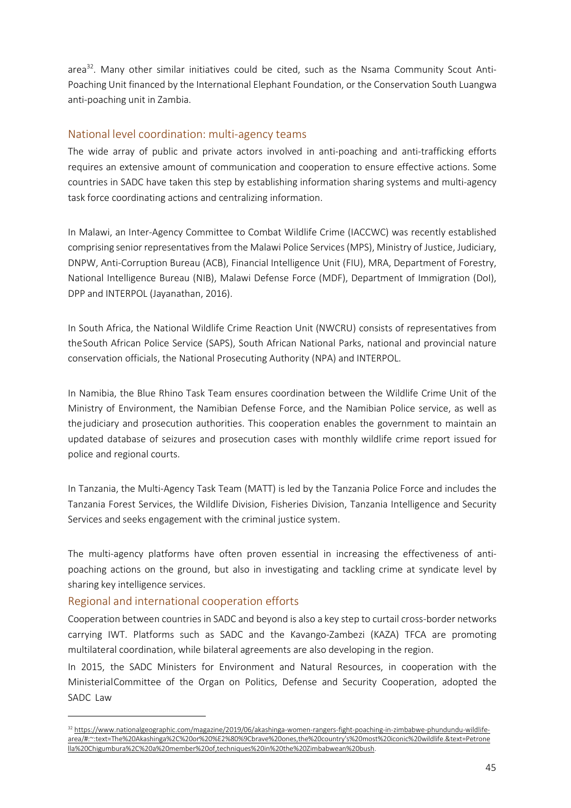area $32$ . Many other similar initiatives could be cited, such as the Nsama Community Scout Anti-Poaching Unit financed by the International Elephant Foundation, or the Conservation South Luangwa anti-poaching unit in Zambia.

#### <span id="page-44-0"></span>National level coordination: multi-agency teams

The wide array of public and private actors involved in anti-poaching and anti-trafficking efforts requires an extensive amount of communication and cooperation to ensure effective actions. Some countries in SADC have taken this step by establishing information sharing systems and multi-agency task force coordinating actions and centralizing information.

In Malawi, an Inter-Agency Committee to Combat Wildlife Crime (IACCWC) was recently established comprising senior representativesfrom the Malawi Police Services(MPS), Ministry of Justice, Judiciary, DNPW, Anti-Corruption Bureau (ACB), Financial Intelligence Unit (FIU), MRA, Department of Forestry, National Intelligence Bureau (NIB), Malawi Defense Force (MDF), Department of Immigration (DoI), DPP and INTERPOL (Jayanathan, 2016).

In South Africa, the National Wildlife Crime Reaction Unit (NWCRU) consists of representatives from theSouth African Police Service (SAPS), South African National Parks, national and provincial nature conservation officials, the National Prosecuting Authority (NPA) and INTERPOL.

In Namibia, the Blue Rhino Task Team ensures coordination between the Wildlife Crime Unit of the Ministry of Environment, the Namibian Defense Force, and the Namibian Police service, as well as thejudiciary and prosecution authorities. This cooperation enables the government to maintain an updated database of seizures and prosecution cases with monthly wildlife crime report issued for police and regional courts.

In Tanzania, the Multi-Agency Task Team (MATT) is led by the Tanzania Police Force and includes the Tanzania Forest Services, the Wildlife Division, Fisheries Division, Tanzania Intelligence and Security Services and seeks engagement with the criminal justice system.

The multi-agency platforms have often proven essential in increasing the effectiveness of antipoaching actions on the ground, but also in investigating and tackling crime at syndicate level by sharing key intelligence services.

## <span id="page-44-1"></span>Regional and international cooperation efforts

Cooperation between countries in SADC and beyond is also a key step to curtail cross-border networks carrying IWT. Platforms such as SADC and the Kavango-Zambezi (KAZA) TFCA are promoting multilateral coordination, while bilateral agreements are also developing in the region.

In 2015, the SADC Ministers for Environment and Natural Resources, in cooperation with the MinisterialCommittee of the Organ on Politics, Defense and Security Cooperation, adopted the SADC Law

<span id="page-44-2"></span><sup>32</sup> [https://www.nationalgeographic.com/magazine/2019/06/akashinga-women-rangers-fight-poaching-in-zimbabwe-phundundu-wildlife](https://www.nationalgeographic.com/magazine/2019/06/akashinga-women-rangers-fight-poaching-in-zimbabwe-phundundu-wildlife-area/#%3A%7E%3Atext%3DThe%20Akashinga%2C%20or%20%E2%80%9Cbrave%20ones%2Cthe%20country%27s%20most%20iconic%20wildlife.%26text%3DPetronella%20Chigumbura%2C%20a%20member%20of%2Ctechniques%20in%20the%20Zimbabwean%20bush)[area/#:~:text=The%20Akashinga%2C%20or%20%E2%80%9Cbrave%20ones,the%20country's%20most%20iconic%20wildlife.&text=Petrone](https://www.nationalgeographic.com/magazine/2019/06/akashinga-women-rangers-fight-poaching-in-zimbabwe-phundundu-wildlife-area/#%3A%7E%3Atext%3DThe%20Akashinga%2C%20or%20%E2%80%9Cbrave%20ones%2Cthe%20country%27s%20most%20iconic%20wildlife.%26text%3DPetronella%20Chigumbura%2C%20a%20member%20of%2Ctechniques%20in%20the%20Zimbabwean%20bush) [lla%20Chigumbura%2C%20a%20member%20of,techniques%20in%20the%20Zimbabwean%20bush.](https://www.nationalgeographic.com/magazine/2019/06/akashinga-women-rangers-fight-poaching-in-zimbabwe-phundundu-wildlife-area/#%3A%7E%3Atext%3DThe%20Akashinga%2C%20or%20%E2%80%9Cbrave%20ones%2Cthe%20country%27s%20most%20iconic%20wildlife.%26text%3DPetronella%20Chigumbura%2C%20a%20member%20of%2Ctechniques%20in%20the%20Zimbabwean%20bush)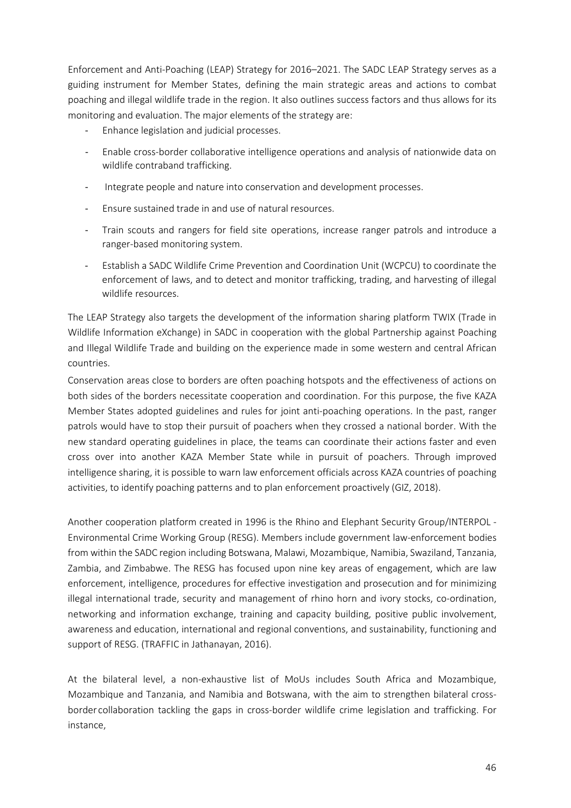Enforcement and Anti-Poaching (LEAP) Strategy for 2016–2021. The SADC LEAP Strategy serves as a guiding instrument for Member States, defining the main strategic areas and actions to combat poaching and illegal wildlife trade in the region. It also outlines success factors and thus allows for its monitoring and evaluation. The major elements of the strategy are:

- Enhance legislation and judicial processes.
- Enable cross-border collaborative intelligence operations and analysis of nationwide data on wildlife contraband trafficking.
- Integrate people and nature into conservation and development processes.
- Ensure sustained trade in and use of natural resources.
- Train scouts and rangers for field site operations, increase ranger patrols and introduce a ranger-based monitoring system.
- Establish a SADC Wildlife Crime Prevention and Coordination Unit (WCPCU) to coordinate the enforcement of laws, and to detect and monitor trafficking, trading, and harvesting of illegal wildlife resources.

The LEAP Strategy also targets the development of the information sharing platform TWIX (Trade in Wildlife Information eXchange) in SADC in cooperation with the global Partnership against Poaching and Illegal Wildlife Trade and building on the experience made in some western and central African countries.

Conservation areas close to borders are often poaching hotspots and the effectiveness of actions on both sides of the borders necessitate cooperation and coordination. For this purpose, the five KAZA Member States adopted guidelines and rules for joint anti-poaching operations. In the past, ranger patrols would have to stop their pursuit of poachers when they crossed a national border. With the new standard operating guidelines in place, the teams can coordinate their actions faster and even cross over into another KAZA Member State while in pursuit of poachers. Through improved intelligence sharing, it is possible to warn law enforcement officials across KAZA countries of poaching activities, to identify poaching patterns and to plan enforcement proactively (GIZ, 2018).

Another cooperation platform created in 1996 is the Rhino and Elephant Security Group/INTERPOL - Environmental Crime Working Group (RESG). Members include government law-enforcement bodies from within the SADC region including Botswana, Malawi, Mozambique, Namibia, Swaziland, Tanzania, Zambia, and Zimbabwe. The RESG has focused upon nine key areas of engagement, which are law enforcement, intelligence, procedures for effective investigation and prosecution and for minimizing illegal international trade, security and management of rhino horn and ivory stocks, co-ordination, networking and information exchange, training and capacity building, positive public involvement, awareness and education, international and regional conventions, and sustainability, functioning and support of RESG. (TRAFFIC in Jathanayan, 2016).

At the bilateral level, a non-exhaustive list of MoUs includes South Africa and Mozambique, Mozambique and Tanzania, and Namibia and Botswana, with the aim to strengthen bilateral crossborder collaboration tackling the gaps in cross-border wildlife crime legislation and trafficking. For instance,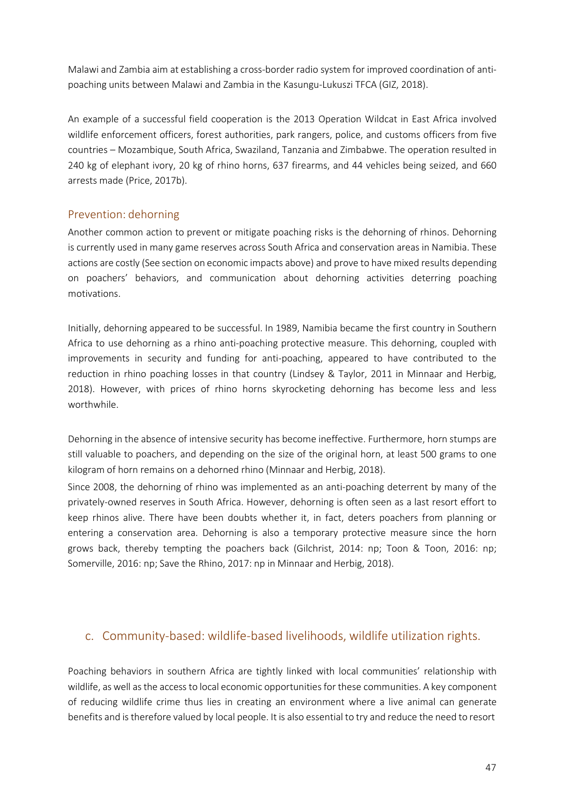Malawi and Zambia aim at establishing a cross-border radio system for improved coordination of antipoaching units between Malawi and Zambia in the Kasungu-Lukuszi TFCA (GIZ, 2018).

An example of a successful field cooperation is the 2013 Operation Wildcat in East Africa involved wildlife enforcement officers, forest authorities, park rangers, police, and customs officers from five countries ‒ Mozambique, South Africa, Swaziland, Tanzania and Zimbabwe. The operation resulted in 240 kg of elephant ivory, 20 kg of rhino horns, 637 firearms, and 44 vehicles being seized, and 660 arrests made (Price, 2017b).

## <span id="page-46-0"></span>Prevention: dehorning

Another common action to prevent or mitigate poaching risks is the dehorning of rhinos. Dehorning is currently used in many game reserves across South Africa and conservation areas in Namibia. These actions are costly (See section on economic impacts above) and prove to have mixed results depending on poachers' behaviors, and communication about dehorning activities deterring poaching motivations.

Initially, dehorning appeared to be successful. In 1989, Namibia became the first country in Southern Africa to use dehorning as a rhino anti-poaching protective measure. This dehorning, coupled with improvements in security and funding for anti-poaching, appeared to have contributed to the reduction in rhino poaching losses in that country (Lindsey & Taylor, 2011 in Minnaar and Herbig, 2018). However, with prices of rhino horns skyrocketing dehorning has become less and less worthwhile.

Dehorning in the absence of intensive security has become ineffective. Furthermore, horn stumps are still valuable to poachers, and depending on the size of the original horn, at least 500 grams to one kilogram of horn remains on a dehorned rhino (Minnaar and Herbig, 2018).

Since 2008, the dehorning of rhino was implemented as an anti-poaching deterrent by many of the privately-owned reserves in South Africa. However, dehorning is often seen as a last resort effort to keep rhinos alive. There have been doubts whether it, in fact, deters poachers from planning or entering a conservation area. Dehorning is also a temporary protective measure since the horn grows back, thereby tempting the poachers back (Gilchrist, 2014: np; Toon & Toon, 2016: np; Somerville, 2016: np; Save the Rhino, 2017: np in Minnaar and Herbig, 2018).

## c. Community-based: wildlife-based livelihoods, wildlife utilization rights.

<span id="page-46-1"></span>Poaching behaviors in southern Africa are tightly linked with local communities' relationship with wildlife, as well as the access to local economic opportunities for these communities. A key component of reducing wildlife crime thus lies in creating an environment where a live animal can generate benefits and istherefore valued by local people. It is also essential to try and reduce the need to resort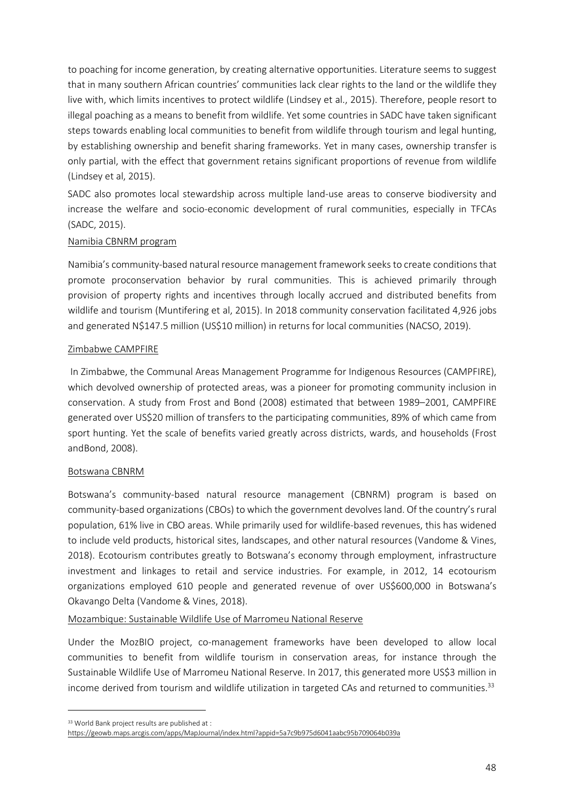to poaching for income generation, by creating alternative opportunities. Literature seems to suggest that in many southern African countries' communities lack clear rights to the land or the wildlife they live with, which limits incentives to protect wildlife (Lindsey et al., 2015). Therefore, people resort to illegal poaching as a means to benefit from wildlife. Yet some countries in SADC have taken significant steps towards enabling local communities to benefit from wildlife through tourism and legal hunting, by establishing ownership and benefit sharing frameworks. Yet in many cases, ownership transfer is only partial, with the effect that government retains significant proportions of revenue from wildlife (Lindsey et al, 2015).

SADC also promotes local stewardship across multiple land-use areas to conserve biodiversity and increase the welfare and socio-economic development of rural communities, especially in TFCAs (SADC, 2015).

#### Namibia CBNRM program

Namibia's community-based natural resource management framework seeks to create conditions that promote proconservation behavior by rural communities. This is achieved primarily through provision of property rights and incentives through locally accrued and distributed benefits from wildlife and tourism (Muntifering et al, 2015). In 2018 community conservation facilitated 4,926 jobs and generated N\$147.5 million (US\$10 million) in returns for local communities (NACSO, 2019).

#### Zimbabwe CAMPFIRE

In Zimbabwe, the Communal Areas Management Programme for Indigenous Resources (CAMPFIRE), which devolved ownership of protected areas, was a pioneer for promoting community inclusion in conservation. A study from Frost and Bond (2008) estimated that between 1989–2001, CAMPFIRE generated over US\$20 million of transfers to the participating communities, 89% of which came from sport hunting. Yet the scale of benefits varied greatly across districts, wards, and households (Frost andBond, 2008).

#### Botswana CBNRM

Botswana's community-based natural resource management (CBNRM) program is based on community-based organizations (CBOs) to which the government devolves land. Of the country's rural population, 61% live in CBO areas. While primarily used for wildlife-based revenues, this has widened to include veld products, historical sites, landscapes, and other natural resources (Vandome & Vines, 2018). Ecotourism contributes greatly to Botswana's economy through employment, infrastructure investment and linkages to retail and service industries. For example, in 2012, 14 ecotourism organizations employed 610 people and generated revenue of over US\$600,000 in Botswana's Okavango Delta (Vandome & Vines, 2018).

#### Mozambique: Sustainable Wildlife Use of Marromeu National Reserve

Under the MozBIO project, co-management frameworks have been developed to allow local communities to benefit from wildlife tourism in conservation areas, for instance through the Sustainable Wildlife Use of Marromeu National Reserve. In 2017, this generated more US\$3 million in income derived from tourism and wildlife utilization in targeted CAs and returned to communities. $33$ 

<span id="page-47-0"></span><sup>33</sup> World Bank project results are published at :

<https://geowb.maps.arcgis.com/apps/MapJournal/index.html?appid=5a7c9b975d6041aabc95b709064b039a>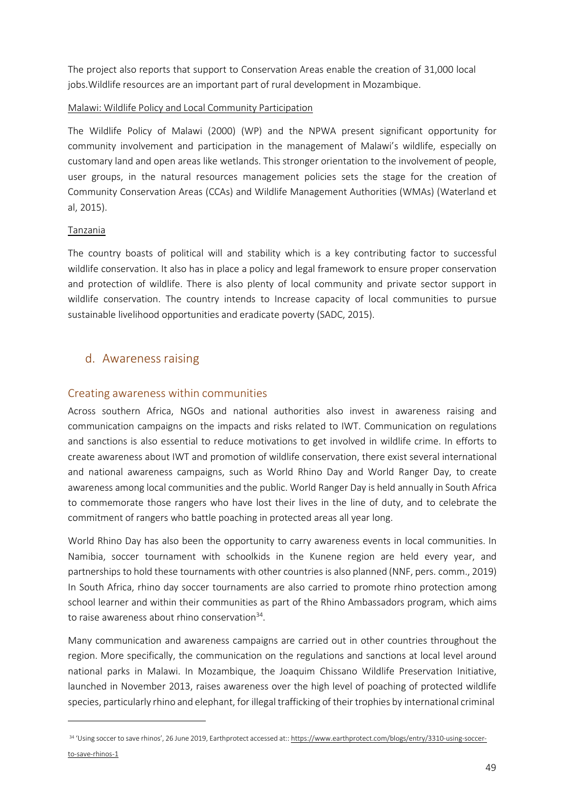The project also reports that support to Conservation Areas enable the creation of 31,000 local jobs.Wildlife resources are an important part of rural development in Mozambique.

#### Malawi: Wildlife Policy and Local Community Participation

The Wildlife Policy of Malawi (2000) (WP) and the NPWA present significant opportunity for community involvement and participation in the management of Malawi's wildlife, especially on customary land and open areas like wetlands. This stronger orientation to the involvement of people, user groups, in the natural resources management policies sets the stage for the creation of Community Conservation Areas (CCAs) and Wildlife Management Authorities (WMAs) (Waterland et al, 2015).

#### Tanzania

The country boasts of political will and stability which is a key contributing factor to successful wildlife conservation. It also has in place a policy and legal framework to ensure proper conservation and protection of wildlife. There is also plenty of local community and private sector support in wildlife conservation. The country intends to Increase capacity of local communities to pursue sustainable livelihood opportunities and eradicate poverty (SADC, 2015).

## d. Awareness raising

#### <span id="page-48-1"></span><span id="page-48-0"></span>Creating awareness within communities

Across southern Africa, NGOs and national authorities also invest in awareness raising and communication campaigns on the impacts and risks related to IWT. Communication on regulations and sanctions is also essential to reduce motivations to get involved in wildlife crime. In efforts to create awareness about IWT and promotion of wildlife conservation, there exist several international and national awareness campaigns, such as World Rhino Day and World Ranger Day, to create awareness among local communities and the public. World Ranger Day is held annually in South Africa to commemorate those rangers who have lost their lives in the line of duty, and to celebrate the commitment of rangers who battle poaching in protected areas all year long.

World Rhino Day has also been the opportunity to carry awareness events in local communities. In Namibia, soccer tournament with schoolkids in the Kunene region are held every year, and partnerships to hold these tournaments with other countries is also planned (NNF, pers. comm., 2019) In South Africa, rhino day soccer tournaments are also carried to promote rhino protection among school learner and within their communities as part of the Rhino Ambassadors program, which aims to raise awareness about rhino conservation<sup>34</sup>.

Many communication and awareness campaigns are carried out in other countries throughout the region. More specifically, the communication on the regulations and sanctions at local level around national parks in Malawi. In Mozambique, the Joaquim Chissano Wildlife Preservation Initiative, launched in November 2013, raises awareness over the high level of poaching of protected wildlife species, particularly rhino and elephant, for illegal trafficking of their trophies by international criminal

<span id="page-48-2"></span><sup>34 &#</sup>x27;Using soccer to save rhinos', 26 June 2019, Earthprotect accessed at:: [https://www.earthprotect.com/blogs/entry/3310-using-soccer](https://www.earthprotect.com/blogs/entry/3310-using-soccer-to-save-rhinos-1)[to-save-rhinos-1](https://www.earthprotect.com/blogs/entry/3310-using-soccer-to-save-rhinos-1)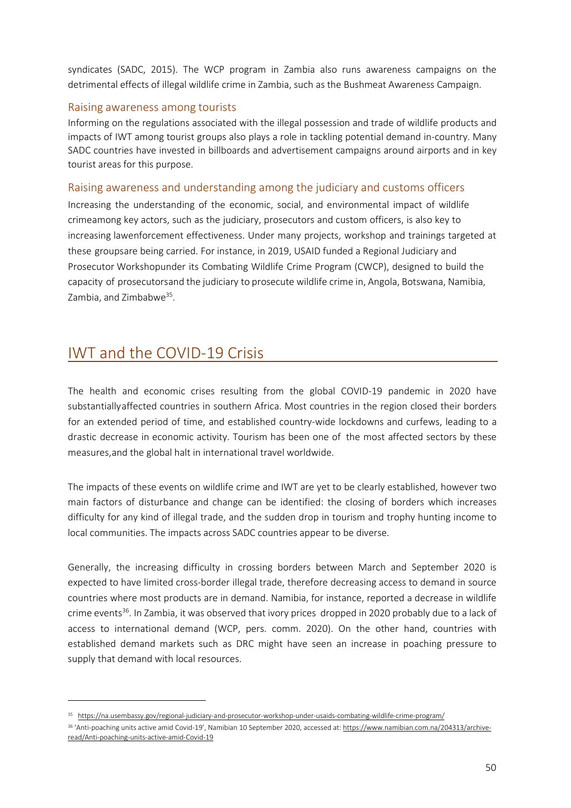syndicates (SADC, 2015). The WCP program in Zambia also runs awareness campaigns on the detrimental effects of illegal wildlife crime in Zambia, such as the Bushmeat Awareness Campaign.

#### <span id="page-49-0"></span>Raising awareness among tourists

Informing on the regulations associated with the illegal possession and trade of wildlife products and impacts of IWT among tourist groups also plays a role in tackling potential demand in-country. Many SADC countries have invested in billboards and advertisement campaigns around airports and in key tourist areas for this purpose.

#### <span id="page-49-1"></span>Raising awareness and understanding among the judiciary and customs officers

Increasing the understanding of the economic, social, and environmental impact of wildlife crimeamong key actors, such as the judiciary, prosecutors and custom officers, is also key to increasing lawenforcement effectiveness. Under many projects, workshop and trainings targeted at these groupsare being carried. For instance, in 2019, USAID funded a Regional Judiciary and Prosecutor Workshopunder its Combating Wildlife Crime Program (CWCP), designed to build the capacity of prosecutorsand the judiciary to prosecute wildlife crime in, Angola, Botswana, Namibia, Zambia, and Zimbabwe<sup>35</sup>.

## <span id="page-49-2"></span>IWT and the COVID-19 Crisis

The health and economic crises resulting from the global COVID-19 pandemic in 2020 have substantiallyaffected countries in southern Africa. Most countries in the region closed their borders for an extended period of time, and established country-wide lockdowns and curfews, leading to a drastic decrease in economic activity. Tourism has been one of the most affected sectors by these measures,and the global halt in international travel worldwide.

The impacts of these events on wildlife crime and IWT are yet to be clearly established, however two main factors of disturbance and change can be identified: the closing of borders which increases difficulty for any kind of illegal trade, and the sudden drop in tourism and trophy hunting income to local communities. The impacts across SADC countries appear to be diverse.

Generally, the increasing difficulty in crossing borders between March and September 2020 is expected to have limited cross-border illegal trade, therefore decreasing access to demand in source countries where most products are in demand. Namibia, for instance, reported a decrease in wildlife crime events<sup>36</sup>. In Zambia, it was observed that ivory prices dropped in 2020 probably due to a lack of access to international demand (WCP, pers. comm. 2020). On the other hand, countries with established demand markets such as DRC might have seen an increase in poaching pressure to supply that demand with local resources.

<span id="page-49-3"></span><sup>35</sup> <https://na.usembassy.gov/regional-judiciary-and-prosecutor-workshop-under-usaids-combating-wildlife-crime-program/>

<span id="page-49-4"></span><sup>36</sup> 'Anti-poaching units active amid Covid-19', Namibian 10 September 2020, accessed at[: https://www.namibian.com.na/204313/archive](https://www.namibian.com.na/204313/archive-read/Anti-poaching-units-active-amid-Covid-19)[read/Anti-poaching-units-active-amid-Covid-19](https://www.namibian.com.na/204313/archive-read/Anti-poaching-units-active-amid-Covid-19)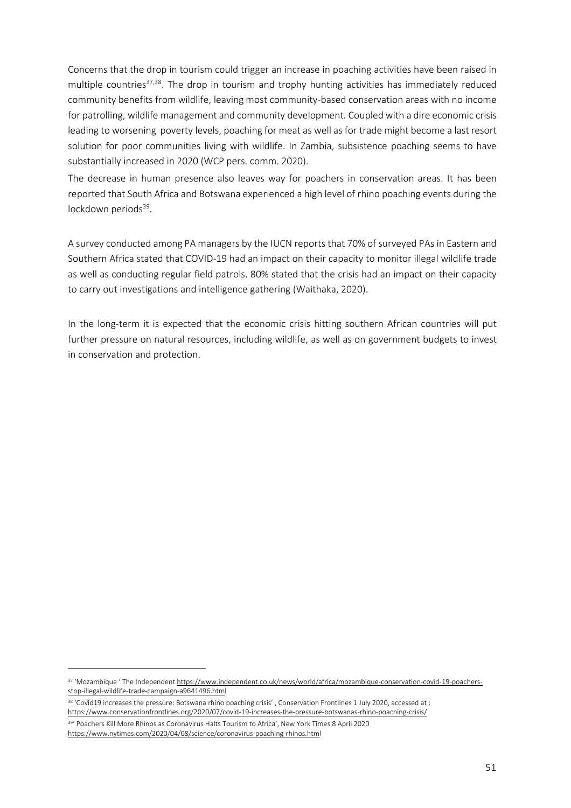Concerns that the drop in tourism could trigger an increase in poaching activities have been raised in multiple countries<sup>37,38</sup>. The drop in tourism and trophy hunting activities has immediately reduced community benefits from wildlife, leaving most community-based conservation areas with no income for patrolling, wildlife management and community development. Coupled with a dire economic crisis leading to worsening poverty levels, poaching for meat as well as for trade might become a last resort solution for poor communities living with wildlife. In Zambia, subsistence poaching seems to have substantially increased in 2020 (WCP pers. comm. 2020).

The decrease in human presence also leaves way for poachers in conservation areas. It has been reported that South Africa and Botswana experienced a high level of rhino poaching events during the lockdown periods<sup>39</sup>.

A survey conducted among PA managers by the IUCN reports that 70% of surveyed PAs in Eastern and Southern Africa stated that COVID-19 had an impact on their capacity to monitor illegal wildlife trade as well as conducting regular field patrols. 80% stated that the crisis had an impact on their capacity to carry out investigations and intelligence gathering (Waithaka, 2020).

In the long-term it is expected that the economic crisis hitting southern African countries will put further pressure on natural resources, including wildlife, as well as on government budgets to invest in conservation and protection.

<span id="page-50-0"></span><sup>37 &#</sup>x27;Mozambique ' The Independen[t https://www.independent.co.uk/news/world/africa/mozambique-conservation-covid-19-poachers](https://www.independent.co.uk/news/world/africa/mozambique-conservation-covid-19-poachers-stop-illegal-wildlife-trade-campaign-a9641496.html)[stop-illegal-wildlife-trade-campaign-a9641496.html](https://www.independent.co.uk/news/world/africa/mozambique-conservation-covid-19-poachers-stop-illegal-wildlife-trade-campaign-a9641496.html)

<span id="page-50-1"></span><sup>38</sup> 'Covid19 increases the pressure: Botswana rhino poaching crisis' , Conservation Frontlines 1 July 2020, accessed at : <https://www.conservationfrontlines.org/2020/07/covid-19-increases-the-pressure-botswanas-rhino-poaching-crisis/>

<span id="page-50-2"></span><sup>39&#</sup>x27; Poachers Kill More Rhinos as Coronavirus Halts Tourism to Africa', New York Times 8 April 2020 <https://www.nytimes.com/2020/04/08/science/coronavirus-poaching-rhinos.html>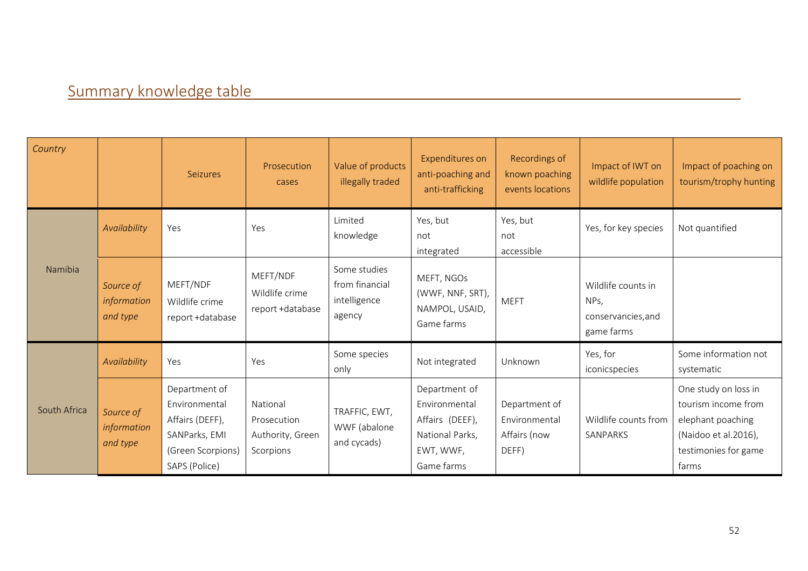# Summary knowledge table

<span id="page-51-0"></span>

| Country      |                                      | <b>Seizures</b>                                                                                          | Prosecution<br>cases                                     | Value of products<br>illegally traded                    | Expenditures on<br>anti-poaching and<br>anti-trafficking                                        | Recordings of<br>known poaching<br>events locations     | Impact of IWT on<br>wildlife population                        | Impact of poaching on<br>tourism/trophy hunting                                                                           |
|--------------|--------------------------------------|----------------------------------------------------------------------------------------------------------|----------------------------------------------------------|----------------------------------------------------------|-------------------------------------------------------------------------------------------------|---------------------------------------------------------|----------------------------------------------------------------|---------------------------------------------------------------------------------------------------------------------------|
|              | Availability                         | Yes                                                                                                      | Yes                                                      | Limited<br>knowledge                                     | Yes, but<br>not<br>integrated                                                                   | Yes, but<br>not<br>accessible                           | Yes, for key species                                           | Not quantified                                                                                                            |
| Namibia      | Source of<br>information<br>and type | MEFT/NDF<br>Wildlife crime<br>report +database                                                           | MEFT/NDF<br>Wildlife crime<br>report +database           | Some studies<br>from financial<br>intelligence<br>agency | MEFT, NGOs<br>(WWF, NNF, SRT),<br>NAMPOL, USAID,<br>Game farms                                  | <b>MEFT</b>                                             | Wildlife counts in<br>NPs,<br>conservancies, and<br>game farms |                                                                                                                           |
|              | Availability                         | Yes                                                                                                      | Yes                                                      | Some species<br>only                                     | Not integrated                                                                                  | Unknown                                                 | Yes, for<br>iconicspecies                                      | Some information not<br>systematic                                                                                        |
| South Africa | Source of<br>information<br>and type | Department of<br>Environmental<br>Affairs (DEFF),<br>SANParks, EMI<br>(Green Scorpions)<br>SAPS (Police) | National<br>Prosecution<br>Authority, Green<br>Scorpions | TRAFFIC, EWT,<br>WWF (abalone<br>and cycads)             | Department of<br>Environmental<br>Affairs (DEEF),<br>National Parks,<br>EWT, WWF,<br>Game farms | Department of<br>Environmental<br>Affairs (now<br>DEFF) | Wildlife counts from<br>SANPARKS                               | One study on loss in<br>tourism income from<br>elephant poaching<br>(Naidoo et al.2016),<br>testimonies for game<br>farms |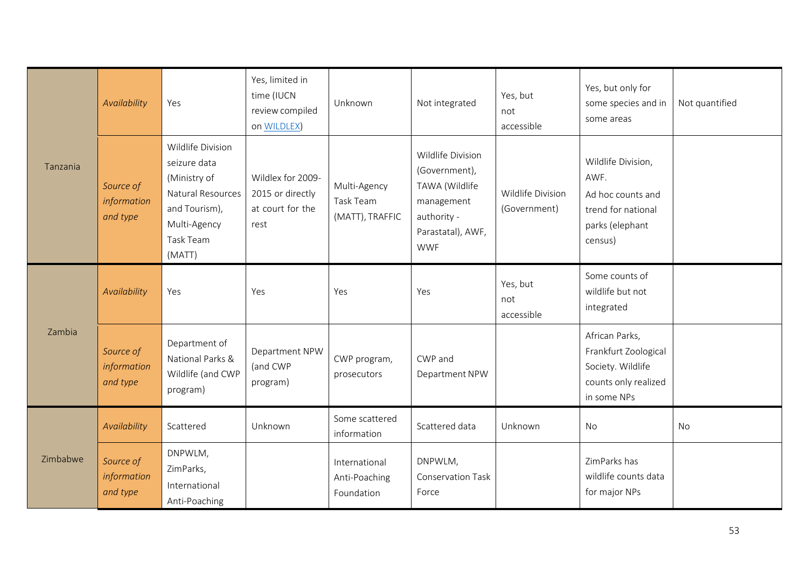| Tanzania | Availability                         | Yes                                                                                                                            | Yes, limited in<br>time (IUCN<br>review compiled<br>on WILDLEX)   | Unknown                                      | Not integrated                                                                                                       | Yes, but<br>not<br>accessible     | Yes, but only for<br>some species and in<br>some areas                                              | Not quantified |
|----------|--------------------------------------|--------------------------------------------------------------------------------------------------------------------------------|-------------------------------------------------------------------|----------------------------------------------|----------------------------------------------------------------------------------------------------------------------|-----------------------------------|-----------------------------------------------------------------------------------------------------|----------------|
|          | Source of<br>information<br>and type | Wildlife Division<br>seizure data<br>(Ministry of<br>Natural Resources<br>and Tourism),<br>Multi-Agency<br>Task Team<br>(MATT) | Wildlex for 2009-<br>2015 or directly<br>at court for the<br>rest | Multi-Agency<br>Task Team<br>(MATT), TRAFFIC | Wildlife Division<br>(Government),<br>TAWA (Wildlife<br>management<br>authority -<br>Parastatal), AWF,<br><b>WWF</b> | Wildlife Division<br>(Government) | Wildlife Division,<br>AWF.<br>Ad hoc counts and<br>trend for national<br>parks (elephant<br>census) |                |
| Zambia   | Availability                         | Yes                                                                                                                            | Yes                                                               | Yes                                          | Yes                                                                                                                  | Yes, but<br>not<br>accessible     | Some counts of<br>wildlife but not<br>integrated                                                    |                |
|          | Source of<br>information<br>and type | Department of<br>National Parks &<br>Wildlife (and CWP<br>program)                                                             | Department NPW<br>(and CWP<br>program)                            | CWP program,<br>prosecutors                  | CWP and<br>Department NPW                                                                                            |                                   | African Parks,<br>Frankfurt Zoological<br>Society. Wildlife<br>counts only realized<br>in some NPs  |                |
| Zimbabwe | Availability                         | Scattered                                                                                                                      | Unknown                                                           | Some scattered<br>information                | Scattered data                                                                                                       | Unknown                           | <b>No</b>                                                                                           | No             |
|          | Source of<br>information<br>and type | DNPWLM,<br>ZimParks,<br>International<br>Anti-Poaching                                                                         |                                                                   | International<br>Anti-Poaching<br>Foundation | DNPWLM,<br><b>Conservation Task</b><br>Force                                                                         |                                   | ZimParks has<br>wildlife counts data<br>for major NPs                                               |                |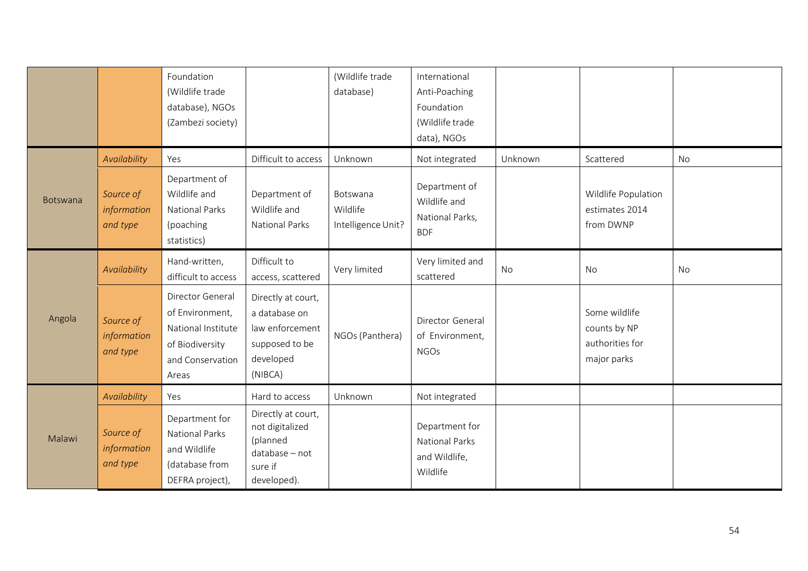|                 |                                      | Foundation<br>(Wildlife trade<br>database), NGOs<br>(Zambezi society)                                     |                                                                                                  | (Wildlife trade<br>database)               | International<br>Anti-Poaching<br>Foundation<br>(Wildlife trade<br>data), NGOs |           |                                                                 |    |
|-----------------|--------------------------------------|-----------------------------------------------------------------------------------------------------------|--------------------------------------------------------------------------------------------------|--------------------------------------------|--------------------------------------------------------------------------------|-----------|-----------------------------------------------------------------|----|
|                 | Availability                         | Yes                                                                                                       | Difficult to access                                                                              | Unknown                                    | Not integrated                                                                 | Unknown   | Scattered                                                       | No |
| <b>Botswana</b> | Source of<br>information<br>and type | Department of<br>Wildlife and<br><b>National Parks</b><br>(poaching<br>statistics)                        | Department of<br>Wildlife and<br>National Parks                                                  | Botswana<br>Wildlife<br>Intelligence Unit? | Department of<br>Wildlife and<br>National Parks,<br><b>BDF</b>                 |           | Wildlife Population<br>estimates 2014<br>from DWNP              |    |
|                 | Availability                         | Hand-written,<br>difficult to access                                                                      | Difficult to<br>access, scattered                                                                | Very limited                               | Very limited and<br>scattered                                                  | <b>No</b> | No                                                              | No |
| Angola          | Source of<br>information<br>and type | Director General<br>of Environment,<br>National Institute<br>of Biodiversity<br>and Conservation<br>Areas | Directly at court,<br>a database on<br>law enforcement<br>supposed to be<br>developed<br>(NIBCA) | NGOs (Panthera)                            | Director General<br>of Environment,<br><b>NGOs</b>                             |           | Some wildlife<br>counts by NP<br>authorities for<br>major parks |    |
|                 | Availability                         | Yes                                                                                                       | Hard to access                                                                                   | Unknown                                    | Not integrated                                                                 |           |                                                                 |    |
| Malawi          | Source of<br>information<br>and type | Department for<br><b>National Parks</b><br>and Wildlife<br>(database from<br>DEFRA project),              | Directly at court,<br>not digitalized<br>(planned<br>database - not<br>sure if<br>developed).    |                                            | Department for<br><b>National Parks</b><br>and Wildlife,<br>Wildlife           |           |                                                                 |    |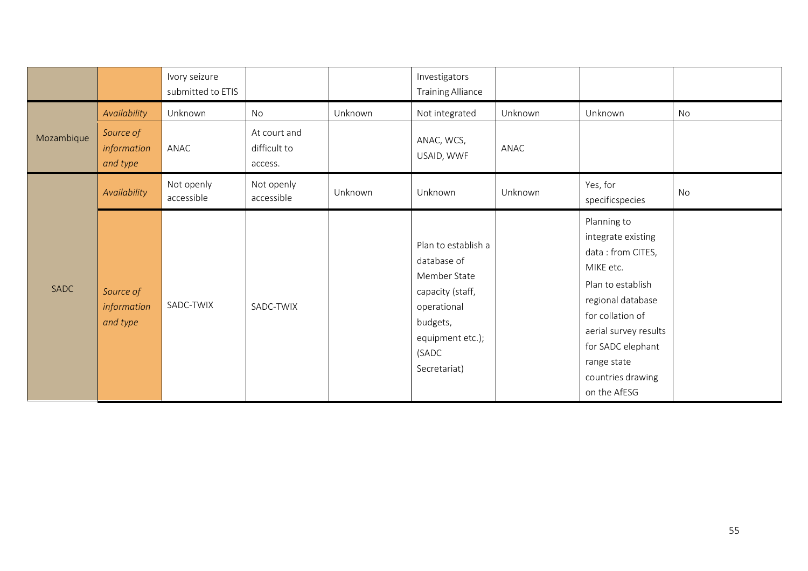|             |                                                      | Ivory seizure<br>submitted to ETIS |                                               |         | Investigators<br><b>Training Alliance</b>                                                                                                      |                 |                                                                                                                                                                                                                                     |           |
|-------------|------------------------------------------------------|------------------------------------|-----------------------------------------------|---------|------------------------------------------------------------------------------------------------------------------------------------------------|-----------------|-------------------------------------------------------------------------------------------------------------------------------------------------------------------------------------------------------------------------------------|-----------|
| Mozambique  | Availability<br>Source of<br>information<br>and type | Unknown<br>ANAC                    | No<br>At court and<br>difficult to<br>access. | Unknown | Not integrated<br>ANAC, WCS,<br>USAID, WWF                                                                                                     | Unknown<br>ANAC | Unknown                                                                                                                                                                                                                             | <b>No</b> |
|             | Availability                                         | Not openly<br>accessible           | Not openly<br>accessible                      | Unknown | Unknown                                                                                                                                        | Unknown         | Yes, for<br>specificspecies                                                                                                                                                                                                         | No        |
| <b>SADC</b> | Source of<br>information<br>and type                 | SADC-TWIX                          | SADC-TWIX                                     |         | Plan to establish a<br>database of<br>Member State<br>capacity (staff,<br>operational<br>budgets,<br>equipment etc.);<br>(SADC<br>Secretariat) |                 | Planning to<br>integrate existing<br>data: from CITES,<br>MIKE etc.<br>Plan to establish<br>regional database<br>for collation of<br>aerial survey results<br>for SADC elephant<br>range state<br>countries drawing<br>on the AfESG |           |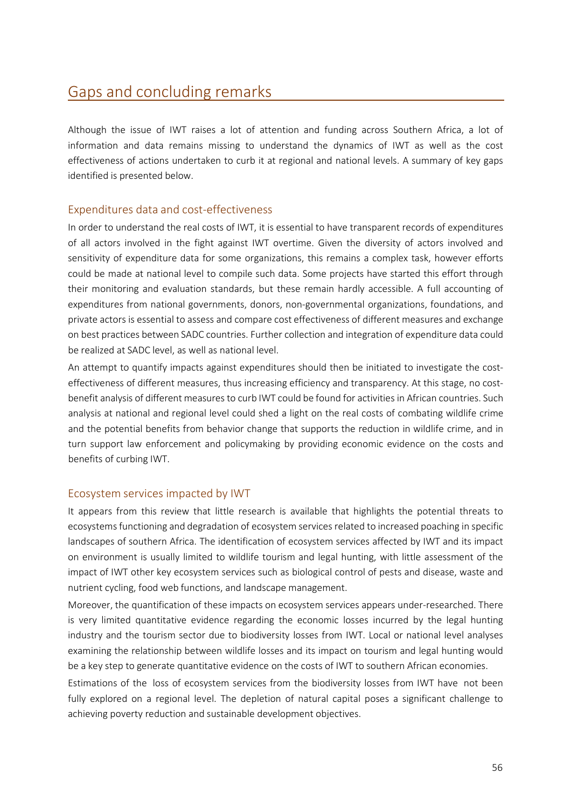# <span id="page-55-0"></span>Gaps and concluding remarks

Although the issue of IWT raises a lot of attention and funding across Southern Africa, a lot of information and data remains missing to understand the dynamics of IWT as well as the cost effectiveness of actions undertaken to curb it at regional and national levels. A summary of key gaps identified is presented below.

## <span id="page-55-1"></span>Expenditures data and cost-effectiveness

In order to understand the real costs of IWT, it is essential to have transparent records of expenditures of all actors involved in the fight against IWT overtime. Given the diversity of actors involved and sensitivity of expenditure data for some organizations, this remains a complex task, however efforts could be made at national level to compile such data. Some projects have started this effort through their monitoring and evaluation standards, but these remain hardly accessible. A full accounting of expenditures from national governments, donors, non-governmental organizations, foundations, and private actors is essential to assess and compare cost effectiveness of different measures and exchange on best practices between SADC countries. Further collection and integration of expenditure data could be realized at SADC level, as well as national level.

An attempt to quantify impacts against expenditures should then be initiated to investigate the costeffectiveness of different measures, thus increasing efficiency and transparency. At this stage, no costbenefit analysis of different measures to curb IWT could be found for activities in African countries. Such analysis at national and regional level could shed a light on the real costs of combating wildlife crime and the potential benefits from behavior change that supports the reduction in wildlife crime, and in turn support law enforcement and policymaking by providing economic evidence on the costs and benefits of curbing IWT.

#### <span id="page-55-2"></span>Ecosystem services impacted by IWT

It appears from this review that little research is available that highlights the potential threats to ecosystemsfunctioning and degradation of ecosystem services related to increased poaching in specific landscapes of southern Africa. The identification of ecosystem services affected by IWT and its impact on environment is usually limited to wildlife tourism and legal hunting, with little assessment of the impact of IWT other key ecosystem services such as biological control of pests and disease, waste and nutrient cycling, food web functions, and landscape management.

Moreover, the quantification of these impacts on ecosystem services appears under-researched. There is very limited quantitative evidence regarding the economic losses incurred by the legal hunting industry and the tourism sector due to biodiversity losses from IWT. Local or national level analyses examining the relationship between wildlife losses and its impact on tourism and legal hunting would be a key step to generate quantitative evidence on the costs of IWT to southern African economies.

Estimations of the loss of ecosystem services from the biodiversity losses from IWT have not been fully explored on a regional level. The depletion of natural capital poses a significant challenge to achieving poverty reduction and sustainable development objectives.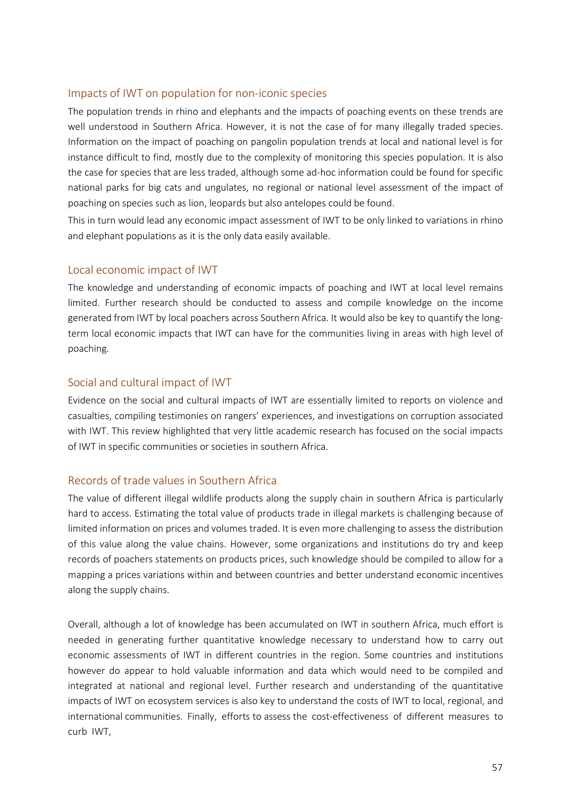## <span id="page-56-0"></span>Impacts of IWT on population for non-iconic species

The population trends in rhino and elephants and the impacts of poaching events on these trends are well understood in Southern Africa. However, it is not the case of for many illegally traded species. Information on the impact of poaching on pangolin population trends at local and national level is for instance difficult to find, mostly due to the complexity of monitoring this species population. It is also the case for species that are less traded, although some ad-hoc information could be found for specific national parks for big cats and ungulates, no regional or national level assessment of the impact of poaching on species such as lion, leopards but also antelopes could be found.

This in turn would lead any economic impact assessment of IWT to be only linked to variations in rhino and elephant populations as it is the only data easily available.

#### <span id="page-56-1"></span>Local economic impact of IWT

The knowledge and understanding of economic impacts of poaching and IWT at local level remains limited. Further research should be conducted to assess and compile knowledge on the income generated from IWT by local poachers across Southern Africa. It would also be key to quantify the longterm local economic impacts that IWT can have for the communities living in areas with high level of poaching.

## <span id="page-56-2"></span>Social and cultural impact of IWT

Evidence on the social and cultural impacts of IWT are essentially limited to reports on violence and casualties, compiling testimonies on rangers' experiences, and investigations on corruption associated with IWT. This review highlighted that very little academic research has focused on the social impacts of IWT in specific communities or societies in southern Africa.

## <span id="page-56-3"></span>Records of trade values in Southern Africa

The value of different illegal wildlife products along the supply chain in southern Africa is particularly hard to access. Estimating the total value of products trade in illegal markets is challenging because of limited information on prices and volumes traded. It is even more challenging to assess the distribution of this value along the value chains. However, some organizations and institutions do try and keep records of poachers statements on products prices, such knowledge should be compiled to allow for a mapping a prices variations within and between countries and better understand economic incentives along the supply chains.

Overall, although a lot of knowledge has been accumulated on IWT in southern Africa, much effort is needed in generating further quantitative knowledge necessary to understand how to carry out economic assessments of IWT in different countries in the region. Some countries and institutions however do appear to hold valuable information and data which would need to be compiled and integrated at national and regional level. Further research and understanding of the quantitative impacts of IWT on ecosystem services is also key to understand the costs of IWT to local, regional, and international communities. Finally, efforts to assess the cost-effectiveness of different measures to curb IWT,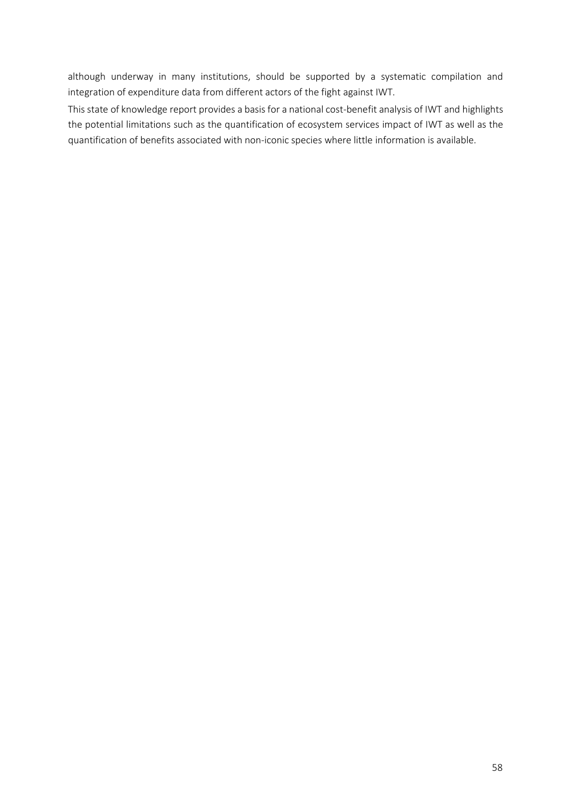although underway in many institutions, should be supported by a systematic compilation and integration of expenditure data from different actors of the fight against IWT.

This state of knowledge report provides a basisfor a national cost-benefit analysis of IWT and highlights the potential limitations such as the quantification of ecosystem services impact of IWT as well as the quantification of benefits associated with non-iconic species where little information is available.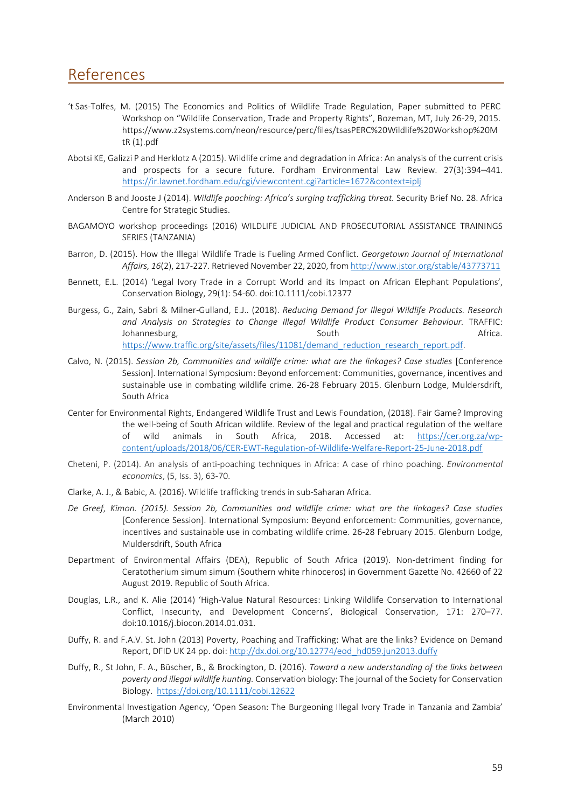## <span id="page-58-0"></span>References

- 't Sas-Tolfes, M. (2015) The Economics and Politics of Wildlife Trade Regulation, Paper submitted to PERC Workshop on "Wildlife Conservation, Trade and Property Rights", Bozeman, MT, July 26-29, 2015. https[://www.z2systems.com/neon/resource/perc/files/tsasPERC%20Wildlife%20Workshop%20M](http://www.z2systems.com/neon/resource/perc/files/tsasPERC%20Wildlife%20Workshop%20M) tR (1).pdf
- Abotsi KE, Galizzi P and Herklotz A (2015). Wildlife crime and degradation in Africa: An analysis of the current crisis and prospects for a secure future. Fordham Environmental Law Review. 27(3):394–441. <https://ir.lawnet.fordham.edu/cgi/viewcontent.cgi?article=1672&context=iplj>
- Anderson B and Jooste J (2014). *Wildlife poaching: Africa's surging trafficking threat.* Security Brief No. 28. Africa Centre for Strategic Studies.
- BAGAMOYO workshop proceedings (2016) WILDLIFE JUDICIAL AND PROSECUTORIAL ASSISTANCE TRAININGS SERIES (TANZANIA)
- Barron, D. (2015). How the Illegal Wildlife Trade is Fueling Armed Conflict. *Georgetown Journal of International Affairs, 16*(2), 217-227. Retrieved November 22, 2020, from <http://www.jstor.org/stable/43773711>
- Bennett, E.L. (2014) 'Legal Ivory Trade in a Corrupt World and its Impact on African Elephant Populations', Conservation Biology, 29(1): 54-60. doi:10.1111/cobi.12377
- Burgess, G., Zain, Sabri & Milner-Gulland, E.J.. (2018). *Reducing Demand for Illegal Wildlife Products. Research and Analysis on Strategies to Change Illegal Wildlife Product Consumer Behaviour.* TRAFFIC: Johannesburg, South Africa. South Africa. [https://www.traffic.org/site/assets/files/11081/demand\\_reduction\\_research\\_report.pdf.](https://www.traffic.org/site/assets/files/11081/demand_reduction_research_report.pdf)
- Calvo, N. (2015). *Session 2b, Communities and wildlife crime: what are the linkages? Case studies* [Conference Session]. International Symposium: Beyond enforcement: Communities, governance, incentives and sustainable use in combating wildlife crime. 26-28 February 2015. Glenburn Lodge, Muldersdrift, South Africa
- Center for Environmental Rights, Endangered Wildlife Trust and Lewis Foundation, (2018). Fair Game? Improving the well-being of South African wildlife. Review of the legal and practical regulation of the welfare of wild animals in South Africa, 2018. Accessed at: [https://cer.org.za/wp](https://cer.org.za/wp-content/uploads/2018/06/CER-EWT-Regulation-of-Wildlife-Welfare-Report-25-June-2018.pdf)[content/uploads/2018/06/CER-EWT-Regulation-of-Wildlife-Welfare-Report-25-June-2018.pdf](https://cer.org.za/wp-content/uploads/2018/06/CER-EWT-Regulation-of-Wildlife-Welfare-Report-25-June-2018.pdf)
- Cheteni, P. (2014). An analysis of anti-poaching techniques in Africa: A case of rhino poaching. *Environmental economics*, (5, Iss. 3), 63-70.
- Clarke, A. J., & Babic, A. (2016). Wildlife trafficking trends in sub-Saharan Africa.
- *De Greef, Kimon. (2015). Session 2b, Communities and wildlife crime: what are the linkages? Case studies* [Conference Session]. International Symposium: Beyond enforcement: Communities, governance, incentives and sustainable use in combating wildlife crime. 26-28 February 2015. Glenburn Lodge, Muldersdrift, South Africa
- Department of Environmental Affairs (DEA), Republic of South Africa (2019). Non-detriment finding for Ceratotherium simum simum (Southern white rhinoceros) in Government Gazette No. 42660 of 22 August 2019. Republic of South Africa.
- Douglas, L.R., and K. Alie (2014) 'High-Value Natural Resources: Linking Wildlife Conservation to International Conflict, Insecurity, and Development Concerns', Biological Conservation, 171: 270–77. doi:10.1016/j.biocon.2014.01.031.
- Duffy, R. and F.A.V. St. John (2013) Poverty, Poaching and Trafficking: What are the links? Evidence on Demand Report, DFID UK 24 pp. doi: [http://dx.doi.org/10.12774/eod\\_hd059.jun2013.duffy](http://dx.doi.org/10.12774/eod_hd059.jun2013.duffy)
- Duffy, R., St John, F. A., Büscher, B., & Brockington, D. (2016). *Toward a new understanding of the links between poverty and illegal wildlife hunting.* Conservation biology: The journal of the Society for Conservation Biology. <https://doi.org/10.1111/cobi.12622>
- Environmental Investigation Agency, 'Open Season: The Burgeoning Illegal Ivory Trade in Tanzania and Zambia' (March 2010)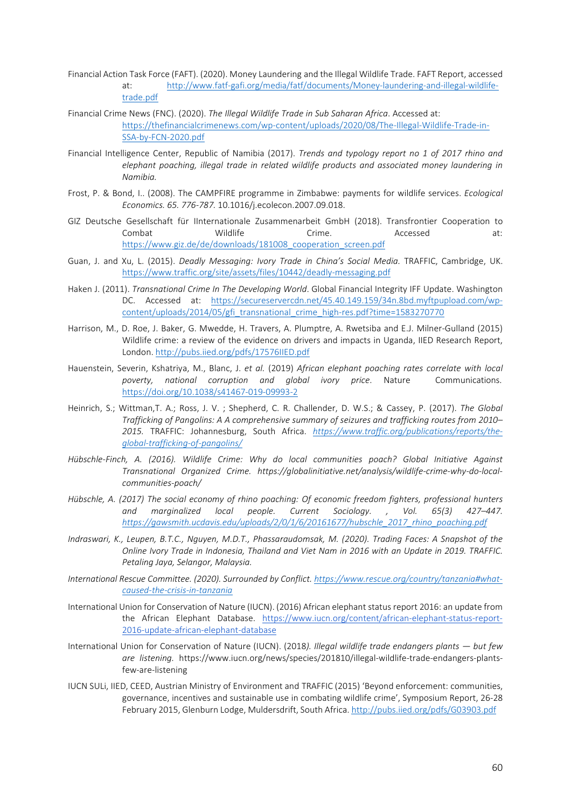- Financial Action Task Force (FAFT). (2020). Money Laundering and the Illegal Wildlife Trade. FAFT Report, accessed at: [http://www.fatf-gafi.org/media/fatf/documents/Money-laundering-and-illegal-wildlife](http://www.fatf-gafi.org/media/fatf/documents/Money-laundering-and-illegal-wildlife-trade.pdf)[trade.pdf](http://www.fatf-gafi.org/media/fatf/documents/Money-laundering-and-illegal-wildlife-trade.pdf)
- Financial Crime News (FNC). (2020). *The Illegal Wildlife Trade in Sub Saharan Africa*. Accessed at: [https://thefinancialcrimenews.com/wp-content/uploads/2020/08/The-Illegal-Wildlife-Trade-in-](https://thefinancialcrimenews.com/wp-content/uploads/2020/08/The-Illegal-Wildlife-Trade-in-SSA-by-FCN-2020.pdf)[SSA-by-FCN-2020.pdf](https://thefinancialcrimenews.com/wp-content/uploads/2020/08/The-Illegal-Wildlife-Trade-in-SSA-by-FCN-2020.pdf)
- Financial Intelligence Center, Republic of Namibia (2017). *Trends and typology report no 1 of 2017 rhino and elephant poaching, illegal trade in related wildlife products and associated money laundering in Namibia.*
- Frost, P. & Bond, I.. (2008). The CAMPFIRE programme in Zimbabwe: payments for wildlife services. *Ecological Economics. 65. 776-787.* 10.1016/j.ecolecon.2007.09.018.
- GIZ Deutsche Gesellschaft für IInternationale Zusammenarbeit GmbH (2018). Transfrontier Cooperation to Combat Wildlife Crime. Accessed at: [https://www.giz.de/de/downloads/181008\\_cooperation\\_screen.pdf](https://www.giz.de/de/downloads/181008_cooperation_screen.pdf)
- Guan, J. and Xu, L. (2015). *Deadly Messaging: Ivory Trade in China's Social Media.* TRAFFIC, Cambridge, UK. <https://www.traffic.org/site/assets/files/10442/deadly-messaging.pdf>
- Haken J. (2011). *Transnational Crime In The Developing World*. Global Financial Integrity IFF Update. Washington DC. Accessed at: [https://secureservercdn.net/45.40.149.159/34n.8bd.myftpupload.com/wp](https://secureservercdn.net/45.40.149.159/34n.8bd.myftpupload.com/wp-content/uploads/2014/05/gfi_transnational_crime_high-res.pdf?time=1583270770)[content/uploads/2014/05/gfi\\_transnational\\_crime\\_high-res.pdf?time=1583270770](https://secureservercdn.net/45.40.149.159/34n.8bd.myftpupload.com/wp-content/uploads/2014/05/gfi_transnational_crime_high-res.pdf?time=1583270770)
- Harrison, M., D. Roe, J. Baker, G. Mwedde, H. Travers, A. Plumptre, A. Rwetsiba and E.J. Milner-Gulland (2015) Wildlife crime: a review of the evidence on drivers and impacts in Uganda, IIED Research Report, London. <http://pubs.iied.org/pdfs/17576IIED.pdf>
- Hauenstein, Severin, Kshatriya, M., Blanc, J. *et al.* (2019) *African elephant poaching rates correlate with local poverty, national corruption and global ivory price*. Nature Communications. <https://doi.org/10.1038/s41467-019-09993-2>
- Heinrich, S.; Wittman,T. A.; Ross, J. V. ; Shepherd, C. R. Challender, D. W.S.; & Cassey, P. (2017). *The Global Trafficking of Pangolins: A A comprehensive summary of seizures and trafficking routes from 2010– 2015.* TRAFFIC: Johannesburg, South Africa. *[https://www.traffic.org/publications/reports/the](https://www.traffic.org/publications/reports/the-global-trafficking-of-pangolins/)[global-trafficking-of-pangolins/](https://www.traffic.org/publications/reports/the-global-trafficking-of-pangolins/)*
- *Hübschle-Finch, A. (2016). Wildlife Crime: Why do local communities poach? Global Initiative Against Transnational Organized Crime. https://globalinitiative.net/analysis/wildlife-crime-why-do-localcommunities-poach/*
- *Hübschle, A. (2017) The social economy of rhino poaching: Of economic freedom fighters, professional hunters and marginalized local people. Current Sociology. , Vol. 65(3) 427–447. [https://gawsmith.ucdavis.edu/uploads/2/0/1/6/20161677/hubschle\\_2017\\_rhino\\_poaching.pdf](https://gawsmith.ucdavis.edu/uploads/2/0/1/6/20161677/hubschle_2017_rhino_poaching.pdf)*
- *Indraswari, K., Leupen, B.T.C., Nguyen, M.D.T., Phassaraudomsak, M. (2020). Trading Faces: A Snapshot of the Online Ivory Trade in Indonesia, Thailand and Viet Nam in 2016 with an Update in 2019. TRAFFIC. Petaling Jaya, Selangor, Malaysia.*
- *International Rescue Committee. (2020). Surrounded by Conflict. [https://www.rescue.org/country/tanzania#what](https://www.rescue.org/country/tanzania#what-caused-the-crisis-in-tanzania)[caused-the-crisis-in-tanzania](https://www.rescue.org/country/tanzania#what-caused-the-crisis-in-tanzania)*
- International Union for Conservation of Nature (IUCN). (2016) African elephant status report 2016: an update from the African Elephant Database. [https://www.iucn.org/content/african-elephant-status-report-](https://www.iucn.org/content/african-elephant-status-report-2016-update-african-elephant-database)[2016-update-african-elephant-database](https://www.iucn.org/content/african-elephant-status-report-2016-update-african-elephant-database)
- International Union for Conservation of Nature (IUCN). (2018*). Illegal wildlife trade endangers plants but few are listening.* https[://www.iucn.org/news/species/201810/illegal-wildlife-trade-endangers-plants](http://www.iucn.org/news/species/201810/illegal-wildlife-trade-endangers-plants-)few-are-listening
- IUCN SULi, IIED, CEED, Austrian Ministry of Environment and TRAFFIC (2015) 'Beyond enforcement: communities, governance, incentives and sustainable use in combating wildlife crime', Symposium Report, 26-28 February 2015, Glenburn Lodge, Muldersdrift, South Africa. <http://pubs.iied.org/pdfs/G03903.pdf>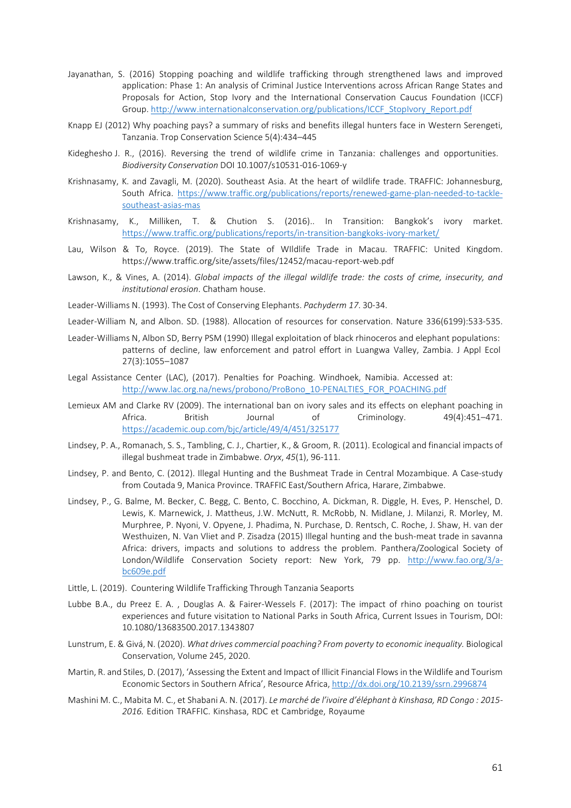- Jayanathan, S. (2016) Stopping poaching and wildlife trafficking through strengthened laws and improved application: Phase 1: An analysis of Criminal Justice Interventions across African Range States and Proposals for Action, Stop Ivory and the International Conservation Caucus Foundation (ICCF) Group. [http://www.internationalconservation.org/publications/ICCF\\_StopIvory\\_Report.pdf](http://www.internationalconservation.org/publications/ICCF_StopIvory_Report.pdf)
- Knapp EJ (2012) Why poaching pays? a summary of risks and benefits illegal hunters face in Western Serengeti, Tanzania. Trop Conservation Science 5(4):434–445
- Kideghesho J. R., (2016). Reversing the trend of wildlife crime in Tanzania: challenges and opportunities. *Biodiversity Conservation* DOI 10.1007/s10531-016-1069-y
- Krishnasamy, K. and Zavagli, M. (2020). Southeast Asia. At the heart of wildlife trade. TRAFFIC: Johannesburg, South Africa. [https://www.traffic.org/publications/reports/renewed-game-plan-needed-to-tackle](https://www.traffic.org/publications/reports/renewed-game-plan-needed-to-tackle-southeast-asias-massive-wildlife-trafficking-problem/)[southeast-asias-mas](https://www.traffic.org/publications/reports/renewed-game-plan-needed-to-tackle-southeast-asias-massive-wildlife-trafficking-problem/)
- Krishnasamy, K., Milliken, T. & Chution S. (2016).. In Transition: Bangkok's ivory market. <https://www.traffic.org/publications/reports/in-transition-bangkoks-ivory-market/>
- Lau, Wilson & To, Royce. (2019). The State of WIldlife Trade in Macau. TRAFFIC: United Kingdom. https[://www.traffic.org/site/assets/files/12452/macau-report-web.pdf](http://www.traffic.org/site/assets/files/12452/macau-report-web.pdf)
- Lawson, K., & Vines, A. (2014). *Global impacts of the illegal wildlife trade: the costs of crime, insecurity, and institutional erosion*. Chatham house.
- Leader-Williams N. (1993). The Cost of Conserving Elephants. *Pachyderm 17*. 30-34.
- Leader-William N, and Albon. SD. (1988). Allocation of resources for conservation. Nature 336(6199):533-535.
- Leader-Williams N, Albon SD, Berry PSM (1990) Illegal exploitation of black rhinoceros and elephant populations: patterns of decline, law enforcement and patrol effort in Luangwa Valley, Zambia. J Appl Ecol 27(3):1055–1087
- Legal Assistance Center (LAC), (2017). Penalties for Poaching. Windhoek, Namibia. Accessed at: [http://www.lac.org.na/news/probono/ProBono\\_10-PENALTIES\\_FOR\\_POACHING.pdf](http://www.lac.org.na/news/probono/ProBono_10-PENALTIES_FOR_POACHING.pdf)
- Lemieux AM and Clarke RV (2009). The international ban on ivory sales and its effects on elephant poaching in Africa. British Journal of Criminology. 49(4):451–471. <https://academic.oup.com/bjc/article/49/4/451/325177>
- Lindsey, P. A., Romanach, S. S., Tambling, C. J., Chartier, K., & Groom, R. (2011). Ecological and financial impacts of illegal bushmeat trade in Zimbabwe. *Oryx*, *45*(1), 96-111.
- Lindsey, P. and Bento, C. (2012). Illegal Hunting and the Bushmeat Trade in Central Mozambique. A Case-study from Coutada 9, Manica Province. TRAFFIC East/Southern Africa, Harare, Zimbabwe.
- Lindsey, P., G. Balme, M. Becker, C. Begg, C. Bento, C. Bocchino, A. Dickman, R. Diggle, H. Eves, P. Henschel, D. Lewis, K. Marnewick, J. Mattheus, J.W. McNutt, R. McRobb, N. Midlane, J. Milanzi, R. Morley, M. Murphree, P. Nyoni, V. Opyene, J. Phadima, N. Purchase, D. Rentsch, C. Roche, J. Shaw, H. van der Westhuizen, N. Van Vliet and P. Zisadza (2015) Illegal hunting and the bush-meat trade in savanna Africa: drivers, impacts and solutions to address the problem. Panthera/Zoological Society of London/Wildlife Conservation Society report: New York, 79 pp. [http://www.fao.org/3/a](http://www.fao.org/3/a-bc609e.pdf)[bc609e.pdf](http://www.fao.org/3/a-bc609e.pdf)
- Little, L. (2019). Countering Wildlife Trafficking Through Tanzania Seaports
- Lubbe B.A., du Preez E. A. , Douglas A. & Fairer-Wessels F. (2017): The impact of rhino poaching on tourist experiences and future visitation to National Parks in South Africa, Current Issues in Tourism, DOI: 10.1080/13683500.2017.1343807
- Lunstrum, E. & Givá, N. (2020). *What drives commercial poaching? From poverty to economic inequality.* Biological Conservation, Volume 245, 2020.
- Martin, R. and Stiles, D. (2017), 'Assessing the Extent and Impact of Illicit Financial Flows in the Wildlife and Tourism Economic Sectors in Southern Africa', Resource Africa, <http://dx.doi.org/10.2139/ssrn.2996874>
- Mashini M. C., Mabita M. C., et Shabani A. N. (2017). *Le marché de l'ivoire d'éléphant à Kinshasa, RD Congo : 2015- 2016.* Edition TRAFFIC. Kinshasa, RDC et Cambridge, Royaume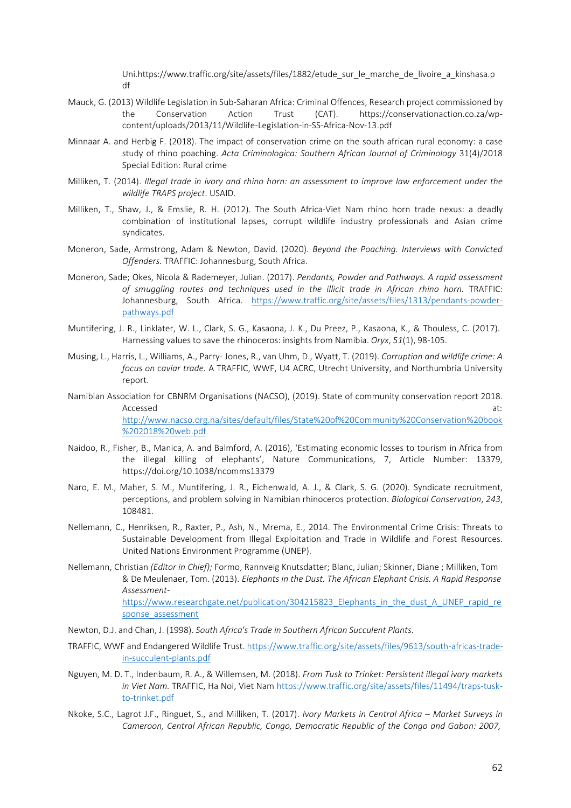Uni.http[s://www.traffic.org/site/assets/files/1882/etude\\_sur\\_le\\_marche\\_de\\_livoire\\_a\\_kinshasa.p](http://www.traffic.org/site/assets/files/1882/etude_sur_le_marche_de_livoire_a_kinshasa.p) df

- Mauck, G. (2013) Wildlife Legislation in Sub-Saharan Africa: Criminal Offences, Research project commissioned by the Conservation Action Trust (CAT). https://conservationaction.co.za/wpcontent/uploads/2013/11/Wildlife-Legislation-in-SS-Africa-Nov-13.pdf
- Minnaar A. and Herbig F. (2018). The impact of conservation crime on the south african rural economy: a case study of rhino poaching. *Acta Criminologica: Southern African Journal of Criminology* 31(4)/2018 Special Edition: Rural crime
- Milliken, T. (2014). *Illegal trade in ivory and rhino horn: an assessment to improve law enforcement under the wildlife TRAPS project*. USAID.
- Milliken, T., Shaw, J., & Emslie, R. H. (2012). The South Africa-Viet Nam rhino horn trade nexus: a deadly combination of institutional lapses, corrupt wildlife industry professionals and Asian crime syndicates.
- Moneron, Sade, Armstrong, Adam & Newton, David. (2020). *Beyond the Poaching. Interviews with Convicted Offenders.* TRAFFIC: Johannesburg, South Africa.
- Moneron, Sade; Okes, Nicola & Rademeyer, Julian. (2017). *Pendants, Powder and Pathways. A rapid assessment of smuggling routes and techniques used in the illicit trade in African rhino horn.* TRAFFIC: Johannesburg, South Africa. [https://www.traffic.org/site/assets/files/1313/pendants-powder](https://www.traffic.org/site/assets/files/1313/pendants-powder-pathways.pdf)[pathways.pdf](https://www.traffic.org/site/assets/files/1313/pendants-powder-pathways.pdf)
- Muntifering, J. R., Linklater, W. L., Clark, S. G., Kasaona, J. K., Du Preez, P., Kasaona, K., & Thouless, C. (2017). Harnessing values to save the rhinoceros: insights from Namibia. *Oryx*, *51*(1), 98-105.
- Musing, L., Harris, L., Williams, A., Parry- Jones, R., van Uhm, D., Wyatt, T. (2019). *Corruption and wildlife crime: A focus on caviar trade.* A TRAFFIC, WWF, U4 ACRC, Utrecht University, and Northumbria University report.
- Namibian Association for CBNRM Organisations (NACSO), (2019). State of community conservation report 2018. Accessed at: **Accessed** at: **Accessed** at: **Accessed** at: [http://www.nacso.org.na/sites/default/files/State%20of%20Community%20Conservation%20book](http://www.nacso.org.na/sites/default/files/State%20of%20Community%20Conservation%20book%202018%20web.pdf) [%202018%20web.pdf](http://www.nacso.org.na/sites/default/files/State%20of%20Community%20Conservation%20book%202018%20web.pdf)
- Naidoo, R., Fisher, B., Manica, A. and Balmford, A. (2016), 'Estimating economic losses to tourism in Africa from the illegal killing of elephants', Nature Communications, 7, Article Number: 13379, https://doi.org/10.1038/ncomms13379
- Naro, E. M., Maher, S. M., Muntifering, J. R., Eichenwald, A. J., & Clark, S. G. (2020). Syndicate recruitment, perceptions, and problem solving in Namibian rhinoceros protection. *Biological Conservation*, *243*, 108481.
- Nellemann, C., Henriksen, R., Raxter, P., Ash, N., Mrema, E., 2014. The Environmental Crime Crisis: Threats to Sustainable Development from Illegal Exploitation and Trade in Wildlife and Forest Resources. United Nations Environment Programme (UNEP).
- Nellemann, Christian *(Editor in Chief);* Formo, Rannveig Knutsdatter; Blanc, Julian; Skinner, Diane ; Milliken, Tom & De Meulenaer, Tom. (2013). *Elephants in the Dust. The African Elephant Crisis. A Rapid Response Assessment*[https://www.researchgate.net/publication/304215823\\_Elephants\\_in\\_the\\_dust\\_A\\_UNEP\\_rapid\\_re](https://www.researchgate.net/publication/304215823_Elephants_in_the_dust_A_UNEP_rapid_response_assessment) [sponse\\_assessment](https://www.researchgate.net/publication/304215823_Elephants_in_the_dust_A_UNEP_rapid_response_assessment)
- Newton, D.J. and Chan, J. (1998). *South Africa's Trade in Southern African Succulent Plants.*
- TRAFFIC, WWF and Endangered Wildlife Trus[t.](https://www.traffic.org/site/assets/files/9613/south-africas-trade-in-succulent-plants.pdf) [https://www.traffic.org/site/assets/files/9613/south-africas-trade](https://www.traffic.org/site/assets/files/9613/south-africas-trade-in-succulent-plants.pdf)[in-succulent-plants.pdf](https://www.traffic.org/site/assets/files/9613/south-africas-trade-in-succulent-plants.pdf)
- Nguyen, M. D. T., Indenbaum, R. A., & Willemsen, M. (2018). *From Tusk to Trinket: Persistent illegal ivory markets in Viet Nam.* TRAFFIC, Ha Noi, Viet Na[m https://www.traffic.org/site/assets/files/11494/traps-tusk](https://www.traffic.org/site/assets/files/11494/traps-tusk-to-trinket.pdf)[to-trinket.pdf](https://www.traffic.org/site/assets/files/11494/traps-tusk-to-trinket.pdf)
- Nkoke, S.C., Lagrot J.F., Ringuet, S., and Milliken, T. (2017). *Ivory Markets in Central Africa Market Surveys in Cameroon, Central African Republic, Congo, Democratic Republic of the Congo and Gabon: 2007,*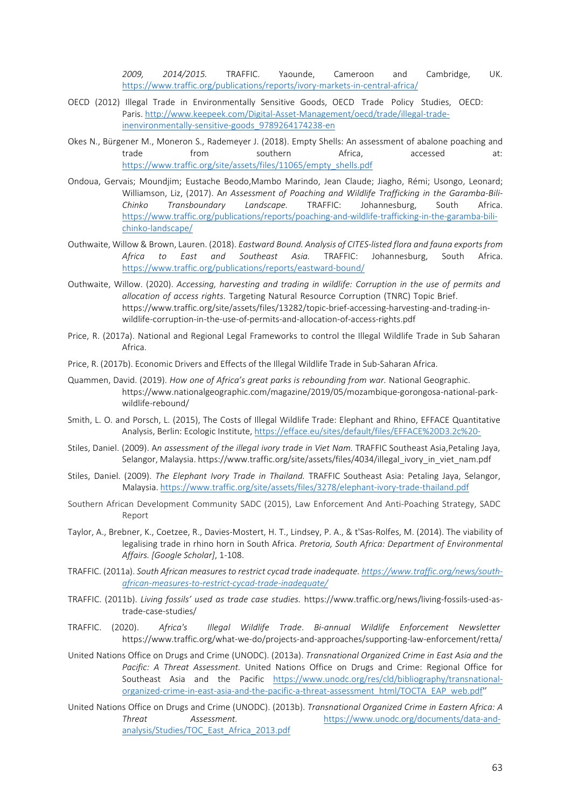*2009, 2014/2015.* TRAFFIC. Yaounde, Cameroon and Cambridge, UK. <https://www.traffic.org/publications/reports/ivory-markets-in-central-africa/>

- OECD (2012) Illegal Trade in Environmentally Sensitive Goods, OECD Trade Policy Studies, OECD: Paris[. http://www.keepeek.com/Digital-Asset-Management/oecd/trade/illegal-trade](http://www.keepeek.com/Digital-Asset-Management/oecd/trade/illegal-trade-inenvironmentally-sensitive-goods_9789264174238-en)[inenvironmentally-sensitive-goods\\_9789264174238-en](http://www.keepeek.com/Digital-Asset-Management/oecd/trade/illegal-trade-inenvironmentally-sensitive-goods_9789264174238-en)
- Okes N., Bürgener M., Moneron S., Rademeyer J. (2018). Empty Shells: An assessment of abalone poaching and trade from southern Africa, accessed at: [https://www.traffic.org/site/assets/files/11065/empty\\_shells.pdf](https://www.traffic.org/site/assets/files/11065/empty_shells.pdf)
- Ondoua, Gervais; Moundjim; Eustache Beodo,Mambo Marindo, Jean Claude; Jiagho, Rémi; Usongo, Leonard; Williamson, Liz, (2017). A*n Assessment of Poaching and Wildlife Trafficking in the Garamba-Bili-Chinko Transboundary Landscape.* TRAFFIC: Johannesburg, South Africa. [https://www.traffic.org/publications/reports/poaching-and-wildlife-trafficking-in-the-garamba-bili](https://www.traffic.org/publications/reports/poaching-and-wildlife-trafficking-in-the-garamba-bili-chinko-landscape/)[chinko-landscape/](https://www.traffic.org/publications/reports/poaching-and-wildlife-trafficking-in-the-garamba-bili-chinko-landscape/)
- Outhwaite, Willow & Brown, Lauren. (2018). *Eastward Bound. Analysis of CITES-listed flora and fauna exports from Africa to East and Southeast Asia.* TRAFFIC: Johannesburg, South Africa. <https://www.traffic.org/publications/reports/eastward-bound/>
- Outhwaite, Willow. (2020). *Accessing, harvesting and trading in wildlife: Corruption in the use of permits and allocation of access rights.* Targeting Natural Resource Corruption (TNRC) Topic Brief. https[://www.traffic.org/site/assets/files/13282/topic-brief-accessing-harvesting-and-trading-in](http://www.traffic.org/site/assets/files/13282/topic-brief-accessing-harvesting-and-trading-in-)wildlife-corruption-in-the-use-of-permits-and-allocation-of-access-rights.pdf
- Price, R. (2017a). National and Regional Legal Frameworks to control the Illegal Wildlife Trade in Sub Saharan Africa.
- Price, R. (2017b). Economic Drivers and Effects of the Illegal Wildlife Trade in Sub-Saharan Africa.
- Quammen, David. (2019). *How one of Africa's great parks is rebounding from war.* National Geographic. https[://www.nationalgeographic.com/magazine/2019/05/mozambique-gorongosa-national-park](http://www.nationalgeographic.com/magazine/2019/05/mozambique-gorongosa-national-park-)wildlife-rebound/
- Smith, L. O. and Porsch, L. (2015), The Costs of Illegal Wildlife Trade: Elephant and Rhino, EFFACE Quantitative Analysis, Berlin: Ecologic Institute, <https://efface.eu/sites/default/files/EFFACE%20D3.2c%20->
- Stiles, Daniel. (2009). A*n assessment of the illegal ivory trade in Viet Nam.* TRAFFIC Southeast Asia,Petaling Jaya, Selangor, Malaysia. https[://www.traffic.org/site/assets/files/4034/illegal\\_ivory\\_in\\_viet\\_nam.pdf](http://www.traffic.org/site/assets/files/4034/illegal_ivory_in_viet_nam.pdf)
- Stiles, Daniel. (2009). *The Elephant Ivory Trade in Thailand.* TRAFFIC Southeast Asia: Petaling Jaya, Selangor, Malaysia. <https://www.traffic.org/site/assets/files/3278/elephant-ivory-trade-thailand.pdf>
- Southern African Development Community SADC (2015), Law Enforcement And Anti-Poaching Strategy, SADC Report
- Taylor, A., Brebner, K., Coetzee, R., Davies-Mostert, H. T., Lindsey, P. A., & t'Sas-Rolfes, M. (2014). The viability of legalising trade in rhino horn in South Africa. *Pretoria, South Africa: Department of Environmental Affairs. [Google Scholar]*, 1-108.
- TRAFFIC. (2011a). *South African measures to restrict cycad trade inadequate. [https://www.traffic.org/news/south](https://www.traffic.org/news/south-african-measures-to-restrict-cycad-trade-inadequate/)[african-measures-to-restrict-cycad-trade-inadequate/](https://www.traffic.org/news/south-african-measures-to-restrict-cycad-trade-inadequate/)*
- TRAFFIC. (2011b). *Living fossils' used as trade case studies.* https:[//www.traffic.org/news/living-fossils-used-as](http://www.traffic.org/news/living-fossils-used-as-)trade-case-studies/
- TRAFFIC. (2020). *Africa's Illegal Wildlife Trade*. *Bi-annual Wildlife Enforcement Newsletter*  https[://www.traffic.org/what-we-do/projects-and-approaches/supporting-law-enforcement/retta/](http://www.traffic.org/what-we-do/projects-and-approaches/supporting-law-enforcement/retta/)
- United Nations Office on Drugs and Crime (UNODC). (2013a). *Transnational Organized Crime in East Asia and the Pacific: A Threat Assessment.* United Nations Office on Drugs and Crime: Regional Office for Southeast Asia and the Pacific [https://www.unodc.org/res/cld/bibliography/transnational](https://www.unodc.org/res/cld/bibliography/transnational-organized-crime-in-east-asia-and-the-pacific-a-threat-assessment_html/TOCTA_EAP_web.pdf)[organized-crime-in-east-asia-and-the-pacific-a-threat-assessment\\_html/TOCTA\\_EAP\\_web.pdf''](https://www.unodc.org/res/cld/bibliography/transnational-organized-crime-in-east-asia-and-the-pacific-a-threat-assessment_html/TOCTA_EAP_web.pdf)
- United Nations Office on Drugs and Crime (UNODC). (2013b). *Transnational Organized Crime in Eastern Africa: A Threat Assessment.* [https://www.unodc.org/documents/data-and](https://www.unodc.org/documents/data-and-analysis/Studies/TOC_East_Africa_2013.pdf)[analysis/Studies/TOC\\_East\\_Africa\\_2013.pdf](https://www.unodc.org/documents/data-and-analysis/Studies/TOC_East_Africa_2013.pdf)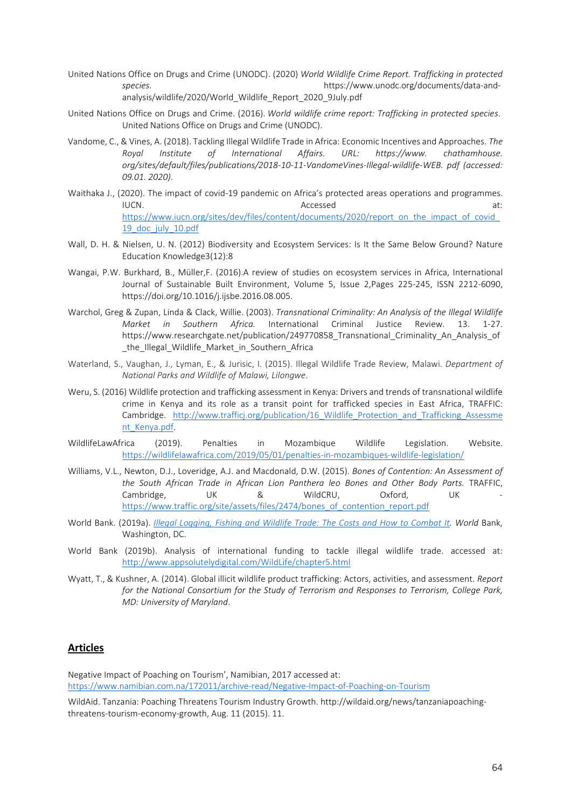- United Nations Office on Drugs and Crime (UNODC). (2020) *World Wildlife Crime Report. Trafficking in protected species.* https[://www.unodc.org/documents/data-and](http://www.unodc.org/documents/data-and-)analysis/wildlife/2020/World\_Wildlife\_Report\_2020\_9July.pdf
- United Nations Office on Drugs and Crime. (2016). *World wildlife crime report: Trafficking in protected species*. United Nations Office on Drugs and Crime (UNODC).
- Vandome, C., & Vines, A. (2018). Tackling Illegal Wildlife Trade in Africa: Economic Incentives and Approaches. *The Royal Institute of International Affairs. URL: https[://www.](http://www/) chathamhouse. org/sites/default/files/publications/2018-10-11-VandomeVines-Illegal-wildlife-WEB. pdf (accessed: 09.01. 2020)*.
- Waithaka J., (2020). The impact of covid-19 pandemic on Africa's protected areas operations and programmes. IUCN. Accessed at: Accessed at: https://www.iucn.org/sites/dev/files/content/documents/2020/report\_on\_the\_impact\_of\_covid [19\\_doc\\_july\\_10.pdf](https://www.iucn.org/sites/dev/files/content/documents/2020/report_on_the_impact_of_covid_19_doc_july_10.pdf)
- Wall, D. H. & Nielsen, U. N. (2012) Biodiversity and Ecosystem Services: Is It the Same Below Ground? Nature Education Knowledge3(12):8
- Wangai, P.W. Burkhard, B., Müller,F. (2016).A review of studies on ecosystem services in Africa, International Journal of Sustainable Built Environment, Volume 5, Issue 2,Pages 225-245, ISSN 2212-6090, https://doi.org/10.1016/j.ijsbe.2016.08.005.
- Warchol, Greg & Zupan, Linda & Clack, Willie. (2003). *Transnational Criminality: An Analysis of the Illegal Wildlife Market in Southern Africa.* International Criminal Justice Review. 13. 1-27. https://www.researchgate.net/publication/249770858 Transnational Criminality An Analysis of the Illegal Wildlife Market in Southern Africa
- Waterland, S., Vaughan, J., Lyman, E., & Jurisic, I. (2015). Illegal Wildlife Trade Review, Malawi. *Department of National Parks and Wildlife of Malawi, Lilongwe*.
- Weru, S. (2016) Wildlife protection and trafficking assessment in Kenya: Drivers and trends of transnational wildlife crime in Kenya and its role as a transit point for trafficked species in East Africa, TRAFFIC: Cambridge. [http://www.trafficj.org/publication/16\\_Wildlife\\_Protection\\_and\\_Trafficking\\_Assessme](http://www.trafficj.org/publication/16_Wildlife_Protection_and_Trafficking_Assessment_Kenya.pdf) [nt\\_Kenya.pdf.](http://www.trafficj.org/publication/16_Wildlife_Protection_and_Trafficking_Assessment_Kenya.pdf)
- WildlifeLawAfrica (2019). Penalties in Mozambique Wildlife Legislation. Website. <https://wildlifelawafrica.com/2019/05/01/penalties-in-mozambiques-wildlife-legislation/>
- Williams, V.L., Newton, D.J., Loveridge, A.J. and Macdonald, D.W. (2015). *Bones of Contention: An Assessment of the South African Trade in African Lion Panthera leo Bones and Other Body Parts.* TRAFFIC, Cambridge, UK & WildCRU, Oxford, UK [https://www.traffic.org/site/assets/files/2474/bones\\_of\\_contention\\_report.pdf](https://www.traffic.org/site/assets/files/2474/bones_of_contention_report.pdf)
- World Bank. (2019a). *[Illegal Logging, Fishing and Wildlife Trade: The Costs and How to Combat It. W](http://pubdocs.worldbank.org/en/482771571323560234/WBGReport1017Digital.pdf)orld* Bank, Washington, DC.
- World Bank (2019b). Analysis of international funding to tackle illegal wildlife trade. accessed at: <http://www.appsolutelydigital.com/WildLife/chapter5.html>
- Wyatt, T., & Kushner, A. (2014). Global illicit wildlife product trafficking: Actors, activities, and assessment. *Report for the National Consortium for the Study of Terrorism and Responses to Terrorism, College Park, MD: University of Maryland*.

#### **Articles**

Negative Impact of Poaching on Tourism', Namibian, 2017 accessed at: <https://www.namibian.com.na/172011/archive-read/Negative-Impact-of-Poaching-on-Tourism>

WildAid. Tanzania: Poaching Threatens Tourism Industry Growth. [http://wildaid.org/news/tanzaniapoaching](http://wildaid.org/news/tanzaniapoaching-)threatens-tourism-economy-growth, Aug. 11 (2015). 11.